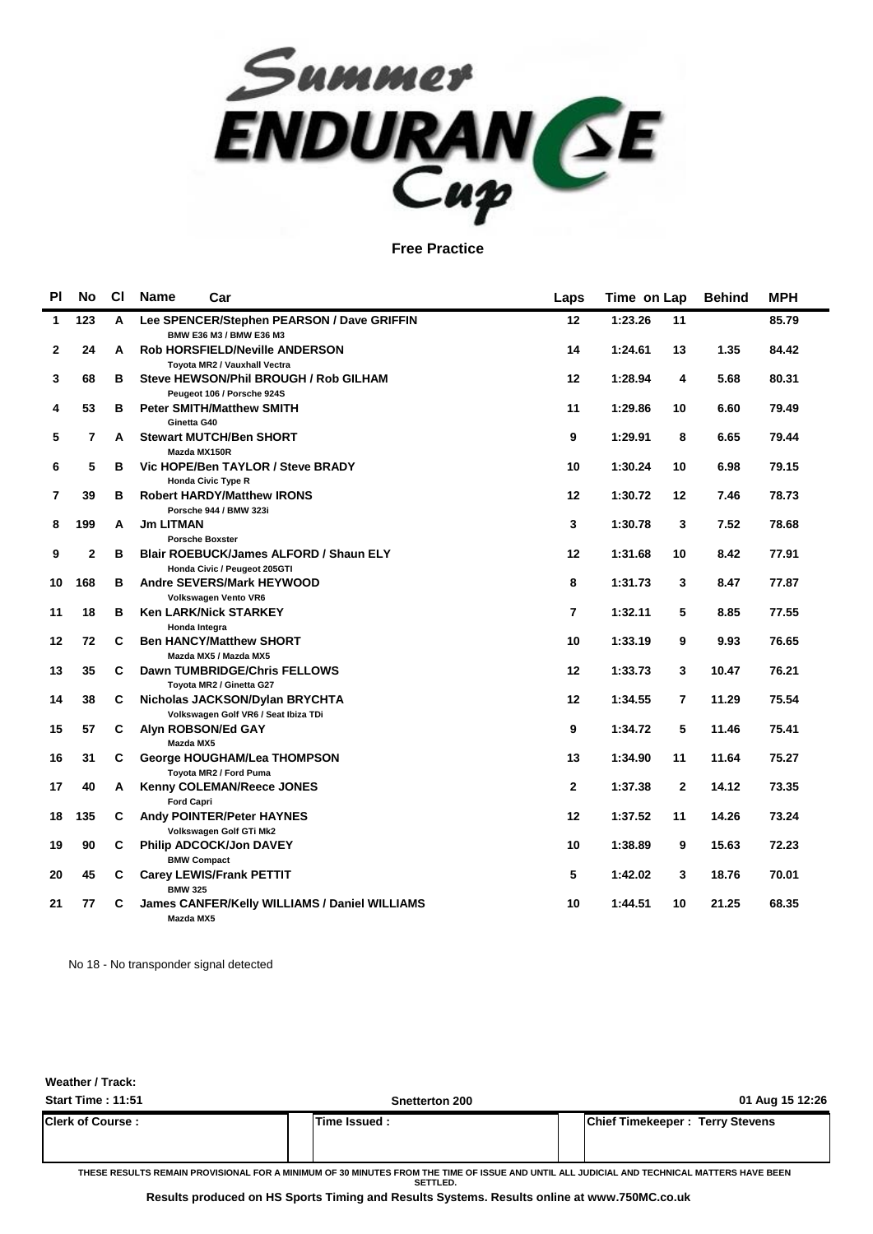

| <b>PI</b>    | <b>No</b>    | <b>CI</b> | <b>Name</b><br>Car                                                            | Laps         | Time on Lap               | <b>Behind</b> | <b>MPH</b> |
|--------------|--------------|-----------|-------------------------------------------------------------------------------|--------------|---------------------------|---------------|------------|
| 1            | 123          | A         | Lee SPENCER/Stephen PEARSON / Dave GRIFFIN<br>BMW E36 M3 / BMW E36 M3         | 12           | 1:23.26<br>11             |               | 85.79      |
| $\mathbf{2}$ | 24           | A         | <b>Rob HORSFIELD/Neville ANDERSON</b><br>Toyota MR2 / Vauxhall Vectra         | 14           | 1:24.61<br>13             | 1.35          | 84.42      |
| 3            | 68           | в         | Steve HEWSON/Phil BROUGH / Rob GILHAM<br>Peugeot 106 / Porsche 924S           | 12           | 1:28.94<br>4              | 5.68          | 80.31      |
| 4            | 53           | B         | <b>Peter SMITH/Matthew SMITH</b><br>Ginetta G40                               | 11           | 1:29.86<br>10             | 6.60          | 79.49      |
| 5            | 7            | A         | <b>Stewart MUTCH/Ben SHORT</b><br>Mazda MX150R                                | 9            | 1:29.91<br>8              | 6.65          | 79.44      |
| 6            | 5            | B         | Vic HOPE/Ben TAYLOR / Steve BRADY<br><b>Honda Civic Type R</b>                | 10           | 1:30.24<br>10             | 6.98          | 79.15      |
| 7            | 39           | B         | <b>Robert HARDY/Matthew IRONS</b><br>Porsche 944 / BMW 323i                   | 12           | 1:30.72<br>12             | 7.46          | 78.73      |
| 8            | 199          | A         | <b>Jm LITMAN</b><br><b>Porsche Boxster</b>                                    | 3            | 1:30.78<br>3              | 7.52          | 78.68      |
| 9            | $\mathbf{2}$ | в         | <b>Blair ROEBUCK/James ALFORD / Shaun ELY</b><br>Honda Civic / Peugeot 205GTI | 12           | 1:31.68<br>10             | 8.42          | 77.91      |
| 10           | 168          | B         | <b>Andre SEVERS/Mark HEYWOOD</b><br>Volkswagen Vento VR6                      | 8            | 1:31.73<br>3              | 8.47          | 77.87      |
| 11           | 18           | B         | <b>Ken LARK/Nick STARKEY</b><br>Honda Integra                                 | 7            | 1:32.11<br>5              | 8.85          | 77.55      |
| 12           | 72           | С         | <b>Ben HANCY/Matthew SHORT</b><br>Mazda MX5 / Mazda MX5                       | 10           | 1:33.19<br>9              | 9.93          | 76.65      |
| 13           | 35           | C         | Dawn TUMBRIDGE/Chris FELLOWS<br>Toyota MR2 / Ginetta G27                      | 12           | 1:33.73<br>3              | 10.47         | 76.21      |
| 14           | 38           | C         | Nicholas JACKSON/Dylan BRYCHTA<br>Volkswagen Golf VR6 / Seat Ibiza TDi        | 12           | 1:34.55<br>$\overline{7}$ | 11.29         | 75.54      |
| 15           | 57           | C         | Alyn ROBSON/Ed GAY<br>Mazda MX5                                               | 9            | 1:34.72<br>5              | 11.46         | 75.41      |
| 16           | 31           | C         | George HOUGHAM/Lea THOMPSON<br>Toyota MR2 / Ford Puma                         | 13           | 1:34.90<br>11             | 11.64         | 75.27      |
| 17           | 40           | A         | <b>Kenny COLEMAN/Reece JONES</b><br><b>Ford Capri</b>                         | $\mathbf{2}$ | 1:37.38<br>$\mathbf{2}$   | 14.12         | 73.35      |
| 18           | 135          | C         | Andy POINTER/Peter HAYNES<br>Volkswagen Golf GTi Mk2                          | 12           | 1:37.52<br>11             | 14.26         | 73.24      |
| 19           | 90           | C         | <b>Philip ADCOCK/Jon DAVEY</b><br><b>BMW Compact</b>                          | 10           | 1:38.89<br>9              | 15.63         | 72.23      |
| 20           | 45           | C         | <b>Carey LEWIS/Frank PETTIT</b><br><b>BMW 325</b>                             | 5            | 1:42.02<br>3              | 18.76         | 70.01      |
| 21           | 77           | С         | James CANFER/Kelly WILLIAMS / Daniel WILLIAMS<br>Mazda MX5                    | 10           | 1:44.51<br>10             | 21.25         | 68.35      |

No 18 - No transponder signal detected

**Weather / Track:** 

| <b>Start Time: 11:51</b> | <b>Snetterton 200</b> | 01 Aug 15 12:26                        |
|--------------------------|-----------------------|----------------------------------------|
| <b>Clerk of Course:</b>  | <b>Time Issued:</b>   | <b>Chief Timekeeper: Terry Stevens</b> |

**THESE RESULTS REMAIN PROVISIONAL FOR A MINIMUM OF 30 MINUTES FROM THE TIME OF ISSUE AND UNTIL ALL JUDICIAL AND TECHNICAL MATTERS HAVE BEEN SETTLED.**

**Results produced on HS Sports Timing and Results Systems. Results online at www.750MC.co.uk**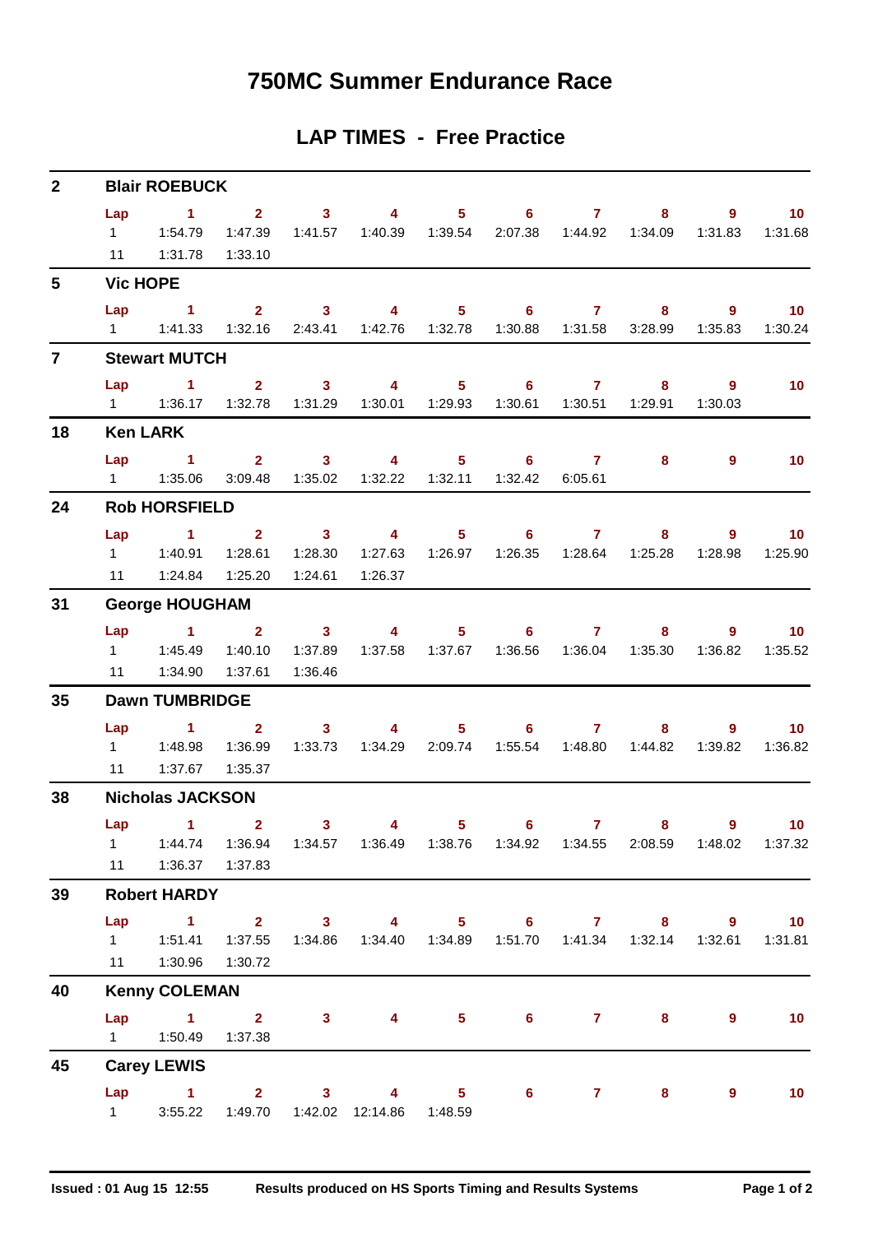### **750MC Summer Endurance Race**

### **LAP TIMES - Free Practice**

| $\mathbf{2}$   | <b>Blair ROEBUCK</b>  |                                                                                                                                      |                    |                    |                                                                                                         |             |                |                |                                                                                  |                            |                            |  |
|----------------|-----------------------|--------------------------------------------------------------------------------------------------------------------------------------|--------------------|--------------------|---------------------------------------------------------------------------------------------------------|-------------|----------------|----------------|----------------------------------------------------------------------------------|----------------------------|----------------------------|--|
|                | Lap                   | 11  1:31.78  1:33.10                                                                                                                 |                    |                    | 1 2 3 4 5 6 7 8 9 10<br>1:47.39  1:41.57  1:40.39  1:39.54  2:07.38  1:44.92  1:34.09  1:31.83  1:31.68 |             |                |                |                                                                                  |                            |                            |  |
| 5 <sup>5</sup> |                       | <b>Vic HOPE</b>                                                                                                                      |                    |                    |                                                                                                         |             |                |                |                                                                                  |                            |                            |  |
|                | Lap                   | $\sim$ $\sim$ 1<br>1   1:41.33   1:32.16   2:43.41   1:42.76   1:32.78   1:30.88   1:31.58   3:28.99   1:35.83                       |                    |                    | 2 3 4 5 6 7 8                                                                                           |             |                |                |                                                                                  |                            | $9 \t 10$<br>1:30.24       |  |
| $\overline{7}$ |                       | <b>Stewart MUTCH</b>                                                                                                                 |                    |                    |                                                                                                         |             |                |                |                                                                                  |                            |                            |  |
|                |                       | Lap 1<br>1   1:36.17   1:32.78   1:31.29   1:30.01   1:29.93   1:30.61   1:30.51   1:29.91                                           |                    |                    | 2 3 4 5 6 7                                                                                             |             |                |                |                                                                                  | 9<br>$8 - 8$<br>1:30.03    | 10                         |  |
| 18             |                       | <b>Ken LARK</b>                                                                                                                      |                    |                    |                                                                                                         |             |                |                |                                                                                  |                            |                            |  |
|                | Lap<br>$1 \quad \Box$ | $\sim$ $\sim$ 1<br>1:35.06                                                                                                           |                    |                    | 2 3 4 5 6 7<br>3:09.48  1:35.02  1:32.22  1:32.11  1:32.42  6:05.61                                     |             |                |                | 8                                                                                | $9^{\circ}$                | 10                         |  |
| 24             | <b>Rob HORSFIELD</b>  |                                                                                                                                      |                    |                    |                                                                                                         |             |                |                |                                                                                  |                            |                            |  |
|                | Lap                   | $1 \t 2 \t 3$<br>1    1:40.91    1:28.61    1:28.30                                                                                  |                    | 1:24.61            | $\overline{4}$<br>1:26.37                                                                               |             |                |                | $5 \t\t 6 \t\t 7 \t\t 8$<br>1:27.63  1:26.97  1:26.35  1:28.64  1:25.28  1:28.98 |                            | $9 \t 10$<br>1:25.90       |  |
| 31             |                       | <b>George HOUGHAM</b>                                                                                                                |                    |                    |                                                                                                         |             |                |                |                                                                                  |                            |                            |  |
|                | 11                    | Lap 1 2 3 4 5 6 7 8<br>1:34.90                                                                                                       | 1:40.10<br>1:37.61 | 1:37.89<br>1:36.46 |                                                                                                         |             |                |                |                                                                                  | 1:36.82                    | $9$ 10<br>1:35.52          |  |
| 35             | <b>Dawn TUMBRIDGE</b> |                                                                                                                                      |                    |                    |                                                                                                         |             |                |                |                                                                                  |                            |                            |  |
|                | Lap                   | 1 2 3 4 5 6 7<br>1   1:48.98   1:36.99   1:33.73   1:34.29   2:09.74   1:55.54   1:48.80   1:44.82   1:39.82<br>11  1:37.67  1:35.37 |                    |                    |                                                                                                         |             |                |                |                                                                                  | $8 - 1$                    | $9 \t 10$<br>1:36.82       |  |
| 38             |                       | <b>Nicholas JACKSON</b>                                                                                                              |                    |                    |                                                                                                         |             |                |                |                                                                                  |                            |                            |  |
|                | $1 \quad$             | Lap $1$ 2<br>1:44.74<br>11  1:36.37  1:37.83                                                                                         |                    |                    | $3 \sim 3$<br>1:36.94  1:34.57  1:36.49  1:38.76  1:34.92  1:34.55  2:08.59  1:48.02  1:37.32           | $4 \quad 5$ | 6              |                | $7 \pm 1$                                                                        | $9^{\circ}$<br>$8^{\circ}$ | 10 <sub>1</sub>            |  |
| 39             |                       | <b>Robert HARDY</b>                                                                                                                  |                    |                    |                                                                                                         |             |                |                |                                                                                  |                            |                            |  |
|                | Lap<br>11             | $\sim$ $\sim$ 1<br>11.51.41<br>1:30.96  1:30.72                                                                                      | 1:37.55            |                    | 2 3 4 5 6 7 8<br>1:34.86  1:34.40  1:34.89                                                              |             |                |                | 1:51.70  1:41.34  1:32.14                                                        | 9<br>1:32.61               | $\overline{10}$<br>1:31.81 |  |
| 40             |                       | <b>Kenny COLEMAN</b>                                                                                                                 |                    |                    |                                                                                                         |             |                |                |                                                                                  |                            |                            |  |
|                | Lap                   | $1 \t2 \t3 \t4$<br>1   1:50.49   1:37.38                                                                                             |                    |                    |                                                                                                         | $5 -$       | $6 -$          | $\overline{7}$ | 8                                                                                | 9                          | 10 <sub>1</sub>            |  |
| 45             |                       | <b>Carey LEWIS</b>                                                                                                                   |                    |                    |                                                                                                         |             |                |                |                                                                                  |                            |                            |  |
|                | $1 \quad \Box$        | Lap 1 2 3 4 5                                                                                                                        |                    |                    | 3:55.22  1:49.70  1:42.02  12:14.86  1:48.59                                                            |             | 6 <sup>1</sup> |                | $7 - 7$<br>$8 -$                                                                 | $9^{\circ}$                | 10                         |  |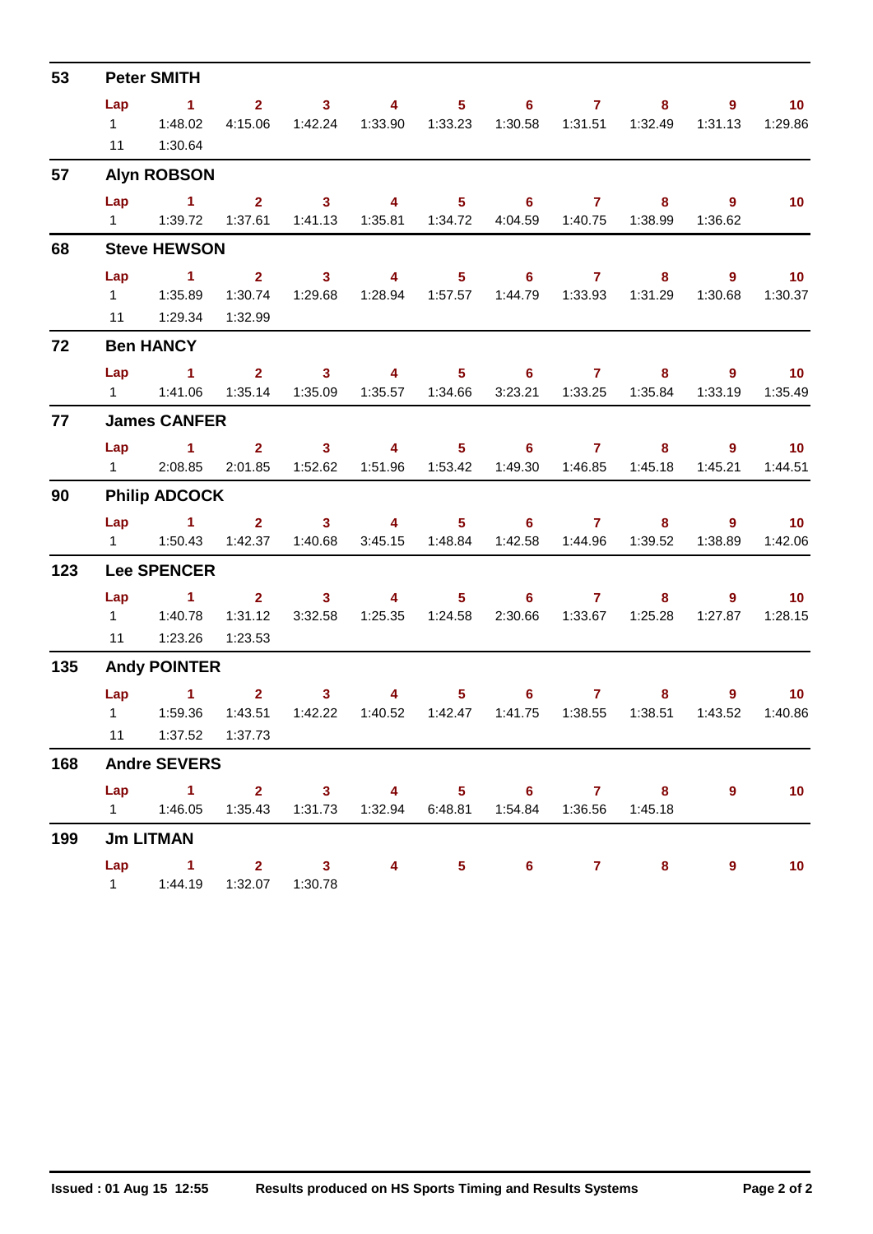| 53  | <b>Peter SMITH</b>   |                                                                   |                         |                                                                                                                                                                                                                                                                                                                                                                                                                         |                             |                 |                                                      |                            |                           |                                    |                            |  |
|-----|----------------------|-------------------------------------------------------------------|-------------------------|-------------------------------------------------------------------------------------------------------------------------------------------------------------------------------------------------------------------------------------------------------------------------------------------------------------------------------------------------------------------------------------------------------------------------|-----------------------------|-----------------|------------------------------------------------------|----------------------------|---------------------------|------------------------------------|----------------------------|--|
|     | Lap<br>11            | $\sim$ 1<br>1 1:48.02<br>1:30.64                                  | 4:15.06                 | $2 \t 3 \t 4$                                                                                                                                                                                                                                                                                                                                                                                                           | 1:42.24   1:33.90   1:33.23 |                 | $5 \t\t 6 \t\t 7$                                    |                            | 1:30.58  1:31.51  1:32.49 | $8^{\circ}$<br>9<br>1:31.13        | 10 <sup>°</sup><br>1:29.86 |  |
| 57  |                      | <b>Alyn ROBSON</b>                                                |                         |                                                                                                                                                                                                                                                                                                                                                                                                                         |                             |                 |                                                      |                            |                           |                                    |                            |  |
|     | Lap                  | $\sim$ 1                                                          |                         | $2 \qquad 3 \qquad 4 \qquad 5 \qquad 6 \qquad 7$                                                                                                                                                                                                                                                                                                                                                                        |                             |                 |                                                      |                            | $8 -$                     | $\overline{9}$                     | $\blacksquare$ 10          |  |
|     |                      |                                                                   |                         | 1:37.61  1:41.13  1:35.81  1:34.72                                                                                                                                                                                                                                                                                                                                                                                      |                             |                 |                                                      |                            | 4:04.59  1:40.75  1:38.99 | 1:36.62                            |                            |  |
| 68  |                      | <b>Steve HEWSON</b>                                               |                         |                                                                                                                                                                                                                                                                                                                                                                                                                         |                             |                 |                                                      |                            |                           |                                    |                            |  |
|     | Lap                  | $1 \t2 \t3 \t4$                                                   |                         |                                                                                                                                                                                                                                                                                                                                                                                                                         |                             |                 | $5 \t\t 6 \t\t 7 \t\t 8$                             |                            |                           |                                    | $9$ 10                     |  |
|     |                      |                                                                   |                         | 1:30.74  1:29.68                                                                                                                                                                                                                                                                                                                                                                                                        |                             |                 | 1:28.94  1:57.57  1:44.79  1:33.93  1:31.29  1:30.68 |                            |                           |                                    | 1:30.37                    |  |
|     |                      | 11   1:29.34                                                      | 1:32.99                 |                                                                                                                                                                                                                                                                                                                                                                                                                         |                             |                 |                                                      |                            |                           |                                    |                            |  |
| 72  | <b>Ben HANCY</b>     |                                                                   |                         |                                                                                                                                                                                                                                                                                                                                                                                                                         |                             |                 |                                                      |                            |                           |                                    |                            |  |
|     | Lap                  | 1 2 3 4 5 6 7 8 9 10                                              |                         |                                                                                                                                                                                                                                                                                                                                                                                                                         |                             |                 |                                                      |                            |                           |                                    |                            |  |
|     |                      | 1   1:41.06                                                       |                         | 1:35.14  1:35.09  1:35.57  1:34.66                                                                                                                                                                                                                                                                                                                                                                                      |                             |                 |                                                      |                            |                           | 3:23.21  1:33.25  1:35.84  1:33.19 | 1:35.49                    |  |
| 77  |                      | <b>James CANFER</b>                                               |                         |                                                                                                                                                                                                                                                                                                                                                                                                                         |                             |                 |                                                      |                            |                           |                                    |                            |  |
|     | Lap                  | $\sim$ 1                                                          |                         | $2 \t 3$                                                                                                                                                                                                                                                                                                                                                                                                                | $\overline{4}$              |                 | $5 \t\t 6 \t\t 7 \t\t 8$                             |                            |                           |                                    | $9$ 10                     |  |
|     |                      | 1 2:08.85 2:01.85 1:52.62 1:51.96 1:53.42 1:49.30 1:46.85 1:45.18 |                         |                                                                                                                                                                                                                                                                                                                                                                                                                         |                             |                 |                                                      |                            |                           | 1:45.21                            | 1:44.51                    |  |
| 90  | <b>Philip ADCOCK</b> |                                                                   |                         |                                                                                                                                                                                                                                                                                                                                                                                                                         |                             |                 |                                                      |                            |                           |                                    |                            |  |
|     |                      | Lap 1 2 3 4 5 6 7 8                                               |                         |                                                                                                                                                                                                                                                                                                                                                                                                                         |                             |                 |                                                      |                            |                           |                                    | $9$ 10                     |  |
|     |                      |                                                                   |                         |                                                                                                                                                                                                                                                                                                                                                                                                                         |                             | 3:45.15 1:48.84 |                                                      |                            | 1:42.58  1:44.96  1:39.52 | 1:38.89                            | 1:42.06                    |  |
| 123 | <b>Lee SPENCER</b>   |                                                                   |                         |                                                                                                                                                                                                                                                                                                                                                                                                                         |                             |                 |                                                      |                            |                           |                                    |                            |  |
|     | Lap                  | $1 \t2 \t3 \t4$                                                   |                         |                                                                                                                                                                                                                                                                                                                                                                                                                         |                             |                 | $5 \t\t 6 \t\t 7$                                    |                            | $8 -$                     | $9^{\circ}$                        | $\sim$ 10                  |  |
|     | $1 \quad$            | 1:40.78                                                           | 1:31.12                 | 3:32.58                                                                                                                                                                                                                                                                                                                                                                                                                 |                             |                 |                                                      |                            | 2:30.66 1:33.67 1:25.28   | 1:27.87                            | 1:28.15                    |  |
|     | 11                   | 1:23.26                                                           | 1:23.53                 |                                                                                                                                                                                                                                                                                                                                                                                                                         |                             |                 |                                                      |                            |                           |                                    |                            |  |
| 135 |                      | <b>Andy POINTER</b>                                               |                         |                                                                                                                                                                                                                                                                                                                                                                                                                         |                             |                 |                                                      |                            |                           |                                    |                            |  |
|     | <b>Lap</b>           | $\blacktriangleleft$                                              |                         | $\overline{\mathbf{2}}$ and $\overline{\mathbf{2}}$ and $\overline{\mathbf{2}}$ and $\overline{\mathbf{2}}$ and $\overline{\mathbf{2}}$ and $\overline{\mathbf{2}}$ and $\overline{\mathbf{2}}$ and $\overline{\mathbf{2}}$ and $\overline{\mathbf{2}}$ and $\overline{\mathbf{2}}$ and $\overline{\mathbf{2}}$ and $\overline{\mathbf{2}}$ and $\overline{\mathbf{2}}$ and $\overline{\mathbf{2}}$ a<br>3 <sup>7</sup> | $4 \qquad \qquad$           |                 | $5^{\circ}$                                          | $6 \qquad \qquad 7 \qquad$ | $8 -$                     | $9^{\circ}$                        | 10 <sub>1</sub>            |  |
|     |                      |                                                                   |                         | 1:43.51  1:42.22  1:40.52  1:42.47                                                                                                                                                                                                                                                                                                                                                                                      |                             |                 |                                                      |                            |                           | 1:43.52                            | 1:40.86                    |  |
|     |                      | 11   1:37.52   1:37.73                                            |                         |                                                                                                                                                                                                                                                                                                                                                                                                                         |                             |                 |                                                      |                            |                           |                                    |                            |  |
| 168 |                      | <b>Andre SEVERS</b>                                               |                         |                                                                                                                                                                                                                                                                                                                                                                                                                         |                             |                 |                                                      |                            |                           |                                    |                            |  |
|     | Lap                  | $\sim$ 1                                                          | $2 \t 3$                |                                                                                                                                                                                                                                                                                                                                                                                                                         |                             |                 | 4 5 6 7 8                                            |                            |                           | 9                                  | 10 <sub>1</sub>            |  |
|     |                      |                                                                   |                         | 1:35.43  1:31.73  1:32.94  6:48.81                                                                                                                                                                                                                                                                                                                                                                                      |                             |                 |                                                      | 1:54.84  1:36.56           | 1:45.18                   |                                    |                            |  |
| 199 | <b>Jm LITMAN</b>     |                                                                   |                         |                                                                                                                                                                                                                                                                                                                                                                                                                         |                             |                 |                                                      |                            |                           |                                    |                            |  |
|     | Lap                  | $\sim$ $-1$                                                       | $\overline{\mathbf{2}}$ | $\overline{\mathbf{3}}$                                                                                                                                                                                                                                                                                                                                                                                                 | $\overline{4}$              |                 | $5^{\circ}$<br>6                                     |                            | $7 - 7$<br>$8^{\circ}$    | 9                                  | 10 <sub>1</sub>            |  |
|     |                      | 1   1:44.19                                                       |                         | 1:32.07  1:30.78                                                                                                                                                                                                                                                                                                                                                                                                        |                             |                 |                                                      |                            |                           |                                    |                            |  |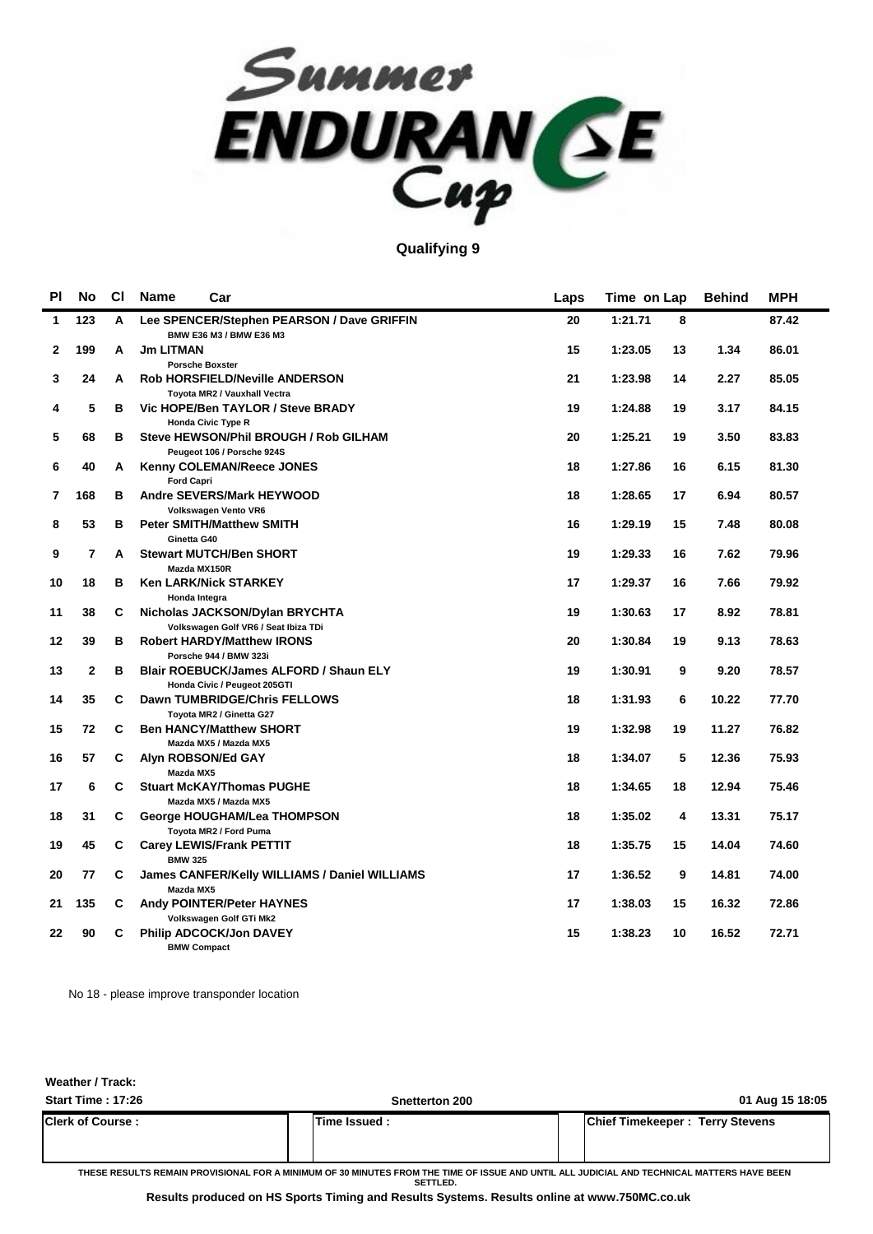

### **Qualifying 9**

| PI           | <b>No</b>      | <b>CI</b> | <b>Name</b>       | Car                                                                             | Laps | Time on Lap |    | <b>Behind</b> | <b>MPH</b> |
|--------------|----------------|-----------|-------------------|---------------------------------------------------------------------------------|------|-------------|----|---------------|------------|
| 1            | 123            | A         |                   | Lee SPENCER/Stephen PEARSON / Dave GRIFFIN<br>BMW E36 M3 / BMW E36 M3           | 20   | 1:21.71     | 8  |               | 87.42      |
| $\mathbf{2}$ | 199            | A         | <b>Jm LITMAN</b>  | <b>Porsche Boxster</b>                                                          | 15   | 1:23.05     | 13 | 1.34          | 86.01      |
| 3            | 24             | A         |                   | <b>Rob HORSFIELD/Neville ANDERSON</b><br>Toyota MR2 / Vauxhall Vectra           | 21   | 1:23.98     | 14 | 2.27          | 85.05      |
| 4            | 5              | в         |                   | Vic HOPE/Ben TAYLOR / Steve BRADY<br><b>Honda Civic Type R</b>                  | 19   | 1:24.88     | 19 | 3.17          | 84.15      |
| 5            | 68             | в         |                   | Steve HEWSON/Phil BROUGH / Rob GILHAM                                           | 20   | 1:25.21     | 19 | 3.50          | 83.83      |
| 6            | 40             | A         |                   | Peugeot 106 / Porsche 924S<br>Kenny COLEMAN/Reece JONES                         | 18   | 1:27.86     | 16 | 6.15          | 81.30      |
| 7            | 168            | в         | <b>Ford Capri</b> | <b>Andre SEVERS/Mark HEYWOOD</b><br>Volkswagen Vento VR6                        | 18   | 1:28.65     | 17 | 6.94          | 80.57      |
| 8            | 53             | B         | Ginetta G40       | <b>Peter SMITH/Matthew SMITH</b>                                                | 16   | 1:29.19     | 15 | 7.48          | 80.08      |
| 9            | $\overline{7}$ | A         |                   | <b>Stewart MUTCH/Ben SHORT</b><br>Mazda MX150R                                  | 19   | 1:29.33     | 16 | 7.62          | 79.96      |
| 10           | 18             | в         |                   | Ken LARK/Nick STARKEY<br>Honda Integra                                          | 17   | 1:29.37     | 16 | 7.66          | 79.92      |
| 11           | 38             | C         |                   | Nicholas JACKSON/Dylan BRYCHTA<br>Volkswagen Golf VR6 / Seat Ibiza TDi          | 19   | 1:30.63     | 17 | 8.92          | 78.81      |
| 12           | 39             | в         |                   | <b>Robert HARDY/Matthew IRONS</b><br>Porsche 944 / BMW 323i                     | 20   | 1:30.84     | 19 | 9.13          | 78.63      |
| 13           | 2              | B         |                   | Blair ROEBUCK/James ALFORD / Shaun ELY<br>Honda Civic / Peugeot 205GTI          | 19   | 1:30.91     | 9  | 9.20          | 78.57      |
| 14           | 35             | C         |                   | Dawn TUMBRIDGE/Chris FELLOWS<br>Toyota MR2 / Ginetta G27                        | 18   | 1:31.93     | 6  | 10.22         | 77.70      |
| 15           | 72             | C         |                   | <b>Ben HANCY/Matthew SHORT</b><br>Mazda MX5 / Mazda MX5                         | 19   | 1:32.98     | 19 | 11.27         | 76.82      |
| 16           | 57             | C         | Mazda MX5         | Alyn ROBSON/Ed GAY                                                              | 18   | 1:34.07     | 5  | 12.36         | 75.93      |
| 17           | 6              | C         |                   | <b>Stuart McKAY/Thomas PUGHE</b><br>Mazda MX5 / Mazda MX5                       | 18   | 1:34.65     | 18 | 12.94         | 75.46      |
| 18           | 31             | С         |                   | George HOUGHAM/Lea THOMPSON<br>Toyota MR2 / Ford Puma                           | 18   | 1:35.02     | 4  | 13.31         | 75.17      |
| 19           | 45             | C         | <b>BMW 325</b>    | <b>Carey LEWIS/Frank PETTIT</b>                                                 | 18   | 1:35.75     | 15 | 14.04         | 74.60      |
| 20           | 77             | C         | Mazda MX5         | James CANFER/Kelly WILLIAMS / Daniel WILLIAMS                                   | 17   | 1:36.52     | 9  | 14.81         | 74.00      |
| 21           | 135            | C         |                   | <b>Andy POINTER/Peter HAYNES</b>                                                | 17   | 1:38.03     | 15 | 16.32         | 72.86      |
| 22           | 90             | C         |                   | Volkswagen Golf GTi Mk2<br><b>Philip ADCOCK/Jon DAVEY</b><br><b>BMW Compact</b> | 15   | 1:38.23     | 10 | 16.52         | 72.71      |

No 18 - please improve transponder location

**Weather / Track:** 

| <b>Start Time: 17:26</b> | Snetterton 200 | 01 Aug 15 18:05                        |
|--------------------------|----------------|----------------------------------------|
| <b>Clerk of Course:</b>  | lTime Issued : | <b>Chief Timekeeper: Terry Stevens</b> |

**THESE RESULTS REMAIN PROVISIONAL FOR A MINIMUM OF 30 MINUTES FROM THE TIME OF ISSUE AND UNTIL ALL JUDICIAL AND TECHNICAL MATTERS HAVE BEEN SETTLED.**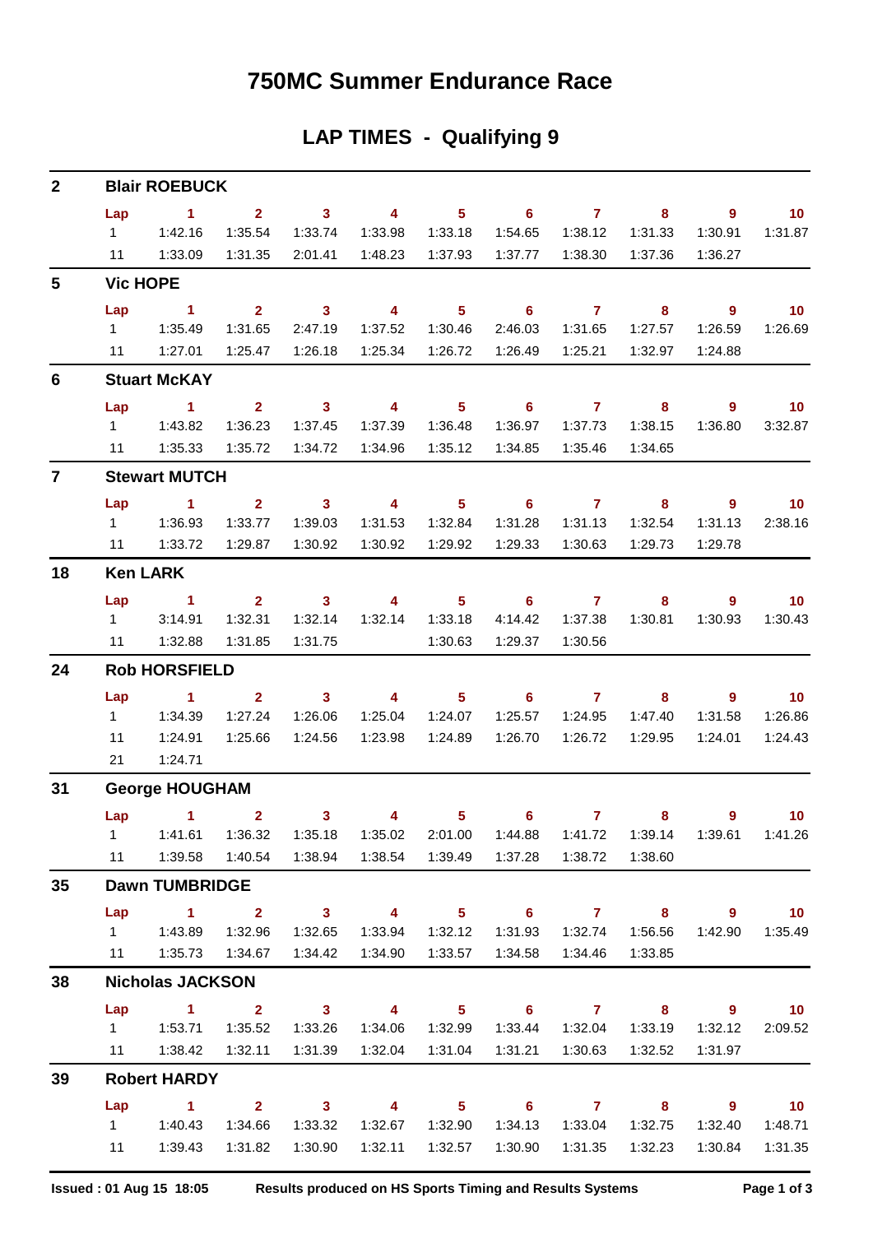### **750MC Summer Endurance Race**

### **LAP TIMES - Qualifying 9**

| $\mathbf{2}$   |                              | <b>Blair ROEBUCK</b>                                    |                                      |                                                               |                                                      |                                                  |                                                  |                                      |                                               |                                                  |                                                   |
|----------------|------------------------------|---------------------------------------------------------|--------------------------------------|---------------------------------------------------------------|------------------------------------------------------|--------------------------------------------------|--------------------------------------------------|--------------------------------------|-----------------------------------------------|--------------------------------------------------|---------------------------------------------------|
|                | Lap<br>$1 \quad$<br>11       | $\sim$ 1<br>1:42.16<br>1:33.09                          | $\overline{2}$<br>1:35.54<br>1:31.35 | $\overline{\mathbf{3}}$<br>1:33.74<br>2:01.41                 | $\overline{4}$<br>1:33.98<br>1:48.23                 | $\overline{\phantom{0}}$ 5<br>1:33.18<br>1:37.93 | $\overline{\phantom{a}}$ 6<br>1:54.65<br>1:37.77 | $\overline{7}$<br>1:38.12<br>1:38.30 | 8<br>1:31.33<br>1:37.36                       | 9<br>1:30.91<br>1:36.27                          | 10<br>1:31.87                                     |
| 5              |                              | <b>Vic HOPE</b>                                         |                                      |                                                               |                                                      |                                                  |                                                  |                                      |                                               |                                                  |                                                   |
|                | Lap<br>$1 \quad$<br>11       | $\sim$ 1<br>1:35.49<br>1:27.01                          | $2^{\circ}$<br>1:31.65<br>1:25.47    | $\overline{\phantom{a}}$ 3<br>2:47.19<br>1:26.18              | 4<br>1:37.52<br>1:25.34                              | 5 <sup>5</sup><br>1:30.46<br>1:26.72             | $\overline{\phantom{0}}$ 6<br>2:46.03<br>1:26.49 | $\overline{7}$<br>1:31.65<br>1:25.21 | 8<br>1:27.57<br>1:32.97                       | $\overline{9}$<br>1:26.59<br>1:24.88             | 10<br>1:26.69                                     |
| 6              |                              | <b>Stuart McKAY</b>                                     |                                      |                                                               |                                                      |                                                  |                                                  |                                      |                                               |                                                  |                                                   |
|                | Lap<br>$1 \quad$             | $\sim$ 1<br>1:43.82                                     | 2 <sup>1</sup><br>1:36.23            | $\overline{\mathbf{3}}$<br>1:37.45                            | $\overline{\mathbf{4}}$<br>1:37.39                   | 5 <sub>1</sub><br>1:36.48                        | $\overline{\phantom{0}}$ 6<br>1:36.97            | $\overline{7}$<br>1:37.73            | 8<br>1:38.15                                  | $\overline{9}$<br>1:36.80                        | 10<br>3:32.87                                     |
| $\overline{7}$ | 11                           | 1:35.33<br><b>Stewart MUTCH</b>                         | 1:35.72                              | 1:34.72                                                       | 1:34.96                                              | 1:35.12                                          | 1:34.85                                          | 1:35.46                              | 1:34.65                                       |                                                  |                                                   |
|                | Lap<br>$1 \quad$<br>11       | $\sim$ 1<br>1:36.93<br>1:33.72                          | 2 <sup>1</sup><br>1:33.77<br>1:29.87 | $\overline{\phantom{a}}$ 3<br>1:39.03<br>1:30.92              | $\overline{4}$<br>1:31.53<br>1:30.92                 | 5 <sup>5</sup><br>1:32.84<br>1:29.92             | $\overline{\phantom{0}}$ 6<br>1:31.28<br>1:29.33 | $\overline{7}$<br>1:31.13<br>1:30.63 | 8<br>1:32.54<br>1:29.73                       | $\overline{9}$<br>1:31.13<br>1:29.78             | 10<br>2:38.16                                     |
| 18             |                              | <b>Ken LARK</b>                                         |                                      |                                                               |                                                      |                                                  |                                                  |                                      |                                               |                                                  |                                                   |
|                | Lap<br>$1 \quad$<br>11       | $\sim$ 1<br>3:14.91<br>1:32.88                          | $2^{\circ}$<br>1:32.31<br>1:31.85    | $\overline{\mathbf{3}}$<br>1:32.14<br>1:31.75                 | $\overline{4}$<br>1:32.14                            | $5 -$<br>1:33.18<br>1:30.63                      | $\overline{\phantom{0}}$ 6<br>4:14.42<br>1:29.37 | $\overline{7}$<br>1:37.38<br>1:30.56 | 8<br>1:30.81                                  | $\overline{9}$<br>1:30.93                        | 10<br>1:30.43                                     |
| 24             |                              | <b>Rob HORSFIELD</b>                                    |                                      |                                                               |                                                      |                                                  |                                                  |                                      |                                               |                                                  |                                                   |
|                | Lap<br>$1 \quad$<br>11<br>21 | $\sim$ 1<br>1:34.39<br>1:24.91<br>1:24.71               | 2 <sup>1</sup><br>1:27.24<br>1:25.66 | $\overline{\phantom{a}}$ 3<br>1:26.06<br>1:24.56              | $\overline{\mathbf{4}}$<br>1:25.04<br>1:23.98        | 5 <sup>1</sup><br>1:24.07<br>1:24.89             | $\overline{\phantom{0}}$ 6<br>1:25.57<br>1:26.70 | $\overline{7}$<br>1:24.95<br>1:26.72 | 8<br>1:47.40<br>1:29.95                       | $\overline{9}$<br>1:31.58<br>1:24.01             | 10<br>1:26.86<br>1:24.43                          |
| 31             |                              | <b>George HOUGHAM</b>                                   |                                      |                                                               |                                                      |                                                  |                                                  |                                      |                                               |                                                  |                                                   |
|                | $1 \quad$                    | Lap 1 2<br>1:41.61<br>11   1:39.58                      | 1:36.32                              | $\mathbf{3}$<br>1:35.18<br>1:40.54  1:38.94  1:38.54  1:39.49 | 4<br>1:35.02                                         | 5<br>2:01.00                                     | 6                                                | $\mathbf{7}$<br>1:44.88  1:41.72     | 8<br>1:39.14<br>1:38.60                       | 9<br>1:39.61                                     | 10<br>1:41.26                                     |
| $35\,$         |                              | <b>Dawn TUMBRIDGE</b>                                   |                                      |                                                               |                                                      |                                                  |                                                  |                                      |                                               |                                                  |                                                   |
|                | Lap                          | $\overline{1}$ $\overline{2}$<br>11   1:35.73   1:34.67 |                                      | $\overline{\mathbf{3}}$                                       | $\overline{\mathbf{4}}$<br>1:34.42  1:34.90  1:33.57 |                                                  | $5 \t\t 6 \t\t 7 \t\t 8$                         | 1:34.58  1:34.46  1:33.85            |                                               | $\overline{\mathbf{9}}$                          | $\overline{10}$<br>1:42.90  1:35.49               |
| 38             |                              | <b>Nicholas JACKSON</b>                                 |                                      |                                                               |                                                      |                                                  |                                                  |                                      |                                               |                                                  |                                                   |
|                |                              | Lap 1 2 3 4 5 6 7 8<br>11   1:38.42                     | 1:35.52                              | 1:33.26<br>1:32.11  1:31.39  1:32.04  1:31.04                 |                                                      | 1:34.06  1:32.99                                 |                                                  | 1:33.44  1:32.04                     | 1:33.19<br>1:31.21  1:30.63  1:32.52          | $9 \t 10$<br>1:32.12<br>1:31.97                  | 2:09.52                                           |
| 39             |                              | <b>Robert HARDY</b>                                     |                                      |                                                               |                                                      |                                                  |                                                  |                                      |                                               |                                                  |                                                   |
|                | Lap                          | $\sim$ 1.1<br>1   1:40.43<br>11   1:39.43               | 1:31.82                              | $2 \t 3$<br>1:34.66  1:33.32<br>1:30.90                       | $\overline{4}$                                       | $\overline{\phantom{1}}$ 5<br>1:32.11  1:32.57   | 1:30.90                                          | $6\qquad 7$<br>1:31.35               | $\overline{\mathbf{8}}$<br>1:32.75<br>1:32.23 | $\overline{\phantom{a}}$ 9<br>1:32.40<br>1:30.84 | $\overline{\phantom{0}}$ 10<br>1:48.71<br>1:31.35 |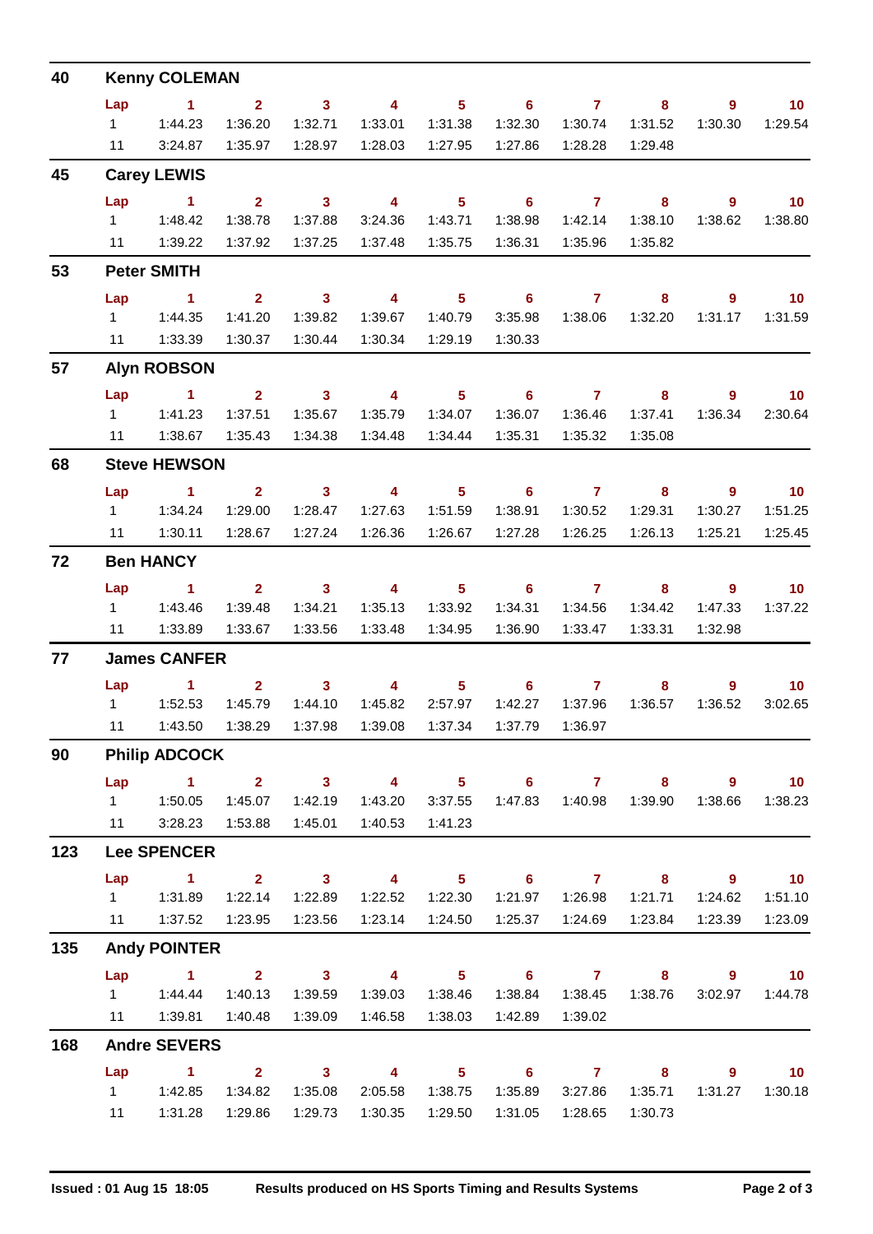| 40  | <b>Kenny COLEMAN</b> |                          |                |                         |                         |                |                                                               |                |         |                |                   |  |
|-----|----------------------|--------------------------|----------------|-------------------------|-------------------------|----------------|---------------------------------------------------------------|----------------|---------|----------------|-------------------|--|
|     | Lap                  | $\sim$ 1                 | $\overline{2}$ | $\mathbf{3}$            | $\overline{4}$          | 5 <sub>1</sub> | $\overline{\phantom{0}}$ 6                                    | $\overline{7}$ | 8       | $\overline{9}$ | 10                |  |
|     | $1 \quad$            | 1:44.23                  | 1:36.20        | 1:32.71                 | 1:33.01                 | 1:31.38        | 1:32.30                                                       | 1:30.74        | 1:31.52 | 1:30.30        | 1:29.54           |  |
|     | 11                   | 3:24.87                  | 1:35.97        | 1:28.97                 | 1:28.03                 | 1:27.95        | 1:27.86                                                       | 1:28.28        | 1:29.48 |                |                   |  |
| 45  |                      | <b>Carey LEWIS</b>       |                |                         |                         |                |                                                               |                |         |                |                   |  |
|     | Lap                  | $\sim$ 1                 | $\mathbf{2}$   | $\mathbf{3}$            | $\overline{\mathbf{4}}$ | 5 <sub>5</sub> | 6                                                             | $\mathbf{7}$   | 8       | $\overline{9}$ | 10                |  |
|     | $1 \quad$            | 1:48.42                  | 1:38.78        | 1:37.88                 | 3:24.36                 | 1:43.71        | 1:38.98                                                       | 1:42.14        | 1:38.10 | 1:38.62        | 1:38.80           |  |
|     | 11                   | 1:39.22                  | 1:37.92        | 1:37.25                 | 1:37.48                 | 1:35.75        | 1:36.31                                                       | 1:35.96        | 1:35.82 |                |                   |  |
| 53  |                      | <b>Peter SMITH</b>       |                |                         |                         |                |                                                               |                |         |                |                   |  |
|     | Lap                  | $\sim$ 1                 | $\overline{2}$ | $\overline{\mathbf{3}}$ | $\overline{4}$          | 5 <sub>1</sub> | $\overline{\phantom{0}}$ 6                                    | $\overline{7}$ | 8       | 9              | $\blacksquare$ 10 |  |
|     | $1 \quad$            | 1:44.35                  | 1:41.20        | 1:39.82                 | 1:39.67                 | 1:40.79        | 3:35.98                                                       | 1:38.06        | 1:32.20 | 1:31.17        | 1:31.59           |  |
|     | 11                   | 1:33.39                  | 1:30.37        | 1:30.44                 | 1:30.34                 | 1:29.19        | 1:30.33                                                       |                |         |                |                   |  |
| 57  |                      | <b>Alyn ROBSON</b>       |                |                         |                         |                |                                                               |                |         |                |                   |  |
|     | Lap                  | $\sim$ 1                 | $\mathbf{2}$   | 3 <sup>1</sup>          | $\overline{4}$          | 5 <sup>1</sup> | 6                                                             | $\mathbf{7}$   | 8       | $\overline{9}$ | 10                |  |
|     | $1 \quad$            | 1:41.23                  | 1:37.51        | 1:35.67                 | 1:35.79                 | 1:34.07        | 1:36.07                                                       | 1:36.46        | 1:37.41 | 1:36.34        | 2:30.64           |  |
|     | 11                   | 1:38.67                  | 1:35.43        | 1:34.38                 | 1:34.48                 | 1:34.44        | 1:35.31                                                       | 1:35.32        | 1:35.08 |                |                   |  |
| 68  |                      | <b>Steve HEWSON</b>      |                |                         |                         |                |                                                               |                |         |                |                   |  |
|     | Lap                  | $\sim$ 1                 | $\mathbf{2}$   | $\overline{\mathbf{3}}$ | $\overline{4}$          | 5 <sub>1</sub> | $\overline{\phantom{0}}$ 6                                    | $\overline{7}$ | 8       | $\overline{9}$ | $\overline{10}$   |  |
|     | $1 \quad$            | 1:34.24                  | 1:29.00        | 1:28.47                 | 1:27.63                 | 1:51.59        | 1:38.91                                                       | 1:30.52        | 1:29.31 | 1:30.27        | 1:51.25           |  |
|     | 11                   | 1:30.11                  | 1:28.67        | 1:27.24                 | 1:26.36                 | 1:26.67        | 1:27.28                                                       | 1:26.25        | 1:26.13 | 1:25.21        | 1:25.45           |  |
| 72  |                      | <b>Ben HANCY</b>         |                |                         |                         |                |                                                               |                |         |                |                   |  |
|     | Lap                  | $\sim$ 1                 | $2^{\circ}$    | $\mathbf{3}$            | $\overline{4}$          | 5 <sup>1</sup> | 6                                                             | $\mathbf{7}$   | 8       | $\overline{9}$ | 10                |  |
|     | $1 \quad$            | 1:43.46                  | 1:39.48        | 1:34.21                 | 1:35.13                 | 1:33.92        | 1:34.31                                                       | 1:34.56        | 1:34.42 | 1:47.33        | 1:37.22           |  |
|     | 11                   | 1:33.89                  | 1:33.67        | 1:33.56                 | 1:33.48                 | 1:34.95        | 1:36.90                                                       | 1:33.47        | 1:33.31 | 1:32.98        |                   |  |
| 77  |                      | <b>James CANFER</b>      |                |                         |                         |                |                                                               |                |         |                |                   |  |
|     | Lap                  | 1.                       | $\overline{2}$ | $\mathbf{3}$            | 4                       | 5              | 6                                                             | $\overline{7}$ | 8       | 9              | 10 <sub>1</sub>   |  |
|     | $1 \quad$            | 1:52.53                  | 1:45.79        | 1:44.10                 | 1:45.82                 | 2:57.97        | 1:42.27                                                       | 1:37.96        | 1:36.57 | 1:36.52        | 3:02.65           |  |
|     | $11 -$               |                          |                |                         |                         |                | 1:43.50  1:38.29  1:37.98  1:39.08  1:37.34  1:37.79  1:36.97 |                |         |                |                   |  |
| 90  |                      | <b>Philip ADCOCK</b>     |                |                         |                         |                |                                                               |                |         |                |                   |  |
|     | Lap                  | 1 2 3 4 5 6 7 8 9 10     |                |                         |                         |                |                                                               |                |         |                |                   |  |
|     |                      |                          | 1:45.07        | 1:42.19                 | 1:43.20                 |                | 3:37.55  1:47.83  1:40.98  1:39.90                            |                |         | 1:38.66        | 1:38.23           |  |
|     |                      | 11   3:28.23   1:53.88   |                | 1:45.01                 | 1:40.53                 | 1:41.23        |                                                               |                |         |                |                   |  |
| 123 |                      | <b>Lee SPENCER</b>       |                |                         |                         |                |                                                               |                |         |                |                   |  |
|     | Lap                  | $1 \t 2 \t 3$            |                |                         |                         |                | 4 5 6 7 8 9 10                                                |                |         |                |                   |  |
|     |                      | 1   1:31.89              |                | 1:22.14  1:22.89        |                         |                | 1:22.52  1:22.30  1:21.97  1:26.98  1:21.71                   |                |         | 1:24.62        | 1:51.10           |  |
|     |                      | 11   1:37.52             | 1:23.95        | 1:23.56                 | 1:23.14                 | 1:24.50        | 1:25.37                                                       | 1:24.69        | 1:23.84 | 1:23.39        | 1:23.09           |  |
| 135 |                      | <b>Andy POINTER</b>      |                |                         |                         |                |                                                               |                |         |                |                   |  |
|     |                      | Lap 1 2 3 4 5 6 7 8 9 10 |                |                         |                         |                |                                                               |                |         |                |                   |  |
|     |                      | $1 \t 1:44.44$           | 1:40.13        | 1:39.59                 |                         |                | 1:39.03  1:38.46  1:38.84                                     |                |         |                | 3:02.97 1:44.78   |  |
|     |                      | 11   1:39.81   1:40.48   |                | 1:39.09                 |                         |                | 1:42.89                                                       | 1:39.02        |         |                |                   |  |
| 168 |                      | <b>Andre SEVERS</b>      |                |                         |                         |                |                                                               |                |         |                |                   |  |
|     | Lap                  | 1 2 3 4 5 6 7 8 9 10     |                |                         |                         |                |                                                               |                |         |                |                   |  |
|     |                      |                          |                | 1:35.08                 |                         |                | 2:05.58  1:38.75  1:35.89  3:27.86  1:35.71                   |                |         |                | 1:31.27  1:30.18  |  |
|     |                      | 11   1:31.28             | 1:29.86        | 1:29.73                 | 1:30.35                 | 1:29.50        | 1:31.05                                                       | 1:28.65        | 1:30.73 |                |                   |  |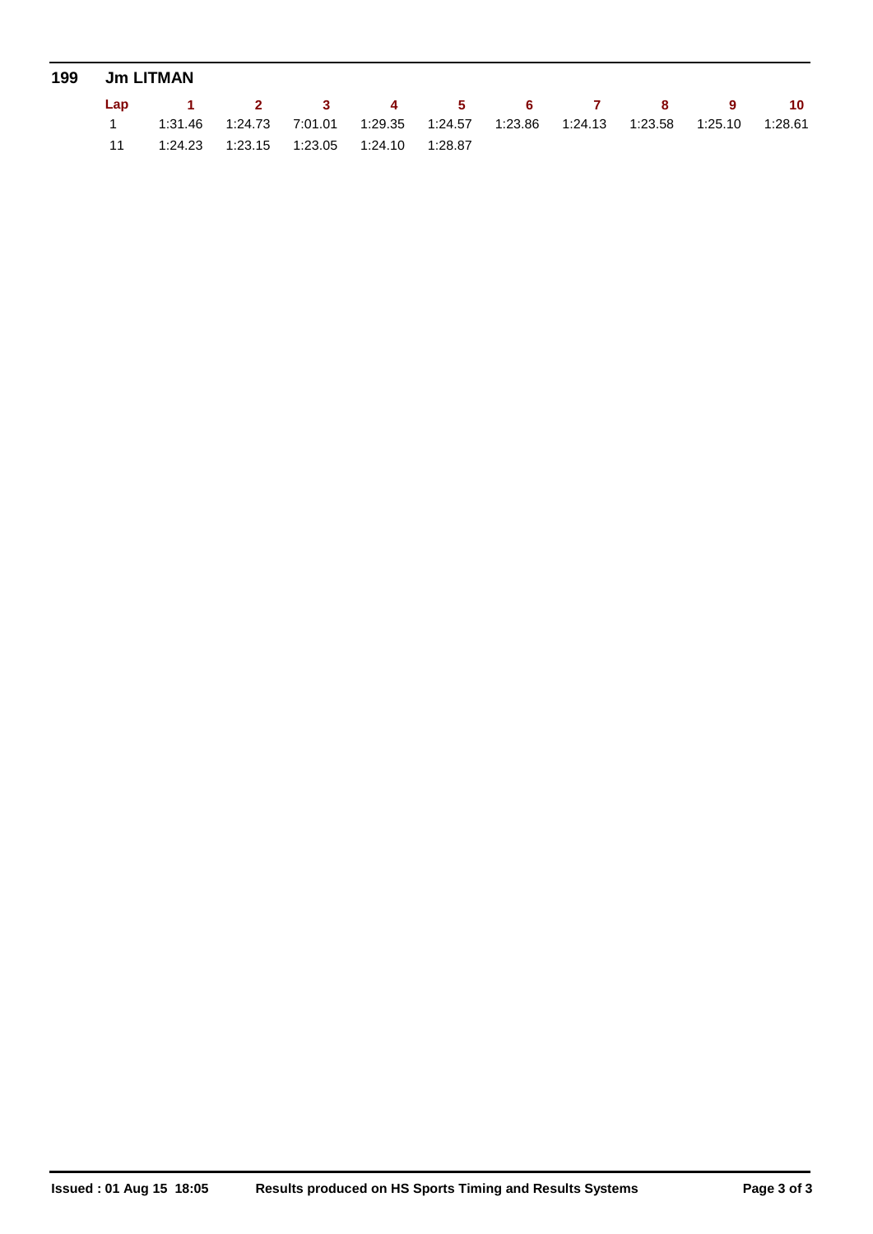| 199 Jm LITMAN |                                                                                                     |  |  |  |  |  |  |  |  |  |
|---------------|-----------------------------------------------------------------------------------------------------|--|--|--|--|--|--|--|--|--|
|               | Lap 1 2 3 4 5 6 7 8 9 10                                                                            |  |  |  |  |  |  |  |  |  |
|               | $1.23.58$ $1:24.73$ $7:01.01$ $1:29.35$ $1:24.57$ $1:23.86$ $1:24.13$ $1:23.58$ $1:25.10$ $1:28.61$ |  |  |  |  |  |  |  |  |  |
|               | 11  1:24.23  1:23.15  1:23.05  1:24.10  1:28.87                                                     |  |  |  |  |  |  |  |  |  |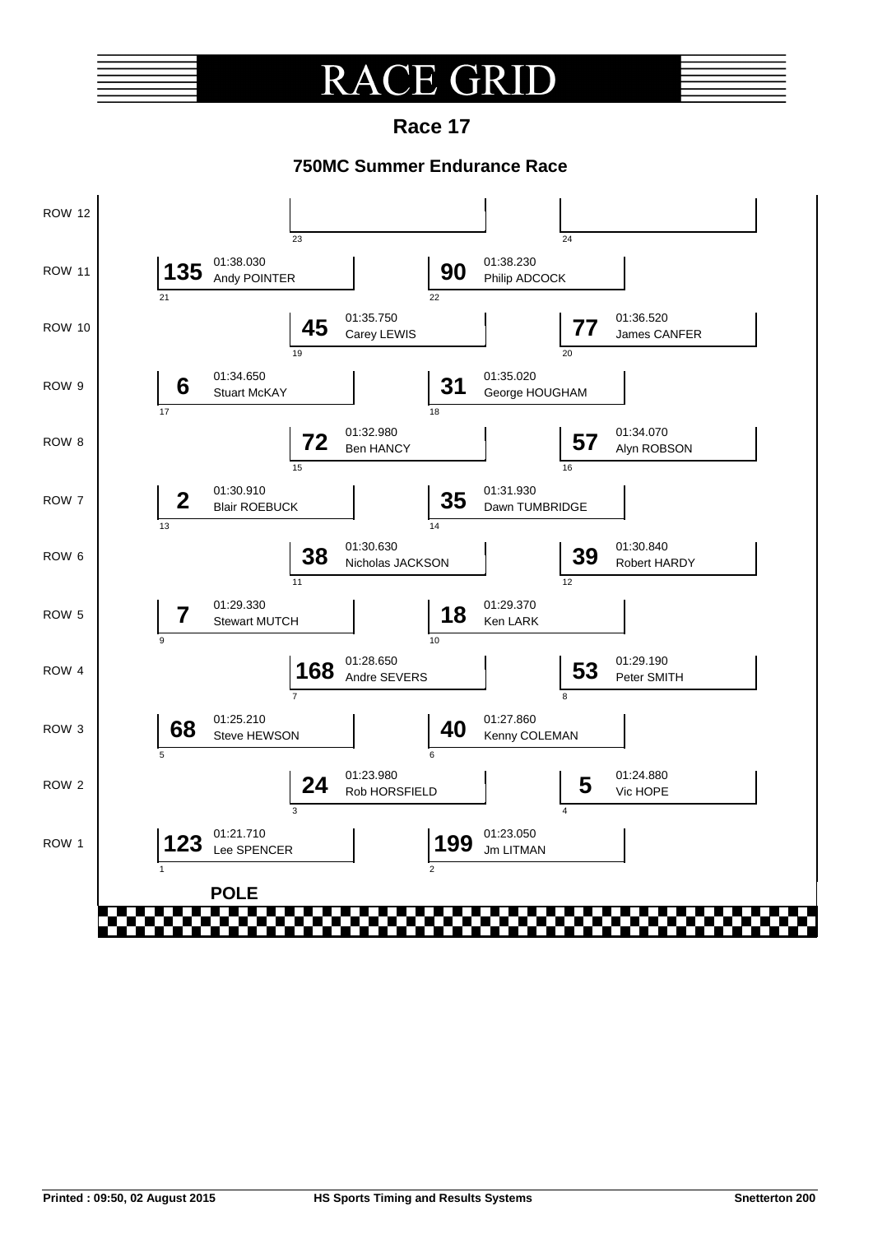### R **E** GRI

**Race 17**

### **750MC Summer Endurance Race**

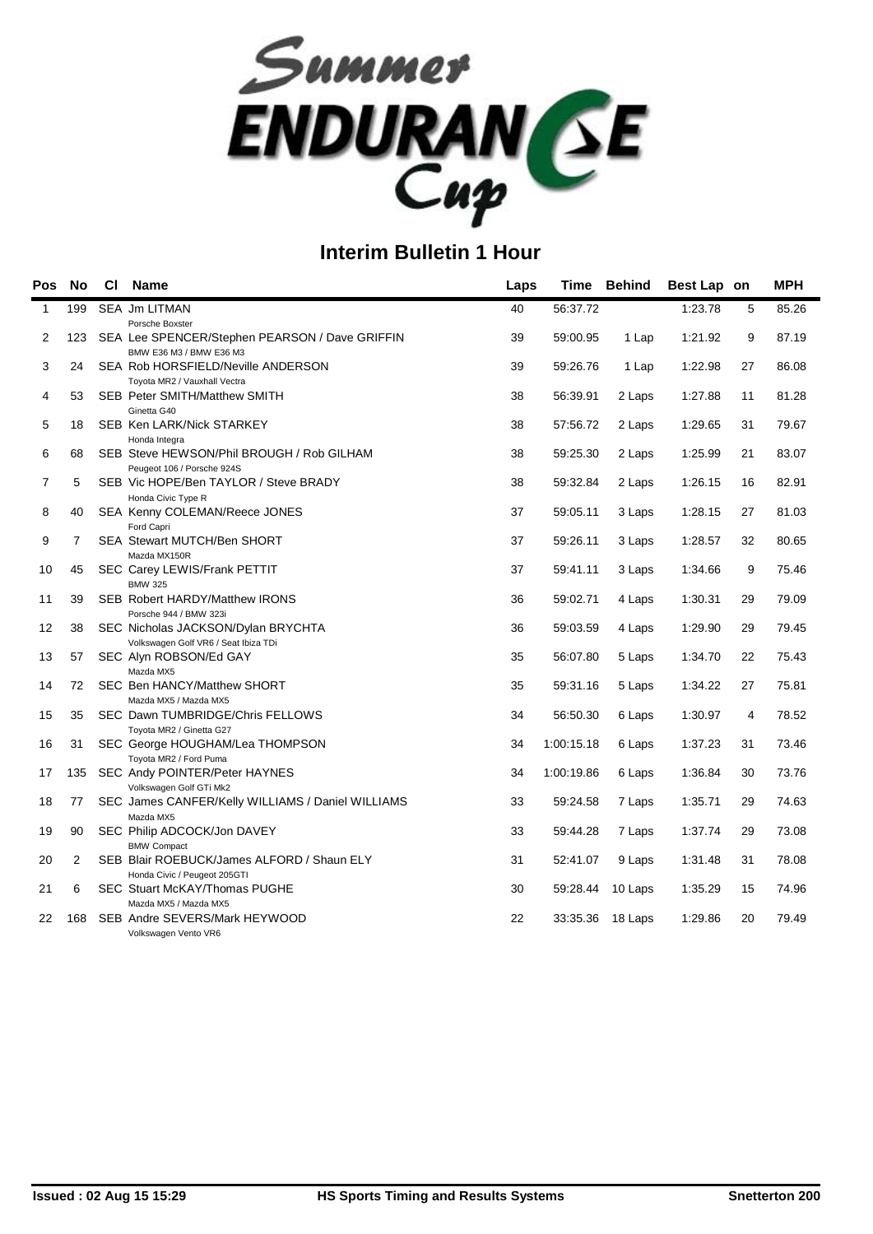

| Pos            | <b>No</b>      | <b>CI</b> | <b>Name</b>                                                               | Laps |            | Time Behind      | Best Lap on |    | <b>MPH</b> |
|----------------|----------------|-----------|---------------------------------------------------------------------------|------|------------|------------------|-------------|----|------------|
| $\mathbf{1}$   | 199            |           | <b>SEA Jm LITMAN</b>                                                      | 40   | 56:37.72   |                  | 1:23.78     | 5  | 85.26      |
|                |                |           | Porsche Boxster                                                           |      |            |                  |             |    |            |
| 2              | 123            |           | SEA Lee SPENCER/Stephen PEARSON / Dave GRIFFIN<br>BMW E36 M3 / BMW E36 M3 | 39   | 59:00.95   | 1 Lap            | 1:21.92     | 9  | 87.19      |
| 3              | 24             |           | SEA Rob HORSFIELD/Neville ANDERSON                                        | 39   | 59:26.76   | 1 Lap            | 1:22.98     | 27 | 86.08      |
|                |                |           | Toyota MR2 / Vauxhall Vectra                                              |      |            |                  |             |    |            |
| 4              | 53             |           | SEB Peter SMITH/Matthew SMITH                                             | 38   | 56:39.91   | 2 Laps           | 1:27.88     | 11 | 81.28      |
|                |                |           | Ginetta G40                                                               |      |            |                  |             |    |            |
| 5              | 18             |           | SEB Ken LARK/Nick STARKEY<br>Honda Integra                                | 38   | 57:56.72   | 2 Laps           | 1:29.65     | 31 | 79.67      |
| 6              | 68             |           | SEB Steve HEWSON/Phil BROUGH / Rob GILHAM                                 | 38   | 59:25.30   | 2 Laps           | 1:25.99     | 21 | 83.07      |
|                |                |           | Peugeot 106 / Porsche 924S                                                |      |            |                  |             |    |            |
| $\overline{7}$ | 5              |           | SEB Vic HOPE/Ben TAYLOR / Steve BRADY                                     | 38   | 59:32.84   | 2 Laps           | 1:26.15     | 16 | 82.91      |
|                |                |           | Honda Civic Type R                                                        |      |            |                  |             |    |            |
| 8              | 40             |           | SEA Kenny COLEMAN/Reece JONES                                             | 37   | 59:05.11   | 3 Laps           | 1:28.15     | 27 | 81.03      |
| 9              | $\overline{7}$ |           | Ford Capri<br>SEA Stewart MUTCH/Ben SHORT                                 | 37   | 59:26.11   | 3 Laps           | 1:28.57     | 32 | 80.65      |
|                |                |           | Mazda MX150R                                                              |      |            |                  |             |    |            |
| 10             | 45             |           | SEC Carey LEWIS/Frank PETTIT                                              | 37   | 59:41.11   | 3 Laps           | 1:34.66     | 9  | 75.46      |
|                |                |           | <b>BMW 325</b>                                                            |      |            |                  |             |    |            |
| 11             | 39             |           | SEB Robert HARDY/Matthew IRONS                                            | 36   | 59:02.71   | 4 Laps           | 1:30.31     | 29 | 79.09      |
| 12             | 38             |           | Porsche 944 / BMW 323i<br>SEC Nicholas JACKSON/Dylan BRYCHTA              | 36   | 59:03.59   | 4 Laps           | 1:29.90     | 29 | 79.45      |
|                |                |           | Volkswagen Golf VR6 / Seat Ibiza TDi                                      |      |            |                  |             |    |            |
| 13             | 57             |           | SEC Alyn ROBSON/Ed GAY                                                    | 35   | 56:07.80   | 5 Laps           | 1:34.70     | 22 | 75.43      |
|                |                |           | Mazda MX5                                                                 |      |            |                  |             |    |            |
| 14             | 72             |           | SEC Ben HANCY/Matthew SHORT                                               | 35   | 59:31.16   | 5 Laps           | 1:34.22     | 27 | 75.81      |
|                |                |           | Mazda MX5 / Mazda MX5                                                     |      |            |                  |             |    |            |
| 15             | 35             |           | SEC Dawn TUMBRIDGE/Chris FELLOWS<br>Toyota MR2 / Ginetta G27              | 34   | 56:50.30   | 6 Laps           | 1:30.97     | 4  | 78.52      |
| 16             | 31             |           | SEC George HOUGHAM/Lea THOMPSON                                           | 34   | 1:00:15.18 | 6 Laps           | 1:37.23     | 31 | 73.46      |
|                |                |           | Toyota MR2 / Ford Puma                                                    |      |            |                  |             |    |            |
| 17             | 135            |           | SEC Andy POINTER/Peter HAYNES                                             | 34   | 1:00:19.86 | 6 Laps           | 1:36.84     | 30 | 73.76      |
|                |                |           | Volkswagen Golf GTi Mk2                                                   |      |            |                  |             |    |            |
| 18             | 77             |           | SEC James CANFER/Kelly WILLIAMS / Daniel WILLIAMS                         | 33   | 59:24.58   | 7 Laps           | 1:35.71     | 29 | 74.63      |
| 19             | 90             |           | Mazda MX5<br>SEC Philip ADCOCK/Jon DAVEY                                  | 33   | 59:44.28   | 7 Laps           | 1:37.74     | 29 | 73.08      |
|                |                |           | <b>BMW Compact</b>                                                        |      |            |                  |             |    |            |
| 20             | 2              |           | SEB Blair ROEBUCK/James ALFORD / Shaun ELY                                | 31   | 52:41.07   | 9 Laps           | 1:31.48     | 31 | 78.08      |
|                |                |           | Honda Civic / Peugeot 205GTI                                              |      |            |                  |             |    |            |
| 21             | 6              |           | <b>SEC Stuart McKAY/Thomas PUGHE</b>                                      | 30   | 59:28.44   | 10 Laps          | 1:35.29     | 15 | 74.96      |
|                |                |           | Mazda MX5 / Mazda MX5                                                     |      |            |                  |             |    | 79.49      |
| 22             | 168            |           | SEB Andre SEVERS/Mark HEYWOOD<br>Volkswagen Vento VR6                     | 22   |            | 33:35.36 18 Laps | 1:29.86     | 20 |            |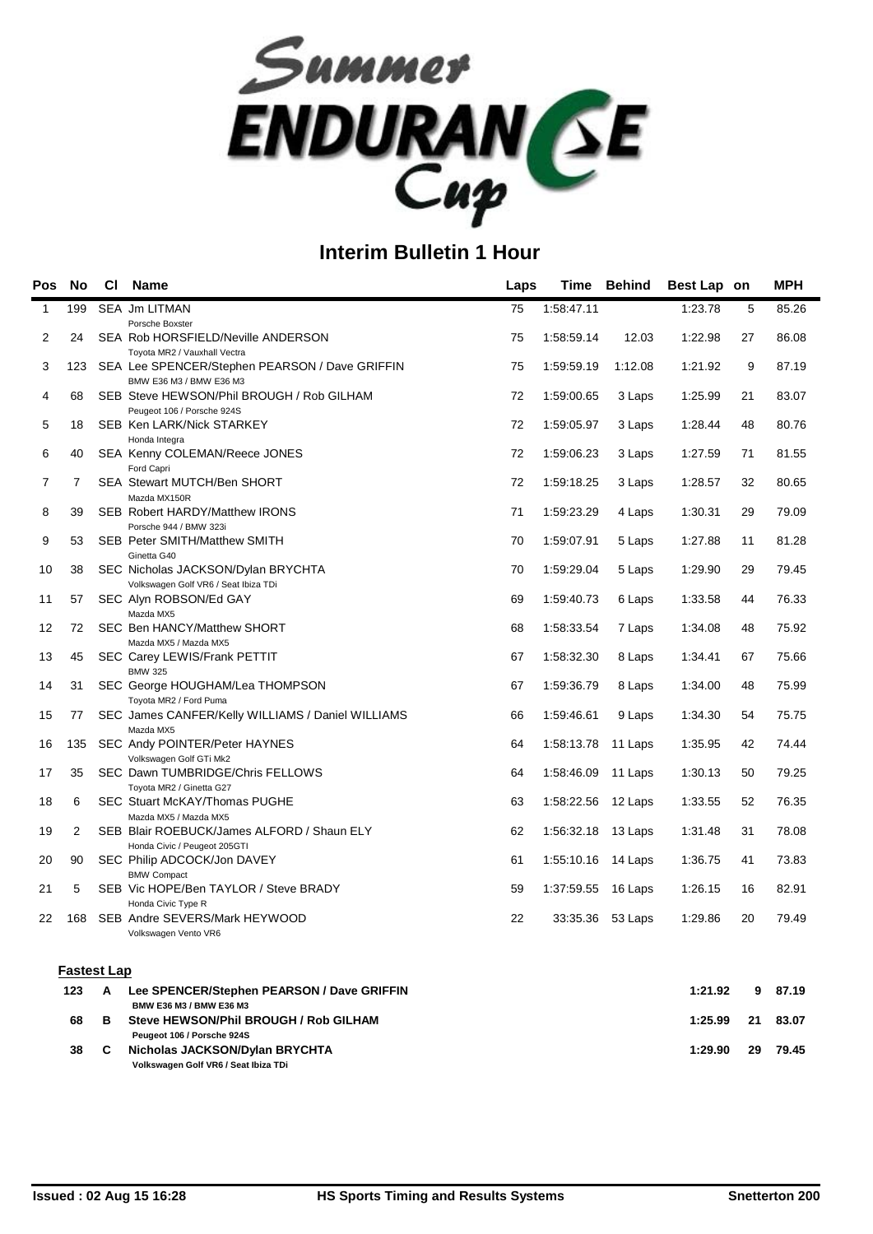

| Pos          | <b>No</b>          | <b>CI</b> | <b>Name</b>                                                                              | Laps | Time               | <b>Behind</b> | Best Lap on |    | <b>MPH</b> |
|--------------|--------------------|-----------|------------------------------------------------------------------------------------------|------|--------------------|---------------|-------------|----|------------|
| $\mathbf{1}$ | 199                |           | <b>SEA Jm LITMAN</b><br>Porsche Boxster                                                  | 75   | 1:58:47.11         |               | 1:23.78     | 5  | 85.26      |
| 2            | 24                 |           | SEA Rob HORSFIELD/Neville ANDERSON                                                       | 75   | 1:58:59.14         | 12.03         | 1:22.98     | 27 | 86.08      |
| 3            | 123                |           | Toyota MR2 / Vauxhall Vectra<br>SEA Lee SPENCER/Stephen PEARSON / Dave GRIFFIN           | 75   | 1:59:59.19         | 1:12.08       | 1:21.92     | 9  | 87.19      |
| 4            | 68                 |           | BMW E36 M3 / BMW E36 M3<br>SEB Steve HEWSON/Phil BROUGH / Rob GILHAM                     | 72   | 1:59:00.65         | 3 Laps        | 1:25.99     | 21 | 83.07      |
| 5            | 18                 |           | Peugeot 106 / Porsche 924S<br>SEB Ken LARK/Nick STARKEY                                  | 72   | 1:59:05.97         | 3 Laps        | 1:28.44     | 48 | 80.76      |
| 6            | 40                 |           | Honda Integra<br>SEA Kenny COLEMAN/Reece JONES                                           | 72   | 1:59:06.23         | 3 Laps        | 1:27.59     | 71 | 81.55      |
| 7            | $\overline{7}$     |           | Ford Capri<br>SEA Stewart MUTCH/Ben SHORT                                                | 72   | 1:59:18.25         | 3 Laps        | 1:28.57     | 32 | 80.65      |
| 8            | 39                 |           | Mazda MX150R<br>SEB Robert HARDY/Matthew IRONS                                           | 71   | 1:59:23.29         | 4 Laps        | 1:30.31     | 29 | 79.09      |
| 9            | 53                 |           | Porsche 944 / BMW 323i<br>SEB Peter SMITH/Matthew SMITH<br>Ginetta G40                   | 70   | 1:59:07.91         | 5 Laps        | 1:27.88     | 11 | 81.28      |
| 10           | 38                 |           | SEC Nicholas JACKSON/Dylan BRYCHTA<br>Volkswagen Golf VR6 / Seat Ibiza TDi               | 70   | 1:59:29.04         | 5 Laps        | 1:29.90     | 29 | 79.45      |
| 11           | 57                 |           | SEC Alyn ROBSON/Ed GAY<br>Mazda MX5                                                      | 69   | 1:59:40.73         | 6 Laps        | 1:33.58     | 44 | 76.33      |
| 12           | 72                 |           | SEC Ben HANCY/Matthew SHORT<br>Mazda MX5 / Mazda MX5                                     | 68   | 1:58:33.54         | 7 Laps        | 1:34.08     | 48 | 75.92      |
| 13           | 45                 |           | SEC Carey LEWIS/Frank PETTIT                                                             | 67   | 1:58:32.30         | 8 Laps        | 1:34.41     | 67 | 75.66      |
| 14           | 31                 |           | <b>BMW 325</b><br>SEC George HOUGHAM/Lea THOMPSON                                        | 67   | 1:59:36.79         | 8 Laps        | 1:34.00     | 48 | 75.99      |
| 15           | 77                 |           | Toyota MR2 / Ford Puma<br>SEC James CANFER/Kelly WILLIAMS / Daniel WILLIAMS<br>Mazda MX5 | 66   | 1:59:46.61         | 9 Laps        | 1:34.30     | 54 | 75.75      |
| 16           | 135                |           | SEC Andy POINTER/Peter HAYNES<br>Volkswagen Golf GTi Mk2                                 | 64   | 1:58:13.78         | 11 Laps       | 1:35.95     | 42 | 74.44      |
| 17           | 35                 |           | SEC Dawn TUMBRIDGE/Chris FELLOWS<br>Toyota MR2 / Ginetta G27                             | 64   | 1:58:46.09         | 11 Laps       | 1:30.13     | 50 | 79.25      |
| 18           | 6                  |           | <b>SEC Stuart McKAY/Thomas PUGHE</b><br>Mazda MX5 / Mazda MX5                            | 63   | 1:58:22.56         | 12 Laps       | 1:33.55     | 52 | 76.35      |
| 19           | 2                  |           | SEB Blair ROEBUCK/James ALFORD / Shaun ELY<br>Honda Civic / Peugeot 205GTI               | 62   | 1:56:32.18 13 Laps |               | 1:31.48     | 31 | 78.08      |
| 20           | 90                 |           | SEC Philip ADCOCK/Jon DAVEY<br><b>BMW Compact</b>                                        | 61   | 1:55:10.16 14 Laps |               | 1:36.75     | 41 | 73.83      |
| 21           | 5                  |           | SEB Vic HOPE/Ben TAYLOR / Steve BRADY<br>Honda Civic Type R                              | 59   | 1:37:59.55         | 16 Laps       | 1:26.15     | 16 | 82.91      |
| 22           | 168                |           | SEB Andre SEVERS/Mark HEYWOOD<br>Volkswagen Vento VR6                                    | 22   | 33:35.36           | 53 Laps       | 1:29.86     | 20 | 79.49      |
|              | <b>Fastest Lap</b> |           |                                                                                          |      |                    |               |             |    |            |
|              | 123                | A         | Lee SPENCER/Stephen PEARSON / Dave GRIFFIN<br><b>RMW E36 M3 / RMW E36 M3</b>             |      |                    |               | 1:21.92     | 9  | 87.19      |

|    |   | <b>BMW E36 M3 / BMW E36 M3</b>        |         |    |       |
|----|---|---------------------------------------|---------|----|-------|
| 68 | в | Steve HEWSON/Phil BROUGH / Rob GILHAM | 1:25.99 | 21 | 83.07 |
|    |   | Peugeot 106 / Porsche 924S            |         |    |       |
| 38 |   | Nicholas JACKSON/Dylan BRYCHTA        | 1:29.90 | 29 | 79.45 |
|    |   | Volkswagen Golf VR6 / Seat Ibiza TDi  |         |    |       |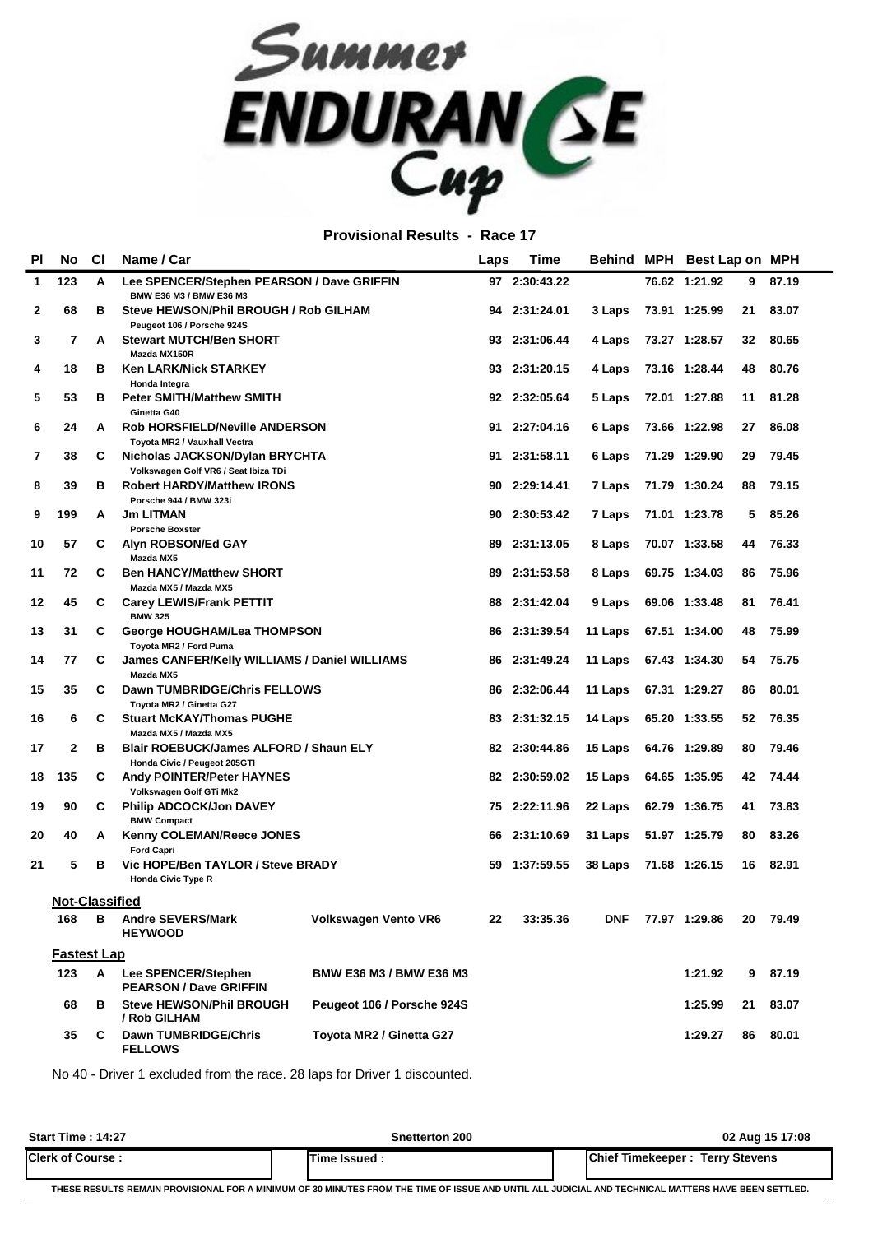

**Provisional Results - Race 17**

| PI           | <b>No</b>             | C1 | Name / Car                                                             |                            | Laps | <b>Time</b>   |         | Behind MPH Best Lap on MPH |    |       |
|--------------|-----------------------|----|------------------------------------------------------------------------|----------------------------|------|---------------|---------|----------------------------|----|-------|
| $\mathbf{1}$ | 123                   | A  | Lee SPENCER/Stephen PEARSON / Dave GRIFFIN<br>BMW E36 M3 / BMW E36 M3  |                            |      | 97 2:30:43.22 |         | 76.62 1:21.92              | 9  | 87.19 |
| $\mathbf{2}$ | 68                    | в  | Steve HEWSON/Phil BROUGH / Rob GILHAM<br>Peugeot 106 / Porsche 924S    |                            |      | 94 2:31:24.01 | 3 Laps  | 73.91 1:25.99              | 21 | 83.07 |
| 3            | 7                     | A  | <b>Stewart MUTCH/Ben SHORT</b><br>Mazda MX150R                         |                            |      | 93 2:31:06.44 | 4 Laps  | 73.27 1:28.57              | 32 | 80.65 |
| 4            | 18                    | в  | <b>Ken LARK/Nick STARKEY</b><br>Honda Integra                          |                            |      | 93 2:31:20.15 | 4 Laps  | 73.16 1:28.44              | 48 | 80.76 |
| 5            | 53                    | в  | <b>Peter SMITH/Matthew SMITH</b><br>Ginetta G40                        |                            |      | 92 2:32:05.64 | 5 Laps  | 72.01 1:27.88              | 11 | 81.28 |
| 6            | 24                    | A  | <b>Rob HORSFIELD/Neville ANDERSON</b><br>Toyota MR2 / Vauxhall Vectra  |                            | 91   | 2:27:04.16    | 6 Laps  | 73.66 1:22.98              | 27 | 86.08 |
| 7            | 38                    | C  | Nicholas JACKSON/Dylan BRYCHTA<br>Volkswagen Golf VR6 / Seat Ibiza TDi |                            |      | 91 2:31:58.11 | 6 Laps  | 71.29 1:29.90              | 29 | 79.45 |
| 8            | 39                    | в  | <b>Robert HARDY/Matthew IRONS</b><br>Porsche 944 / BMW 323i            |                            | 90   | 2:29:14.41    | 7 Laps  | 71.79 1:30.24              | 88 | 79.15 |
| 9            | 199                   | А  | <b>Jm LITMAN</b><br><b>Porsche Boxster</b>                             |                            | 90   | 2:30:53.42    | 7 Laps  | 71.01 1:23.78              | 5  | 85.26 |
| 10           | 57                    | C  | Alyn ROBSON/Ed GAY<br>Mazda MX5                                        |                            |      | 89 2:31:13.05 | 8 Laps  | 70.07 1:33.58              | 44 | 76.33 |
| 11           | 72                    | C  | <b>Ben HANCY/Matthew SHORT</b><br>Mazda MX5 / Mazda MX5                |                            | 89   | 2:31:53.58    | 8 Laps  | 69.75 1:34.03              | 86 | 75.96 |
| 12           | 45                    | C  | <b>Carey LEWIS/Frank PETTIT</b><br><b>BMW 325</b>                      |                            | 88   | 2:31:42.04    | 9 Laps  | 69.06 1:33.48              | 81 | 76.41 |
| 13           | 31                    | C  | George HOUGHAM/Lea THOMPSON<br>Toyota MR2 / Ford Puma                  |                            |      | 86 2:31:39.54 | 11 Laps | 67.51 1:34.00              | 48 | 75.99 |
| 14           | 77                    | C  | James CANFER/Kelly WILLIAMS / Daniel WILLIAMS<br>Mazda MX5             |                            | 86   | 2:31:49.24    | 11 Laps | 67.43 1:34.30              | 54 | 75.75 |
| 15           | 35                    | C  | Dawn TUMBRIDGE/Chris FELLOWS<br>Toyota MR2 / Ginetta G27               |                            | 86   | 2:32:06.44    | 11 Laps | 67.31 1:29.27              | 86 | 80.01 |
| 16           | 6                     | C  | <b>Stuart McKAY/Thomas PUGHE</b><br>Mazda MX5 / Mazda MX5              |                            |      | 83 2:31:32.15 | 14 Laps | 65.20 1:33.55              | 52 | 76.35 |
| 17           | $\mathbf{2}$          | в  | Blair ROEBUCK/James ALFORD / Shaun ELY<br>Honda Civic / Peugeot 205GTI |                            |      | 82 2:30:44.86 | 15 Laps | 64.76 1:29.89              | 80 | 79.46 |
| 18           | 135                   | C  | <b>Andy POINTER/Peter HAYNES</b><br>Volkswagen Golf GTi Mk2            |                            |      | 82 2:30:59.02 | 15 Laps | 64.65 1:35.95              | 42 | 74.44 |
| 19           | 90                    | C  | <b>Philip ADCOCK/Jon DAVEY</b><br><b>BMW Compact</b>                   |                            |      | 75 2:22:11.96 | 22 Laps | 62.79 1:36.75              | 41 | 73.83 |
| 20           | 40                    | A  | Kenny COLEMAN/Reece JONES<br><b>Ford Capri</b>                         |                            | 66   | 2:31:10.69    | 31 Laps | 51.97 1:25.79              | 80 | 83.26 |
| 21           | 5                     | в  | Vic HOPE/Ben TAYLOR / Steve BRADY<br><b>Honda Civic Type R</b>         |                            | 59.  | 1:37:59.55    | 38 Laps | 71.68 1:26.15              | 16 | 82.91 |
|              | <b>Not-Classified</b> |    |                                                                        |                            |      |               |         |                            |    |       |
|              | 168                   | в  | <b>Andre SEVERS/Mark</b><br><b>HEYWOOD</b>                             | Volkswagen Vento VR6       | 22   | 33:35.36      | DNF     | 77.97 1:29.86              | 20 | 79.49 |
|              | <b>Fastest Lap</b>    |    |                                                                        |                            |      |               |         |                            |    |       |
|              | 123                   | A  | Lee SPENCER/Stephen<br><b>PEARSON / Dave GRIFFIN</b>                   | BMW E36 M3 / BMW E36 M3    |      |               |         | 1:21.92                    | 9  | 87.19 |
|              | 68                    | в  | <b>Steve HEWSON/Phil BROUGH</b><br>/ Rob GILHAM                        | Peugeot 106 / Porsche 924S |      |               |         | 1:25.99                    | 21 | 83.07 |
|              | 35                    | C  | <b>Dawn TUMBRIDGE/Chris</b><br><b>FELLOWS</b>                          | Toyota MR2 / Ginetta G27   |      |               |         | 1:29.27                    | 86 | 80.01 |

No 40 - Driver 1 excluded from the race. 28 laps for Driver 1 discounted.

| <b>Start Time: 14:27</b> | Snetterton 200 | 02 Aug 15 17:08                 |
|--------------------------|----------------|---------------------------------|
| <b>Clerk of Course:</b>  | Time Issued.   | Chief Timekeeper: Terry Stevens |

**THESE RESULTS REMAIN PROVISIONAL FOR A MINIMUM OF 30 MINUTES FROM THE TIME OF ISSUE AND UNTIL ALL JUDICIAL AND TECHNICAL MATTERS HAVE BEEN SETTLED.**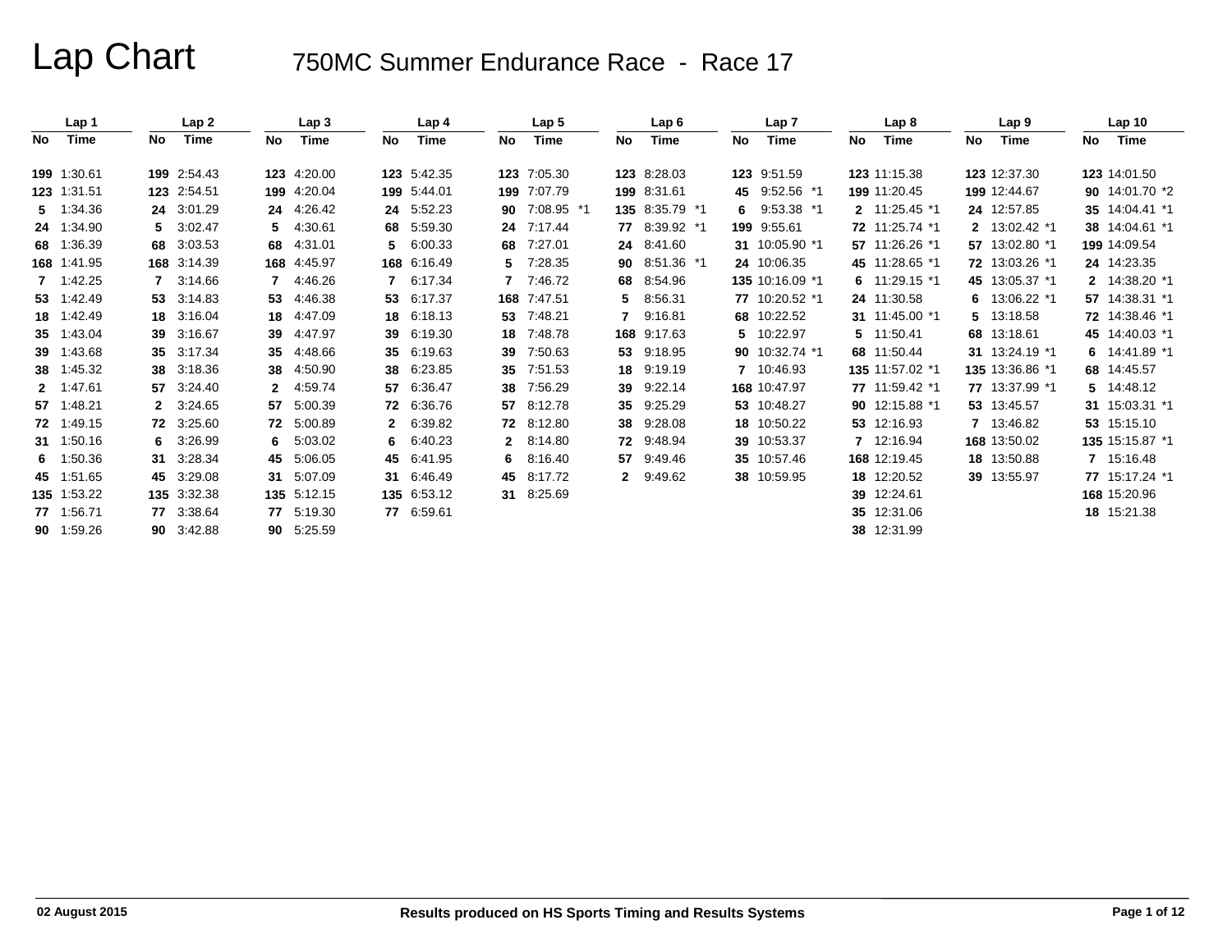|     | Lap 1       |    | Lap2        |     | Lap 3       |    | Lap 4       |              | Lap <sub>5</sub> |     | Lap6           |    | Lap <sub>7</sub> |     | Lap 8           |    | Lap <sub>9</sub> |     | Lap <sub>10</sub> |
|-----|-------------|----|-------------|-----|-------------|----|-------------|--------------|------------------|-----|----------------|----|------------------|-----|-----------------|----|------------------|-----|-------------------|
| No. | Time        | No | Time        | No. | Time        | No | Time        | No.          | Time             | No. | Time           | No | Time             | No. | Time            | No | Time             | No. | Time              |
|     |             |    |             |     |             |    |             |              |                  |     |                |    |                  |     |                 |    |                  |     |                   |
|     | 199 1:30.61 |    | 199 2:54.43 |     | 123 4:20.00 |    | 123 5:42.35 |              | 123 7:05.30      |     | 123 8:28.03    |    | 123 9:51.59      |     | 123 11:15.38    |    | 123 12:37.30     |     | 123 14:01.50      |
|     | 123 1:31.51 |    | 123 2:54.51 |     | 199 4:20.04 |    | 199 5:44.01 |              | 199 7:07.79      |     | 199 8:31.61    |    | 45 9:52.56 *1    |     | 199 11:20.45    |    | 199 12:44.67     |     | 90 14:01.70 *2    |
|     | 5 1:34.36   |    | 24 3:01.29  | 24  | 4:26.42     | 24 | 5:52.23     |              | 90 7:08.95 *1    |     | 135 8:35.79 *1 |    | 6 $9:53.38*1$    |     | 2 11:25.45 *1   |    | 24 12:57.85      |     | 35 14:04.41 *1    |
|     | 24 1:34.90  |    | 5 3:02.47   | 5.  | 4:30.61     | 68 | 5:59.30     | 24           | 7:17.44          |     | 77 8:39.92 *1  |    | 199 9:55.61      |     | 72 11:25.74 *1  |    | 2 13:02.42 *1    |     | 38 14:04.61 *1    |
|     | 68 1:36.39  |    | 68 3:03.53  | 68  | 4:31.01     | 5. | 6:00.33     |              | 68 7:27.01       |     | 24 8:41.60     |    | 31 10:05.90 *1   |     | 57 11:26.26 *1  |    | 57 13:02.80 *1   |     | 199 14:09.54      |
|     | 168 1:41.95 |    | 168 3:14.39 |     | 168 4:45.97 |    | 168 6:16.49 | 5.           | 7:28.35          |     | 90 8:51.36 *1  |    | 24 10:06.35      |     | 45 11:28.65 *1  |    | 72 13:03.26 *1   |     | 24 14:23.35       |
|     | 7 1:42.25   |    | 3:14.66     | 7   | 4:46.26     | 7  | 6:17.34     | 7            | 7:46.72          | 68  | 8:54.96        |    | 135 10:16.09 *1  |     | 6 $11:29.15*1$  |    | 45 13:05.37 *1   |     | 2 14:38.20 *1     |
|     | 53 1:42.49  |    | 53 3:14.83  | 53  | 4:46.38     | 53 | 6:17.37     |              | 168 7:47.51      | 5.  | 8:56.31        |    | 77 10:20.52 *1   |     | 24 11:30.58     | 6  | 13:06.22 *1      |     | 57 14:38.31 *1    |
|     | 18 1:42.49  |    | 18 3:16.04  |     | 18 4:47.09  | 18 | 6:18.13     |              | 53 7:48.21       |     | 7 9:16.81      |    | 68 10:22.52      |     | 31 11:45.00 *1  | 5. | 13:18.58         |     | 72 14:38.46 *1    |
|     | 35 1:43.04  |    | 39 3:16.67  | 39  | 4:47.97     | 39 | 6:19.30     |              | 18 7:48.78       |     | 168 9:17.63    |    | 5 10:22.97       |     | 5 11:50.41      |    | 68 13:18.61      |     | 45 14:40.03 *1    |
|     | 39 1:43.68  |    | 35 3:17.34  | 35  | 4:48.66     | 35 | 6:19.63     | 39           | 7:50.63          |     | 53 9:18.95     |    | 90 10:32.74 *1   |     | 68 11:50.44     |    | 31 13:24.19 *1   |     | 6 $14:41.89$ *1   |
|     | 38 1:45.32  |    | 38 3:18.36  | 38  | 4:50.90     | 38 | 6:23.85     |              | 35 7:51.53       | 18  | 9:19.19        |    | 7 10:46.93       |     | 135 11:57.02 *1 |    | 135 13:36.86 *1  |     | 68 14:45.57       |
|     | 2 1:47.61   |    | 57 3:24.40  | 2   | 4:59.74     | 57 | 6:36.47     | 38           | 7:56.29          | 39  | 9:22.14        |    | 168 10:47.97     |     | 77 11:59.42 *1  |    | 77 13:37.99 *1   |     | 5 14:48.12        |
|     | 57 1:48.21  |    | 2 3:24.65   | 57  | 5:00.39     | 72 | 6:36.76     | 57           | 8:12.78          | 35  | 9:25.29        |    | 53 10:48.27      |     | 90 12:15.88 *1  |    | 53 13:45.57      |     | 31 15:03.31 *1    |
|     | 72 1:49.15  |    | 72 3:25.60  | 72  | 5:00.89     |    | 6:39.82     |              | 72 8:12.80       | 38  | 9:28.08        |    | 18 10:50.22      |     | 53 12:16.93     |    | 7 13:46.82       |     | 53 15:15.10       |
|     | 31 1:50.16  | 6. | 3:26.99     | 6.  | 5:03.02     | 6  | 6:40.23     | $\mathbf{2}$ | 8:14.80          |     | 72 9:48.94     |    | 39 10:53.37      |     | 7 12:16.94      |    | 168 13:50.02     |     | 135 15:15.87 *1   |
|     | 6 1:50.36   | 31 | 3:28.34     | 45  | 5:06.05     | 45 | 6:41.95     | 6.           | 8:16.40          | 57  | 9:49.46        |    | 35 10:57.46      |     | 168 12:19.45    |    | 18 13:50.88      |     | 7 15:16.48        |
|     | 45 1:51.65  |    | 45 3:29.08  | 31  | 5:07.09     | 31 | 6:46.49     |              | 45 8:17.72       |     | 2 9:49.62      |    | 38 10:59.95      |     | 18 12:20.52     |    | 39 13:55.97      |     | 77 15:17.24 *1    |
|     | 135 1:53.22 |    | 135 3:32.38 |     | 135 5:12.15 |    | 135 6:53.12 |              | 31 8:25.69       |     |                |    |                  | 39  | 12:24.61        |    |                  |     | 168 15:20.96      |
|     | 77 1:56.71  |    | 77 3:38.64  |     | 77 5:19.30  |    | 77 6:59.61  |              |                  |     |                |    |                  |     | 35 12:31.06     |    |                  |     | 18 15:21.38       |
|     | 90 1:59.26  |    | 90 3:42.88  |     | 90 5:25.59  |    |             |              |                  |     |                |    |                  |     | 38 12:31.99     |    |                  |     |                   |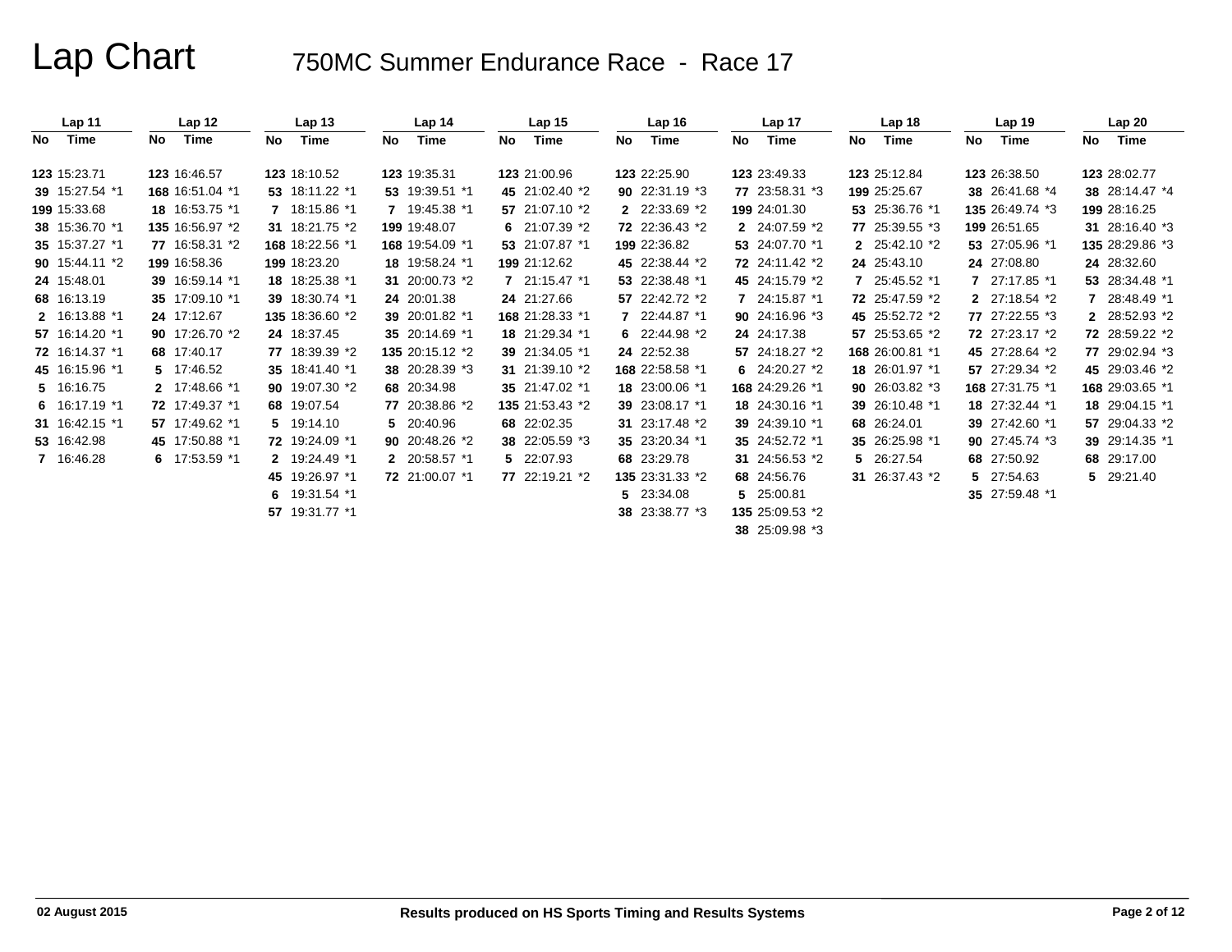|      | Lap <sub>11</sub> |    | Lap <sub>12</sub> |     | Lap <sub>13</sub> |     | Lap <sub>14</sub> |     | Lap <sub>15</sub> |     | Lap <sub>16</sub> |    | Lap 17          |     | Lap <sub>18</sub>       |     | Lap 19          |    | Lap20           |
|------|-------------------|----|-------------------|-----|-------------------|-----|-------------------|-----|-------------------|-----|-------------------|----|-----------------|-----|-------------------------|-----|-----------------|----|-----------------|
| No l | Time              | No | Time              | No. | Time              | No. | Time              | No. | Time              | No. | Time              | No | Time            | No. | Time                    | No. | Time            | No | Time            |
|      | 123 15:23.71      |    | 123 16:46.57      |     | 123 18:10.52      |     | 123 19:35.31      |     | 123 21:00.96      |     | 123 22:25.90      |    | 123 23:49.33    |     | 123 25:12.84            |     | 123 26:38.50    |    | 123 28:02.77    |
|      | 39 15:27.54 *1    |    | 168 16:51.04 *1   |     | 53 18:11.22 *1    |     | 53 19:39.51 *1    |     | 45 21:02.40 *2    |     | 90 22:31.19 *3    |    | 77 23:58.31 *3  |     | 199 25:25.67            |     | 38 26:41.68 *4  |    | 38 28:14.47 *4  |
|      | 199 15:33.68      |    | 18 16:53.75 *1    |     | 7 18:15.86 *1     |     | 7 19:45.38 *1     |     | 57 21:07.10 *2    |     | 2 22:33.69 *2     |    | 199 24:01.30    |     | 53 25:36.76 *1          |     | 135 26:49.74 *3 |    | 199 28:16.25    |
|      | 38 15:36.70 *1    |    | 135 16:56.97 *2   |     | 31 18:21.75 *2    |     | 199 19:48.07      |     | 6 $21:07.39$ *2   |     | 72 22:36.43 *2    |    | 2 24:07.59 *2   |     | 77 25:39.55 *3          |     | 199 26:51.65    |    | 31 28:16.40 *3  |
|      | 35 15:37.27 *1    |    | 77 16:58.31 *2    |     | 168 18:22.56 *1   |     | 168 19:54.09 *1   |     | 53 21:07.87 *1    |     | 199 22:36.82      |    | 53 24:07.70 *1  |     | 2 25:42.10 *2           |     | 53 27:05.96 *1  |    | 135 28:29.86 *3 |
|      | 90 15:44.11 *2    |    | 199 16:58.36      |     | 199 18:23.20      |     | 18 19:58.24 *1    |     | 199 21:12.62      |     | 45 22:38.44 *2    |    | 72 24:11.42 *2  |     | 24 25:43.10             |     | 24 27:08.80     |    | 24 28:32.60     |
|      | 24 15:48.01       |    | 39 16:59.14 *1    |     | 18 18:25.38 *1    |     | 31 20:00.73 *2    |     | $721:15.47*1$     |     | 53 22:38.48 *1    |    | 45 24:15.79 *2  |     | 7 25:45.52 *1           |     | 7 27:17.85 *1   |    | 53 28:34.48 *1  |
|      | 68 16:13.19       |    | 35 17:09.10 *1    |     | 39 18:30.74 *1    |     | 24 20:01.38       |     | 24 21:27.66       |     | 57 22:42.72 *2    |    | 7 24:15.87 *1   |     | 72 25:47.59 *2          |     | 2 27:18.54 *2   |    | 7 28:48.49 *1   |
|      | 2 16:13.88 *1     |    | 24 17:12.67       |     | 135 18:36.60 *2   |     | 39 20:01.82 *1    |     | 168 21:28.33 *1   |     | 7 22:44.87 *1     |    | 90 24:16.96 *3  |     | 45 25:52.72 *2          |     | 77 27:22.55 *3  |    | 2 28:52.93 *2   |
|      | 57 16:14.20 *1    |    | 90 17:26.70 *2    |     | 24 18:37.45       |     | 35 20:14.69 *1    |     | 18 21:29.34 *1    |     | 6 $22:44.98*2$    |    | 24 24:17.38     |     | 57 25:53.65 *2          |     | 72 27:23.17 *2  |    | 72 28:59.22 *2  |
|      | 72 16:14.37 *1    |    | 68 17:40.17       |     | 77 18:39.39 *2    |     | 135 20:15.12 *2   |     | 39 21:34.05 *1    |     | 24 22:52.38       |    | 57 24:18.27 *2  |     | 168 26:00.81 *1         |     | 45 27:28.64 *2  |    | 77 29:02.94 *3  |
|      | 45 16:15.96 *1    |    | 5 17:46.52        |     | 35 18:41.40 *1    |     | 38 20:28.39 *3    |     | 31 21:39.10 *2    |     | 168 22:58.58 *1   |    | 6 $24:20.27*2$  |     | 18 26:01.97 *1          |     | 57 27:29.34 *2  |    | 45 29:03.46 *2  |
|      | 5 16:16.75        |    | 2 17:48.66 *1     |     | 90 19:07.30 *2    |     | 68 20:34.98       |     | 35 21:47.02 *1    |     | 18 23:00.06 *1    |    | 168 24:29.26 *1 |     | <b>90</b> 26:03.82 $*3$ |     | 168 27:31.75 *1 |    | 168 29:03.65 *1 |
|      | 6 $16:17.19$ *1   |    | 72 17:49.37 *1    |     | 68 19:07.54       |     | 77 20:38.86 *2    |     | 135 21:53.43 *2   |     | 39 23:08.17 *1    |    | 18 24:30.16 *1  |     | 39 26:10.48 *1          |     | 18 27:32.44 *1  |    | 18 29:04.15 *1  |
|      | 31 16:42.15 *1    |    | 57 17:49.62 *1    |     | 5 19:14.10        |     | 5 20:40.96        |     | 68 22:02.35       |     | 31 23:17.48 *2    |    | 39 24:39.10 *1  |     | 68 26:24.01             |     | 39 27:42.60 *1  |    | 57 29:04.33 *2  |
|      | 53 16:42.98       |    | 45 17:50.88 *1    |     | 72 19:24.09 *1    |     | 90 20:48.26 *2    |     | 38 22:05.59 *3    |     | 35 23:20.34 *1    |    | 35 24:52.72 *1  |     | 35 26:25.98 *1          |     | 90 27:45.74 *3  |    | 39 29:14.35 *1  |
|      | 7 16:46.28        |    | 6 $17:53.59$ *1   |     | 2 19:24.49 *1     |     | 2 20:58.57 *1     |     | 5 22:07.93        |     | 68 23:29.78       |    | 31 24:56.53 *2  |     | 5 26:27.54              |     | 68 27:50.92     |    | 68 29:17.00     |
|      |                   |    |                   |     | 45 19:26.97 *1    |     | 72 21:00.07 *1    |     | 77 22:19.21 *2    |     | 135 23:31.33 *2   |    | 68 24:56.76     |     | 31 26:37.43 *2          |     | 5 27:54.63      |    | 5 29:21.40      |
|      |                   |    |                   |     | 6 $19:31.54$ *1   |     |                   |     |                   |     | 5 23:34.08        |    | 5 25:00.81      |     |                         |     | 35 27:59.48 *1  |    |                 |
|      |                   |    |                   |     | 57 19:31.77 *1    |     |                   |     |                   |     | 38 23:38.77 *3    |    | 135 25:09.53 *2 |     |                         |     |                 |    |                 |
|      |                   |    |                   |     |                   |     |                   |     |                   |     |                   |    | 38 25:09.98 *3  |     |                         |     |                 |    |                 |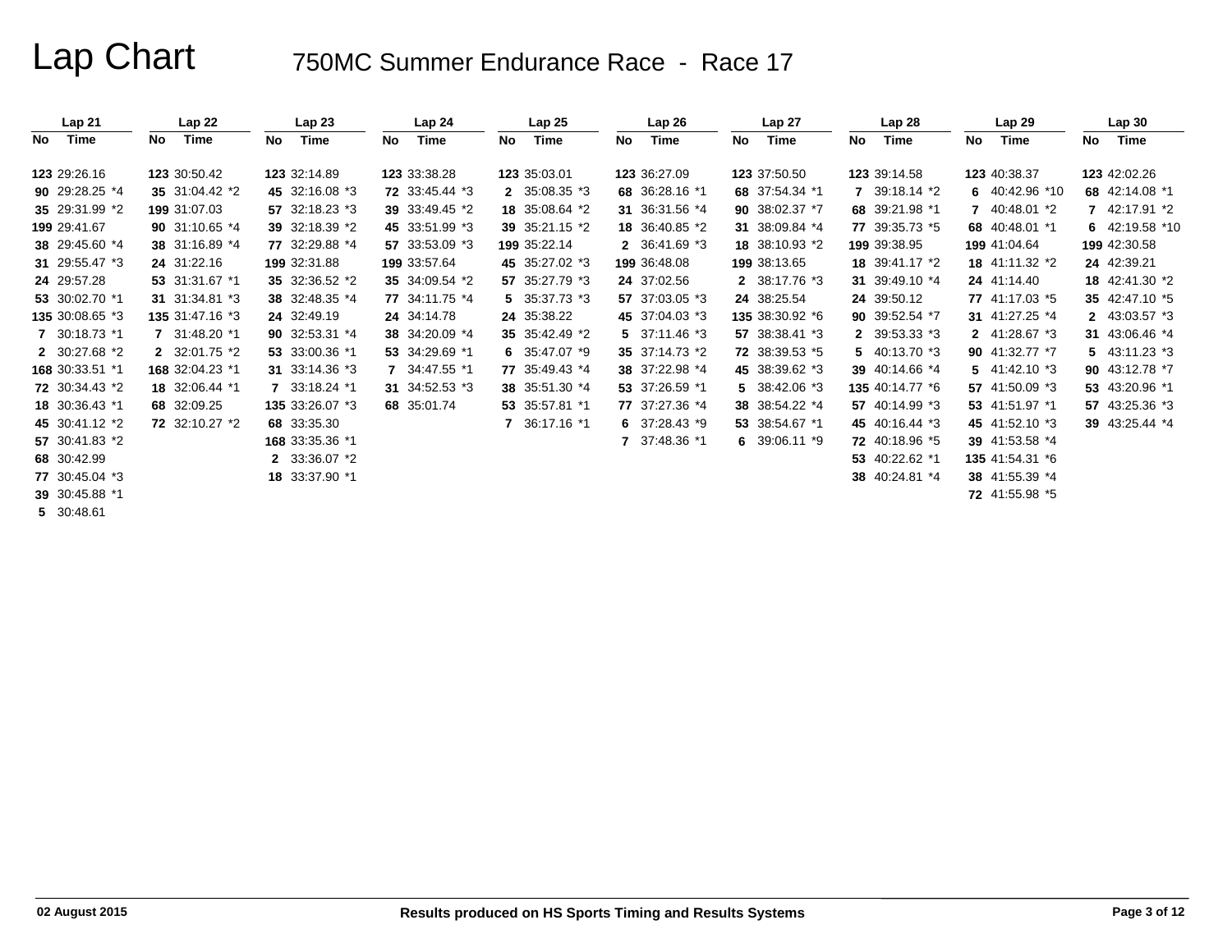| Lap21           |              | Lap22            |    | Lap23           |    | Lap 24         |    | Lap25             |    | Lap26          |    | Lap 27          |    | Lap28           |              | Lap29             |    | Lap30                          |
|-----------------|--------------|------------------|----|-----------------|----|----------------|----|-------------------|----|----------------|----|-----------------|----|-----------------|--------------|-------------------|----|--------------------------------|
| No<br>Time      | No           | Time             | No | Time            | No | Time           | No | Time              | No | Time           | No | Time            | No | Time            | No           | Time              | No | Time                           |
| 123 29:26.16    | 123 30:50.42 |                  |    | 123 32:14.89    |    | 123 33:38.28   |    | 123 35:03.01      |    | 123 36:27.09   |    | 123 37:50.50    |    | 123 39:14.58    |              | 123 40:38.37      |    | 123 42:02.26                   |
| 90 29:28.25 *4  |              | 35 31:04.42 *2   |    | 45 32:16.08 *3  |    | 72 33:45.44 *3 |    | 2 35:08.35 *3     |    | 68 36:28.16 *1 |    | 68 37:54.34 *1  |    | 7 39:18.14 *2   |              | 6 40:42.96 *10    |    | 68 42:14.08 *1                 |
| 35 29:31.99 *2  | 199 31:07.03 |                  |    | 57 32:18.23 *3  |    | 39 33:49.45 *2 |    | 18 35:08.64 *2    |    | 31 36:31.56 *4 |    | 90 38:02.37 *7  |    | 68 39:21.98 *1  | $\mathbf{7}$ | 40:48.01 *2       |    | 7 42:17.91 *2                  |
| 199 29:41.67    |              | 90 $31:10.65$ *4 |    | 39 32:18.39 *2  |    | 45 33:51.99 *3 |    | 39 35:21.15 *2    |    | 18 36:40.85 *2 |    | 31 38:09.84 *4  |    | 77 39:35.73 *5  |              | 68 40:48.01 *1    |    | 6 42:19.58 *10                 |
| 38 29:45.60 *4  |              | 38 31:16.89 *4   |    | 77 32:29.88 *4  |    | 57 33:53.09 *3 |    | 199 35:22.14      |    | 2 36:41.69 *3  |    | 18 38:10.93 *2  |    | 199 39:38.95    |              | 199 41:04.64      |    | 199 42:30.58                   |
| 31 29:55.47 *3  | 24 31:22.16  |                  |    | 199 32:31.88    |    | 199 33:57.64   |    | 45 35:27.02 *3    |    | 199 36:48.08   |    | 199 38:13.65    |    | 18 39:41.17 *2  |              | 18 41:11.32 *2    |    | 24 42:39.21                    |
| 24 29:57.28     |              | 53 31:31.67 *1   |    | 35 32:36.52 *2  |    | 35 34:09.54 *2 |    | 57 35:27.79 *3    |    | 24 37:02.56    |    | 2 38:17.76 *3   |    | 31 39:49.10 *4  |              | 24 41:14.40       |    | 18 42:41.30 *2                 |
| 53 30:02.70 *1  |              | 31 31:34.81 *3   |    | 38 32:48.35 *4  |    | 77 34:11.75 *4 |    | $5$ 35:37.73 $*3$ |    | 57 37:03.05 *3 |    | 24 38:25.54     |    | 24 39:50.12     |              | 77 41:17.03 *5    |    | 35 42:47.10 *5                 |
| 135 30:08.65 *3 |              | 135 31:47.16 *3  |    | 24 32:49.19     |    | 24 34:14.78    |    | 24 35:38.22       |    | 45 37:04.03 *3 |    | 135 38:30.92 *6 |    | 90 39:52.54 *7  |              | 31 41:27.25 *4    |    | 2 $43:03.57*3$                 |
| 7 30:18.73 *1   |              | 7 31:48.20 *1    |    | 90 32:53.31 *4  |    | 38 34:20.09 *4 |    | 35 35:42.49 *2    |    | 5 $37:11.46*3$ |    | 57 38:38.41 *3  |    | 2 39:53.33 *3   |              | 2 41:28.67 *3     |    | 31 43:06.46 *4                 |
| 2 30:27.68 *2   |              | 2 32:01.75 *2    |    | 53 33:00.36 *1  |    | 53 34:29.69 *1 |    | 6 $35:47.07*9$    |    | 35 37:14.73 *2 |    | 72 38:39.53 *5  |    | 5 $40:13.70*3$  |              | 90 41:32.77 *7    |    | $5\quad 43:11.23\text{ }^{*}3$ |
| 168 30:33.51 *1 |              | 168 32:04.23 *1  |    | 31 33:14.36 *3  |    | 7 34:47.55 *1  |    | 77 35:49.43 *4    |    | 38 37:22.98 *4 |    | 45 38:39.62 *3  |    | 39 40:14.66 *4  |              | $5$ 41:42.10 $*3$ |    | 90 43:12.78 *7                 |
| 72 30:34.43 *2  |              | 18 32:06.44 *1   |    | 7 33:18.24 *1   |    | 31 34:52.53 *3 |    | 38 35:51.30 *4    |    | 53 37:26.59 *1 |    | 5 $38:42.06*3$  |    | 135 40:14.77 *6 |              | 57 41:50.09 *3    |    | 53 43:20.96 *1                 |
| 18 30:36.43 *1  | 68 32:09.25  |                  |    | 135 33:26.07 *3 |    | 68 35:01.74    |    | 53 35:57.81 *1    |    | 77 37:27.36 *4 |    | 38 38:54.22 *4  |    | 57 40:14.99 *3  |              | 53 41:51.97 *1    |    | 57 43:25.36 *3                 |
| 45 30:41.12 *2  |              | 72 32:10.27 *2   |    | 68 33:35.30     |    |                |    | 7 36:17.16 *1     |    | 6 $37:28.43*9$ |    | 53 38:54.67 *1  |    | 45 40:16.44 *3  |              | 45 41:52.10 *3    |    | 39 43:25.44 *4                 |
| 57 30:41.83 *2  |              |                  |    | 168 33:35.36 *1 |    |                |    |                   |    | 7 37:48.36 *1  |    | 6 $39:06.11*9$  |    | 72 40:18.96 *5  |              | 39 41:53.58 *4    |    |                                |
| 68 30:42.99     |              |                  |    | 2 33:36.07 *2   |    |                |    |                   |    |                |    |                 |    | 53 40:22.62 *1  |              | 135 41:54.31 *6   |    |                                |
| 77 30:45.04 *3  |              |                  |    | 18 33:37.90 *1  |    |                |    |                   |    |                |    |                 |    | 38 40:24.81 *4  |              | 38 41:55.39 *4    |    |                                |
| 39 30:45.88 *1  |              |                  |    |                 |    |                |    |                   |    |                |    |                 |    |                 |              | 72 41:55.98 *5    |    |                                |
| 5 30:48.61      |              |                  |    |                 |    |                |    |                   |    |                |    |                 |    |                 |              |                   |    |                                |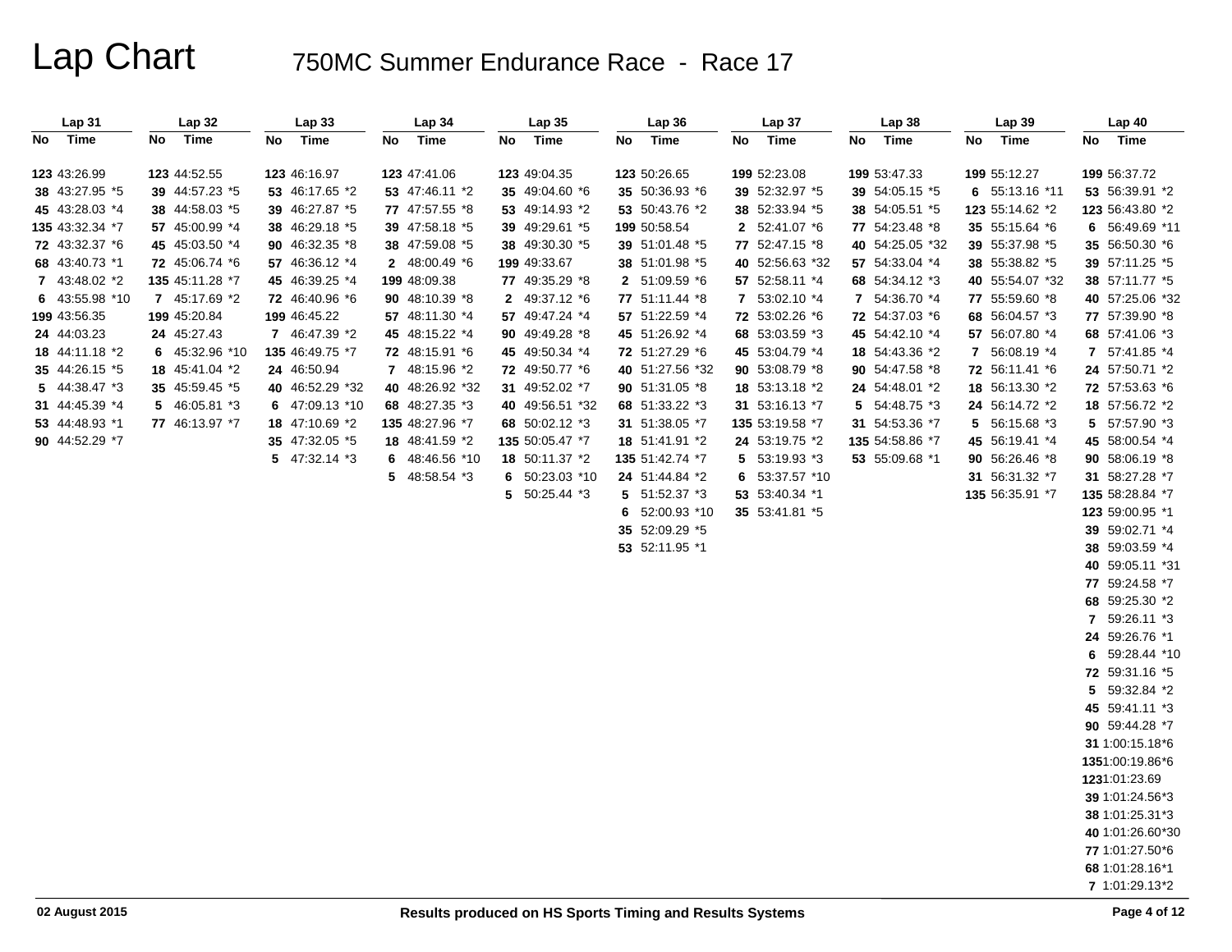| Lap <sub>31</sub> | <b>Lap 32</b>   | Lap 33          | Lap 34          | Lap35           | Lap36           | Lap 37          | Lap38           | Lap39           | Lap 40                          |
|-------------------|-----------------|-----------------|-----------------|-----------------|-----------------|-----------------|-----------------|-----------------|---------------------------------|
| Time<br>No l      | No Time         | Time<br>No      | No<br>Time      | No<br>Time      | Time<br>No      | No<br>Time      | No<br>Time      | No<br>Time      | No Time                         |
| 123 43:26.99      | 123 44:52.55    | 123 46:16.97    | 123 47:41.06    | 123 49:04.35    | 123 50:26.65    | 199 52:23.08    | 199 53:47.33    | 199 55:12.27    | 199 56:37.72                    |
| 38 43:27.95 *5    | 39 44:57.23 *5  | 53 46:17.65 *2  | 53 47:46.11 *2  | 35 49:04.60 *6  | 35 50:36.93 *6  | 39 52:32.97 *5  | 39 54:05.15 *5  | 6 55:13.16 *11  | 53 56:39.91 *2                  |
| 45 43:28.03 *4    | 38 44:58.03 *5  | 39 46:27.87 *5  | 77 47:57.55 *8  | 53 49:14.93 *2  | 53 50:43.76 *2  | 38 52:33.94 *5  | 38 54:05.51 *5  | 123 55:14.62 *2 | 123 56:43.80 *2                 |
| 135 43:32.34 *7   | 57 45:00.99 *4  | 38 46:29.18 *5  | 39 47:58.18 *5  | 39 49:29.61 *5  | 199 50:58.54    | 2 52:41.07 *6   | 77 54:23.48 *8  | 35 55:15.64 *6  | 6 56:49.69 *11                  |
| 72 43:32.37 *6    | 45 45:03.50 *4  | 90 46:32.35 *8  | 38 47:59.08 *5  | 38 49:30.30 *5  | 39 51:01.48 *5  | 77 52:47.15 *8  | 40 54:25.05 *32 | 39 55:37.98 *5  | 35 56:50.30 *6                  |
| 68 43:40.73 *1    | 72 45:06.74 *6  | 57 46:36.12 *4  | 2 48:00.49 *6   | 199 49:33.67    | 38 51:01.98 *5  | 40 52:56.63 *32 | 57 54:33.04 *4  | 38 55:38.82 *5  | 39 57:11.25 *5                  |
| 7 43:48.02 *2     | 135 45:11.28 *7 | 45 46:39.25 *4  | 199 48:09.38    | 77 49:35.29 *8  | 2 51:09.59 *6   | 57 52:58.11 *4  | 68 54:34.12 *3  | 40 55:54.07 *32 | 38 57:11.77 *5                  |
| 6 43:55.98 *10    | 7 45:17.69 *2   | 72 46:40.96 *6  | 90 48:10.39 *8  | 2 49:37.12 *6   | 77 51:11.44 *8  | 7 53:02.10 *4   | 7 54:36.70 *4   | 77 55:59.60 *8  | 40 57:25.06 *32                 |
| 199 43:56.35      | 199 45:20.84    | 199 46:45.22    | 57 48:11.30 *4  | 57 49:47.24 *4  | 57 51:22.59 *4  | 72 53:02.26 *6  | 72 54:37.03 *6  | 68 56:04.57 *3  | 77 57:39.90 *8                  |
| 24 44:03.23       | 24 45:27.43     | 7 46:47.39 *2   | 45 48:15.22 *4  | 90 49:49.28 *8  | 45 51:26.92 *4  | 68 53:03.59 *3  | 45 54:42.10 *4  | 57 56:07.80 *4  | 68 57:41.06 *3                  |
| 18 44:11.18 *2    | 6 45:32.96 *10  | 135 46:49.75 *7 | 72 48:15.91 *6  | 45 49:50.34 *4  | 72 51:27.29 *6  | 45 53:04.79 *4  | 18 54:43.36 *2  | 7 56:08.19 *4   | 7 57:41.85 *4                   |
| 35 44:26.15 *5    | 18 45:41.04 *2  | 24 46:50.94     | 7 48:15.96 *2   | 72 49:50.77 *6  | 40 51:27.56 *32 | 90 53:08.79 *8  | 90 54:47.58 *8  | 72 56:11.41 *6  | 24 57:50.71 *2                  |
| 5 44:38.47 *3     | 35 45:59.45 *5  | 40 46:52.29 *32 | 40 48:26.92 *32 | 31 49:52.02 *7  | 90 51:31.05 *8  | 18 53:13.18 *2  | 24 54:48.01 *2  | 18 56:13.30 *2  | 72 57:53.63 *6                  |
| 31 44:45.39 *4    | 5 46:05.81 *3   | 6 47:09.13 *10  | 68 48:27.35 *3  | 40 49:56.51 *32 | 68 51:33.22 *3  | 31 53:16.13 *7  | 5 54:48.75 *3   | 24 56:14.72 *2  | 18 57:56.72 *2                  |
| 53 44:48.93 *1    | 77 46:13.97 *7  | 18 47:10.69 *2  | 135 48:27.96 *7 | 68 50:02.12 *3  | 31 51:38.05 *7  | 135 53:19.58 *7 | 31 54:53.36 *7  | 5 56:15.68 *3   | 5 57:57.90 *3                   |
| 90 44:52.29 *7    |                 | 35 47:32.05 *5  | 18 48:41.59 *2  | 135 50:05.47 *7 | 18 51:41.91 *2  | 24 53:19.75 *2  | 135 54:58.86 *7 | 45 56:19.41 *4  | 45 58:00.54 *4                  |
|                   |                 | 5 47:32.14 *3   | 6 48:46.56 *10  | 18 50:11.37 *2  | 135 51:42.74 *7 | 5 53:19.93 *3   | 53 55:09.68 *1  | 90 56:26.46 *8  | 90 58:06.19 *8                  |
|                   |                 |                 | 5 48:58.54 *3   | 6 50:23.03 *10  | 24 51:44.84 *2  | 6 53:37.57 *10  |                 | 31 56:31.32 *7  | 31 58:27.28 *7                  |
|                   |                 |                 |                 | 5 50:25.44 *3   | 5 51:52.37 *3   | 53 53:40.34 *1  |                 | 135 56:35.91 *7 | 135 58:28.84 *7                 |
|                   |                 |                 |                 |                 | 6 52:00.93 *10  | 35 53:41.81 *5  |                 |                 | 123 59:00.95 *1                 |
|                   |                 |                 |                 |                 | 35 52:09.29 *5  |                 |                 |                 | 39 59:02.71 *4                  |
|                   |                 |                 |                 |                 | 53 52:11.95 *1  |                 |                 |                 | 38 59:03.59 *4                  |
|                   |                 |                 |                 |                 |                 |                 |                 |                 | 40 59:05.11 *31                 |
|                   |                 |                 |                 |                 |                 |                 |                 |                 | 77 59:24.58 *7                  |
|                   |                 |                 |                 |                 |                 |                 |                 |                 | 68 59:25.30 *2                  |
|                   |                 |                 |                 |                 |                 |                 |                 |                 | 7 59:26.11 *3                   |
|                   |                 |                 |                 |                 |                 |                 |                 |                 | 24 59:26.76 *1                  |
|                   |                 |                 |                 |                 |                 |                 |                 |                 | 6 59:28.44 *10                  |
|                   |                 |                 |                 |                 |                 |                 |                 |                 | 72 59:31.16 *5<br>5 59:32.84 *2 |
|                   |                 |                 |                 |                 |                 |                 |                 |                 | 45 59:41.11 *3                  |
|                   |                 |                 |                 |                 |                 |                 |                 |                 | 90 59:44.28 *7                  |
|                   |                 |                 |                 |                 |                 |                 |                 |                 | 31 1:00:15.18*6                 |
|                   |                 |                 |                 |                 |                 |                 |                 |                 | 1351:00:19.86*6                 |
|                   |                 |                 |                 |                 |                 |                 |                 |                 | 1231:01:23.69                   |
|                   |                 |                 |                 |                 |                 |                 |                 |                 | 39 1:01:24.56*3                 |
|                   |                 |                 |                 |                 |                 |                 |                 |                 | 38 1:01:25.31*3                 |
|                   |                 |                 |                 |                 |                 |                 |                 |                 | 40 1:01:26.60*30                |
|                   |                 |                 |                 |                 |                 |                 |                 |                 | 77 1:01:27.50*6                 |
|                   |                 |                 |                 |                 |                 |                 |                 |                 | 68 1:01:28.16*1                 |
|                   |                 |                 |                 |                 |                 |                 |                 |                 | 7 1:01:29.13*2                  |
|                   |                 |                 |                 |                 |                 |                 |                 |                 |                                 |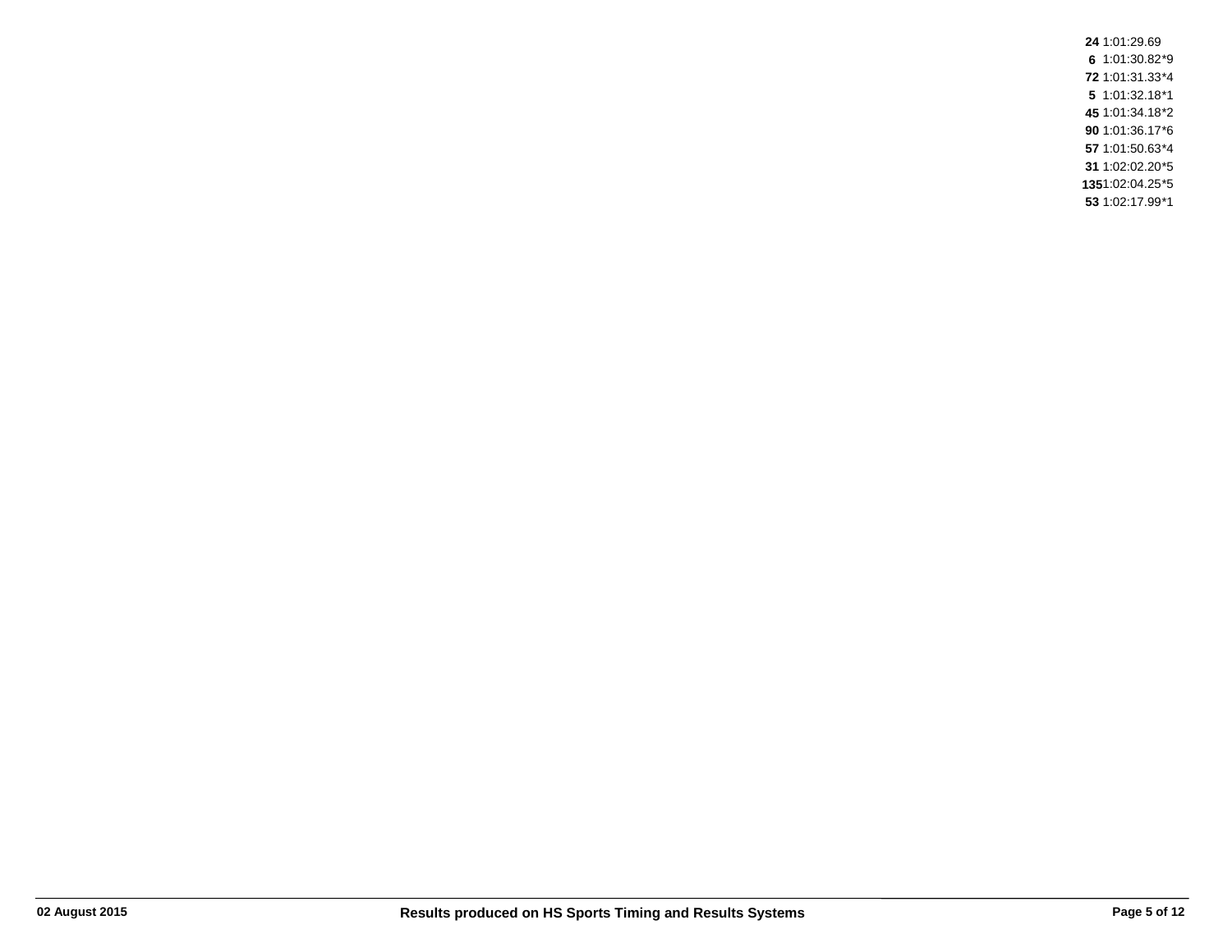1:01:29.69 1:01:30.82\*9 1:01:31.33\*4 1:01:32.18\*1 1:01:34.18\*2 1:01:36.17\*6 1:01:50.63\*4 1:02:02.20\*5 1:02:04.25\*5 1:02:17.99\*1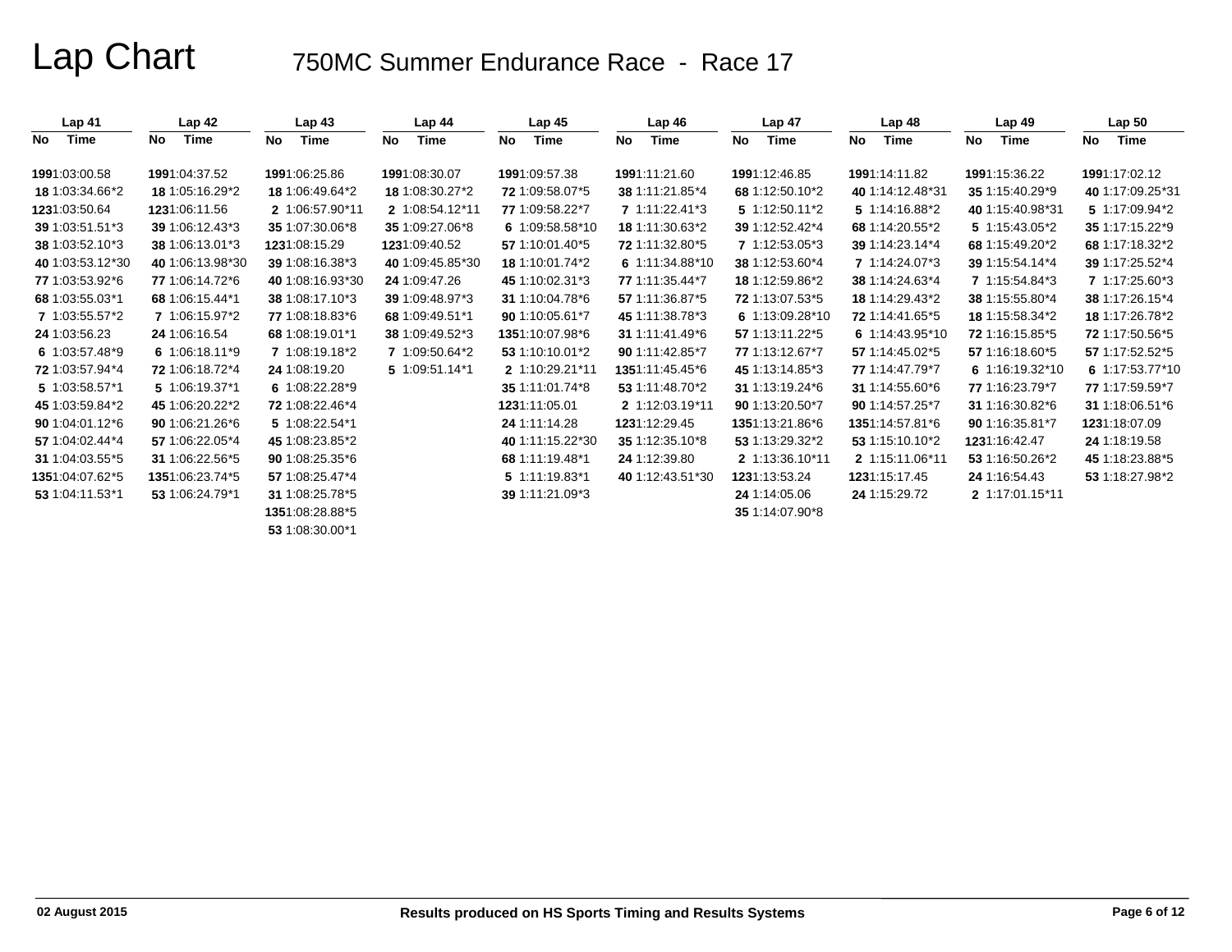| Lap 41           | Lap <sub>42</sub> | Lap <sub>43</sub> | Lap <sub>44</sub> | Lap <sub>45</sub>  | Lap46             | Lap <sub>47</sub> | Lap <sub>48</sub> | Lap <sub>49</sub> | Lap <sub>50</sub> |
|------------------|-------------------|-------------------|-------------------|--------------------|-------------------|-------------------|-------------------|-------------------|-------------------|
| Time<br>No       | <b>Time</b><br>No | <b>Time</b><br>No | <b>Time</b><br>No | <b>Time</b><br>No. | <b>Time</b><br>No | Time<br>No        | Time<br>No        | Time<br>No        | No<br>Time        |
| 1991.03.00.58    | 1991:04:37.52     | 1991:06:25.86     | 1991:08:30.07     | 1991.09.57.38      | 1991:11:21.60     | 1991:12:46.85     | 1991:14:11.82     | 1991:15:36.22     | 1991:17:02.12     |
| 18 1:03:34.66*2  | 18 1:05:16.29*2   | 18 1:06:49.64*2   | 18 1:08:30.27*2   | 72 1:09:58.07*5    | 38 1:11:21.85*4   | 68 1:12:50.10*2   | 40 1:14:12.48*31  | 35 1:15:40.29*9   | 40 1:17:09.25*31  |
| 1231:03:50.64    | 1231:06:11.56     | 2 1:06:57.90*11   | 2 1:08:54.12*11   | 77 1:09:58.22*7    | 7 1:11:22.41*3    | 5 1:12:50.11*2    | 5 1:14:16.88*2    | 40 1:15:40.98*31  | 5 1:17:09.94*2    |
| 39 1:03:51.51*3  | 39 1:06:12.43*3   | 35 1:07:30.06*8   | 35 1:09:27.06*8   | 6 1:09:58.58*10    | 18 1:11:30.63*2   | 39 1:12:52.42*4   | 68 1:14:20.55*2   | 5 1:15:43.05*2    | 35 1:17:15.22*9   |
| 38 1:03:52.10*3  | 38 1:06:13.01*3   | 1231:08:15.29     | 1231:09:40.52     | 57 1:10:01.40*5    | 72 1:11:32.80*5   | 7 1:12:53.05*3    | 39 1:14:23.14*4   | 68 1:15:49.20*2   | 68 1:17:18.32*2   |
| 40 1:03:53.12*30 | 40 1:06:13.98*30  | 39 1:08:16.38*3   | 40 1:09:45.85*30  | 18 1:10:01.74*2    | 6 1:11:34.88*10   | 38 1:12:53.60*4   | 7 1:14:24.07*3    | 39 1:15:54.14*4   | 39 1:17:25.52*4   |
| 77 1:03:53.92*6  | 77 1:06:14.72*6   | 40 1:08:16.93*30  | 24 1:09:47.26     | 45 1:10:02.31*3    | 77 1:11:35.44*7   | 18 1:12:59.86*2   | 38 1:14:24.63*4   | 7 1:15:54.84*3    | 7 1:17:25.60*3    |
| 68 1:03:55.03*1  | 68 1:06:15.44*1   | 38 1:08:17.10*3   | 39 1:09:48.97*3   | 31 1:10:04.78*6    | 57 1:11:36.87*5   | 72 1:13:07.53*5   | 18 1:14:29.43*2   | 38 1:15:55.80*4   | 38 1:17:26.15*4   |
| 7 1:03:55.57*2   | 7 1:06:15.97*2    | 77 1:08:18.83*6   | 68 1:09:49.51*1   | 90 1:10:05.61*7    | 45 1:11:38.78*3   | 6 1:13:09.28*10   | 72 1:14:41.65*5   | 18 1:15:58.34*2   | 18 1:17:26.78*2   |
| 24 1:03:56.23    | 24 1:06:16.54     | 68 1:08:19.01*1   | 38 1:09:49.52*3   | 1351:10:07.98*6    | 31 1:11:41.49*6   | 57 1:13:11.22*5   | 6 1:14:43.95*10   | 72 1:16:15.85*5   | 72 1:17:50.56*5   |
| 6 1:03:57.48*9   | 6 1:06:18.11*9    | 7 1:08:19.18*2    | 7 1:09:50.64*2    | 53 1:10:10.01*2    | 90 1:11:42.85*7   | 77 1:13:12.67*7   | 57 1:14:45.02*5   | 57 1:16:18.60*5   | 57 1:17:52.52*5   |
| 72 1:03:57.94*4  | 72 1:06:18.72*4   | 24 1:08:19.20     | 5 1:09:51.14*1    | 2 1:10:29.21*11    | 1351:11:45.45*6   | 45 1:13:14.85*3   | 77 1:14:47.79*7   | 6 1:16:19.32*10   | 6 1:17:53.77*10   |
| 5 1:03:58.57*1   | 5 1:06:19.37*1    | 6 1:08:22.28*9    |                   | 35 1:11:01.74*8    | 53 1:11:48.70*2   | 31 1:13:19.24*6   | 31 1:14:55.60*6   | 77 1:16:23.79*7   | 77 1:17:59.59*7   |
| 45 1:03:59.84*2  | 45 1:06:20.22*2   | 72 1:08:22.46*4   |                   | 1231:11:05.01      | 2 1:12:03.19*11   | 90 1:13:20.50*7   | 90 1:14:57.25*7   | 31 1:16:30.82*6   | 31 1:18:06.51*6   |
| 90 1:04:01.12*6  | 90 1:06:21.26*6   | 5 1:08:22.54*1    |                   | 24 1:11:14.28      | 1231:12:29.45     | 1351:13:21.86*6   | 1351:14:57.81*6   | 90 1:16:35.81*7   | 1231:18:07.09     |
| 57 1:04:02.44*4  | 57 1:06:22.05*4   | 45 1:08:23.85*2   |                   | 40 1:11:15.22*30   | 35 1:12:35.10*8   | 53 1:13:29.32*2   | 53 1:15:10.10*2   | 1231:16:42.47     | 24 1:18:19.58     |
| 31 1:04:03.55*5  | 31 1:06:22.56*5   | 90 1:08:25.35*6   |                   | 68 1:11:19.48*1    | 24 1:12:39.80     | 2 1:13:36.10*11   | 2 1:15:11.06*11   | 53 1:16:50.26*2   | 45 1:18:23.88*5   |
| 1351:04:07.62*5  | 1351:06:23.74*5   | 57 1:08:25.47*4   |                   | $5 1:11:19.83*1$   | 40 1:12:43.51*30  | 1231.13.53.24     | 1231 15:17.45     | 24 1:16:54.43     | 53 1:18:27.98*2   |
| 53 1:04:11.53*1  | 53 1:06:24.79*1   | 31 1:08:25.78*5   |                   | 39 1:11:21.09*3    |                   | 24 1:14:05.06     | 24 1:15:29.72     | 2 1:17:01.15*11   |                   |
|                  |                   | 1351:08:28.88*5   |                   |                    |                   | 35 1:14:07.90*8   |                   |                   |                   |
|                  |                   | 53 1:08:30.00*1   |                   |                    |                   |                   |                   |                   |                   |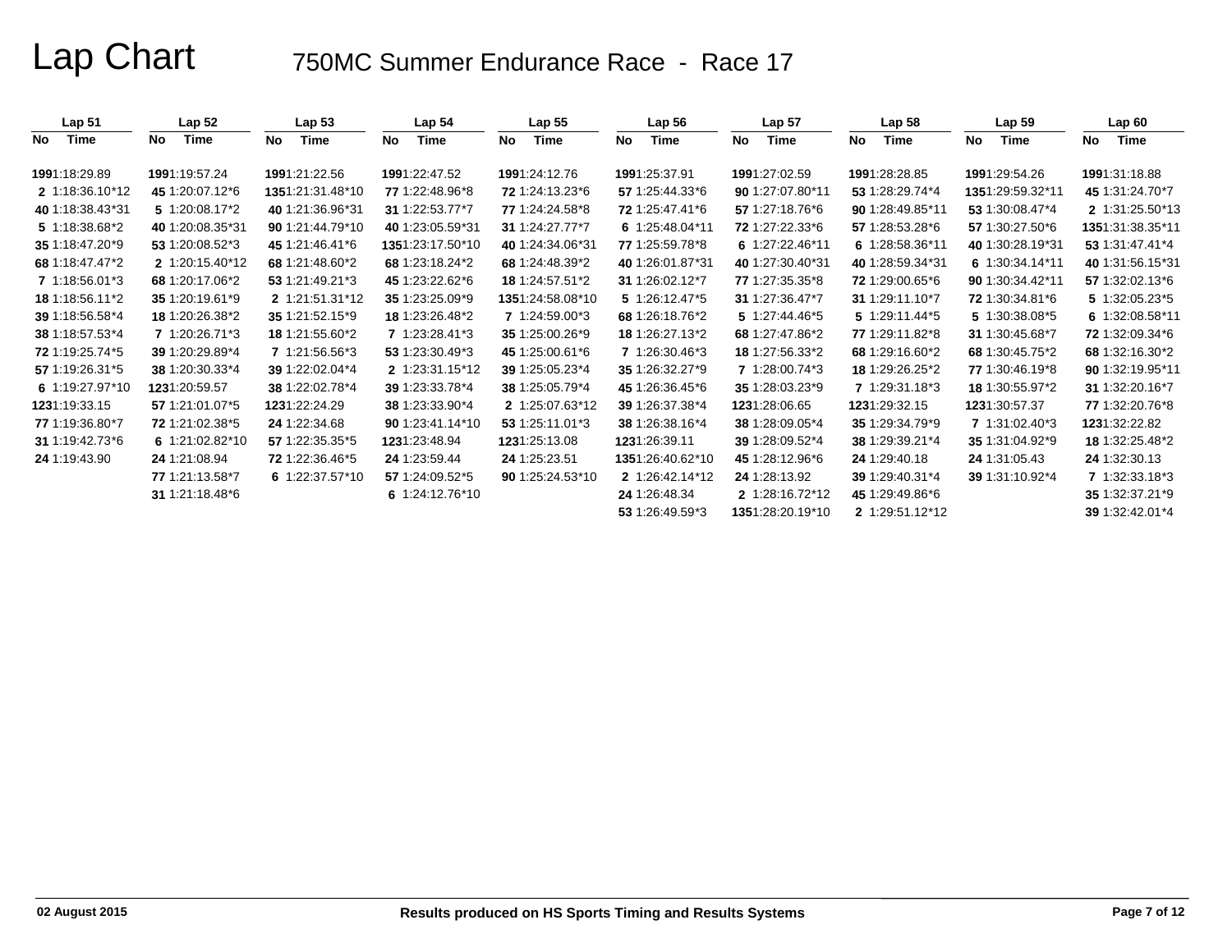| Lap <sub>51</sub> | Lap <sub>52</sub> | Lap <sub>53</sub> | Lap 54           | $Lap$ 55          | Lap 56           | Lap <sub>57</sub> | Lap $58$         | Lap <sub>59</sub> | Lap60             |
|-------------------|-------------------|-------------------|------------------|-------------------|------------------|-------------------|------------------|-------------------|-------------------|
| Time<br>No.       | Time<br>No        | Time<br>No        | Time<br>No       | Time<br><b>No</b> | Time<br>No       | No<br>Time        | Time<br>No       | Time<br>No        | Time<br><b>No</b> |
| 1991:18:29.89     | 1991:19:57.24     | 1991:21:22.56     | 1991:22:47.52    | 1991:24:12.76     | 1991:25:37.91    | 1991:27:02.59     | 1991:28:28.85    | 1991:29:54.26     | 1991:31:18.88     |
| 2 1:18:36.10*12   | 45 1:20:07.12*6   | 1351:21:31.48*10  | 77 1:22:48.96*8  | 72 1:24:13.23*6   | 57 1:25:44.33*6  | 90 1:27:07.80*11  | 53 1:28:29.74*4  | 1351:29:59.32*11  | 45 1:31:24.70*7   |
| 40 1:18:38.43*31  | 5 1:20:08.17*2    | 40 1:21:36.96*31  | 31 1:22:53.77*7  | 77 1:24:24.58*8   | 72 1:25:47.41*6  | 57 1:27:18.76*6   | 90 1:28:49.85*11 | 53 1:30:08.47*4   | 2 1:31:25.50*13   |
| 5 1:18:38.68*2    | 40 1:20:08.35*31  | 90 1:21:44.79*10  | 40 1:23:05.59*31 | 31 1:24:27.77*7   | 6 1:25:48.04*11  | 72 1:27:22.33*6   | 57 1:28:53.28*6  | 57 1:30:27.50*6   | 1351:31:38.35*11  |
| 35 1:18:47.20*9   | 53 1:20:08.52*3   | 45 1:21:46.41*6   | 1351:23:17.50*10 | 40 1:24:34.06*31  | 77 1:25:59.78*8  | 6 1:27:22.46*11   | 6 1:28:58.36*11  | 40 1:30:28.19*31  | 53 1:31:47.41*4   |
| 68 1:18:47.47*2   | 2 1:20:15.40*12   | 68 1:21:48.60*2   | 68 1:23:18.24*2  | 68 1:24:48.39*2   | 40 1:26:01.87*31 | 40 1:27:30.40*31  | 40 1:28:59.34*31 | 6 1:30:34.14*11   | 40 1:31:56.15*31  |
| 7 1:18:56.01*3    | 68 1:20:17.06*2   | 53 1:21:49.21*3   | 45 1:23:22.62*6  | 18 1:24:57.51*2   | 31 1:26:02.12*7  | 77 1:27:35.35*8   | 72 1:29:00.65*6  | 90 1:30:34.42*11  | 57 1:32:02.13*6   |
| 18 1:18:56.11*2   | 35 1:20:19.61*9   | 2 1:21:51.31*12   | 35 1:23:25.09*9  | 1351:24:58.08*10  | 5 1:26:12.47*5   | 31 1:27:36.47*7   | 31 1:29:11.10*7  | 72 1:30:34.81*6   | 5 1:32:05.23*5    |
| 39 1:18:56.58*4   | 18 1:20:26.38*2   | 35 1:21:52.15*9   | 18 1:23:26.48*2  | 7 1:24:59.00*3    | 68 1:26:18.76*2  | 5 1:27:44.46*5    | 5 1:29:11.44*5   | 5 1:30:38.08*5    | 6 1:32:08.58*11   |
| 38 1:18:57.53*4   | 7 1:20:26.71*3    | 18 1:21:55.60*2   | 7 1:23:28.41*3   | 35 1:25:00.26*9   | 18 1:26:27.13*2  | 68 1:27:47.86*2   | 77 1:29:11.82*8  | 31 1:30:45.68*7   | 72 1:32:09.34*6   |
| 72 1:19:25.74*5   | 39 1:20:29.89*4   | 7 1:21:56.56*3    | 53 1:23:30.49*3  | 45 1:25:00.61*6   | 7 1:26:30.46*3   | 18 1:27:56.33*2   | 68 1:29:16.60*2  | 68 1:30:45.75*2   | 68 1:32:16.30*2   |
| 57 1:19:26.31*5   | 38 1:20:30.33*4   | 39 1:22:02.04*4   | 2 1:23:31.15*12  | 39 1:25:05.23*4   | 35 1:26:32.27*9  | 7 1:28:00.74*3    | 18 1:29:26.25*2  | 77 1:30:46.19*8   | 90 1:32:19.95*11  |
| 6 1:19:27.97*10   | 1231:20:59.57     | 38 1:22:02.78*4   | 39 1:23:33.78*4  | 38 1:25:05.79*4   | 45 1:26:36.45*6  | 35 1:28:03.23*9   | 7 1:29:31.18*3   | 18 1:30:55.97*2   | 31 1:32:20.16*7   |
| 1231:19:33.15     | 57 1:21:01.07 * 5 | 1231:22:24.29     | 38 1:23:33.90*4  | 2 1:25:07.63*12   | 39 1:26:37.38*4  | 1231:28:06.65     | 1231.29.32.15    | 1231 30:57.37     | 77 1:32:20.76*8   |
| 77 1:19:36.80*7   | 72 1:21:02.38*5   | 24 1:22:34.68     | 90 1:23:41.14*10 | 53 1:25:11.01*3   | 38 1:26:38.16*4  | 38 1:28:09.05*4   | 35 1:29:34.79*9  | 7 1:31:02.40*3    | 1231:32:22.82     |
| 31 1:19:42.73 * 6 | 6 1:21:02.82*10   | 57 1:22:35.35*5   | 1231:23:48.94    | 1231:25:13.08     | 1231.26.39.11    | 39 1:28:09.52*4   | 38 1:29:39.21*4  | 35 1:31:04.92*9   | 18 1:32:25.48*2   |
| 24 1:19:43.90     | 24 1:21:08.94     | 72 1:22:36.46*5   | 24 1:23:59.44    | 24 1:25:23.51     | 1351:26:40.62*10 | 45 1:28:12.96*6   | 24 1:29:40.18    | 24 1:31:05.43     | 24 1:32:30.13     |
|                   | 77 1:21:13.58*7   | 6 1:22:37.57*10   | 57 1:24:09.52*5  | 90 1:25:24.53*10  | 2 1:26:42.14*12  | 24 1:28:13.92     | 39 1:29:40.31*4  | 39 1:31:10.92*4   | 7 1:32:33.18*3    |
|                   | 31 1:21:18.48*6   |                   | 6 1:24:12.76*10  |                   | 24 1:26:48.34    | 2 1:28:16.72*12   | 45 1:29:49.86*6  |                   | 35 1:32:37.21*9   |
|                   |                   |                   |                  |                   | 53 1:26:49.59*3  | 1351:28:20.19*10  | 2 1:29:51.12*12  |                   | 39 1:32:42.01*4   |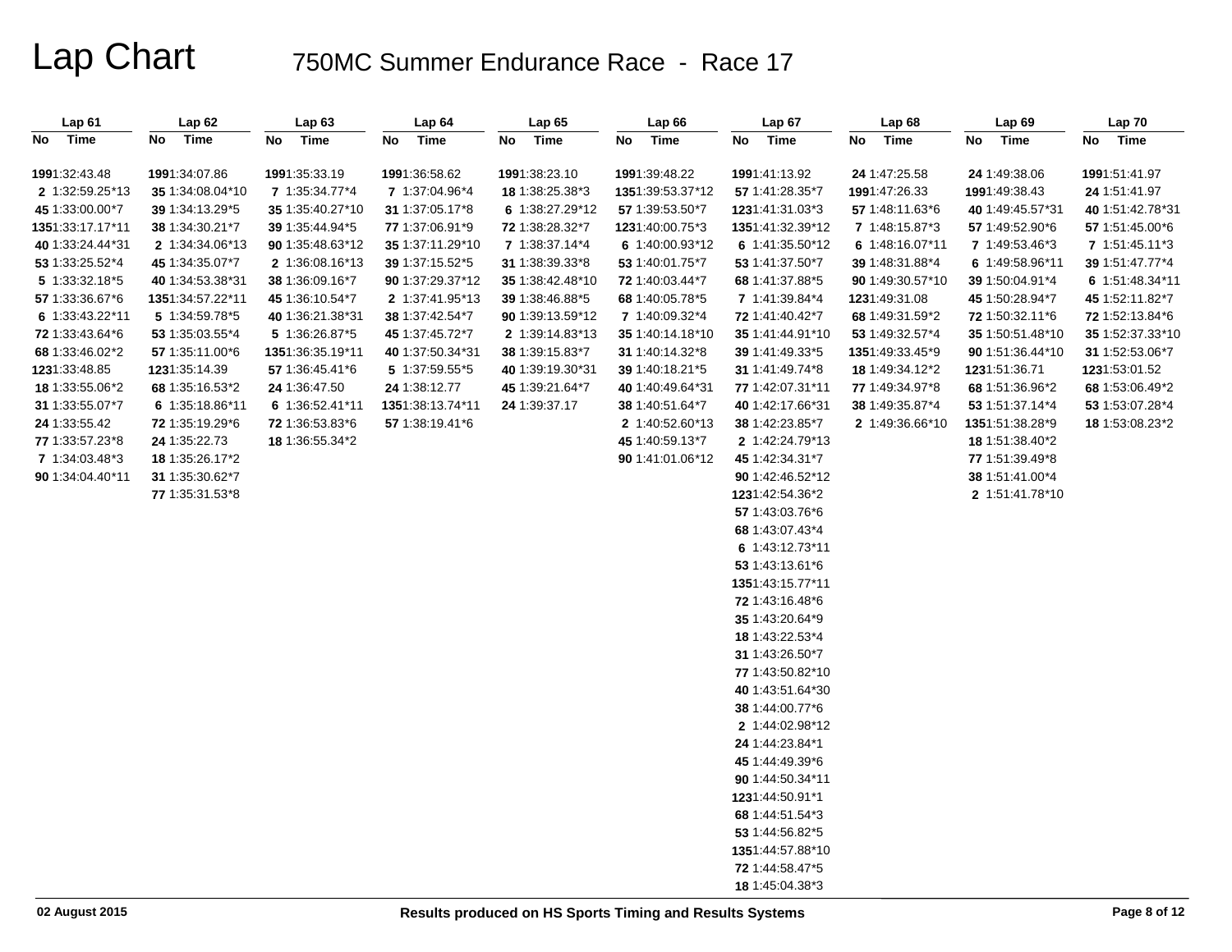| Lap <sub>61</sub> | Lap62            | Lap63            | Lap 64           | Lap65            | Lap 66           | Lap 67           | Lap <sub>68</sub> | Lap <sub>69</sub> | Lap 70            |
|-------------------|------------------|------------------|------------------|------------------|------------------|------------------|-------------------|-------------------|-------------------|
| No<br>Time        | Time<br>No       | Time<br>No       | Time<br>No       | Time<br>No       | No<br>Time       | No<br>Time       | No<br>Time        | No Time           | No Time           |
| 1991:32:43.48     | 1991:34:07.86    | 1991:35:33.19    | 1991:36:58.62    | 1991:38:23.10    | 1991:39:48.22    | 1991:41:13.92    | 24 1:47:25.58     | 24 1:49:38.06     | 1991:51:41.97     |
| 2 1:32:59.25*13   | 35 1:34:08.04*10 | 7 1:35:34.77*4   | 7 1:37:04.96*4   | 18 1:38:25.38*3  | 1351:39:53.37*12 | 57 1:41:28.35*7  | 1991:47:26.33     | 1991:49:38.43     | 24 1:51:41.97     |
| 45 1:33:00.00*7   | 39 1:34:13.29*5  | 35 1:35:40.27*10 | 31 1:37:05.17*8  | 6 1:38:27.29*12  | 57 1:39:53.50*7  | 1231:41:31.03*3  | 57 1:48:11.63*6   | 40 1:49:45.57*31  | 40 1:51:42.78*31  |
| 1351:33:17.17*11  | 38 1:34:30.21*7  | 39 1:35:44.94*5  | 77 1:37:06.91*9  | 72 1:38:28.32*7  | 1231:40:00.75*3  | 1351:41:32.39*12 | 7 1:48:15.87*3    | 57 1:49:52.90*6   | 57 1:51:45.00 * 6 |
| 40 1:33:24.44*31  | 2 1:34:34.06*13  | 90 1:35:48.63*12 | 35 1:37:11.29*10 | 7 1:38:37.14*4   | 6 1:40:00.93*12  | 6 1:41:35.50*12  | 6 1:48:16.07*11   | 7 1:49:53.46*3    | 7 1:51:45.11*3    |
| 53 1:33:25.52*4   | 45 1:34:35.07*7  | 2 1:36:08.16*13  | 39 1:37:15.52*5  | 31 1:38:39.33*8  | 53 1:40:01.75*7  | 53 1:41:37.50*7  | 39 1:48:31.88*4   | 6 1:49:58.96*11   | 39 1:51:47.77*4   |
| 5 1:33:32.18 * 5  | 40 1:34:53.38*31 | 38 1:36:09.16*7  | 90 1:37:29.37*12 | 35 1:38:42.48*10 | 72 1:40:03.44*7  | 68 1:41:37.88*5  | 90 1:49:30.57*10  | 39 1:50:04.91*4   | 6 1:51:48.34*11   |
| 57 1:33:36.67*6   | 1351:34:57.22*11 | 45 1:36:10.54*7  | 2 1:37:41.95*13  | 39 1:38:46.88*5  | 68 1:40:05.78*5  | 7 1:41:39.84*4   | 1231:49:31.08     | 45 1:50:28.94*7   | 45 1:52:11.82*7   |
| 6 1:33:43.22*11   | 5 1:34:59.78*5   | 40 1:36:21.38*31 | 38 1:37:42.54*7  | 90 1:39:13.59*12 | 7 1:40:09.32*4   | 72 1:41:40.42*7  | 68 1:49:31.59*2   | 72 1:50:32.11*6   | 72 1:52:13.84*6   |
| 72 1:33:43.64*6   | 53 1:35:03.55*4  | 5 1:36:26.87*5   | 45 1:37:45.72*7  | 2 1:39:14.83*13  | 35 1:40:14.18*10 | 35 1:41:44.91*10 | 53 1:49:32.57*4   | 35 1:50:51.48*10  | 35 1:52:37.33*10  |
| 68 1:33:46.02*2   | 57 1:35:11.00*6  | 1351:36:35.19*11 | 40 1:37:50.34*31 | 38 1:39:15.83*7  | 31 1:40:14.32*8  | 39 1:41:49.33*5  | 1351:49:33.45*9   | 90 1:51:36.44*10  | 31 1:52:53.06*7   |
| 1231:33:48.85     | 1231:35:14.39    | 57 1:36:45.41*6  | 5 1:37:59.55*5   | 40 1:39:19.30*31 | 39 1:40:18.21*5  | 31 1:41:49.74*8  | 18 1:49:34.12*2   | 1231:51:36.71     | 1231:53:01.52     |
| 18 1:33:55.06*2   | 68 1:35:16.53*2  | 24 1:36:47.50    | 24 1:38:12.77    | 45 1:39:21.64*7  | 40 1:40:49.64*31 | 77 1:42:07.31*11 | 77 1:49:34.97*8   | 68 1:51:36.96*2   | 68 1:53:06.49*2   |
| 31 1:33:55.07*7   | 6 1:35:18.86*11  | 6 1:36:52.41*11  | 1351:38:13.74*11 | 24 1:39:37.17    | 38 1:40:51.64*7  | 40 1:42:17.66*31 | 38 1:49:35.87*4   | 53 1:51:37.14*4   | 53 1:53:07.28*4   |
| 24 1:33:55.42     | 72 1:35:19.29*6  | 72 1:36:53.83*6  | 57 1:38:19.41*6  |                  | 2 1:40:52.60*13  | 38 1:42:23.85*7  | 2 1:49:36.66*10   | 1351:51:38.28*9   | 18 1:53:08.23*2   |
| 77 1:33:57.23*8   | 24 1:35:22.73    | 18 1:36:55.34*2  |                  |                  | 45 1:40:59.13*7  | 2 1:42:24.79*13  |                   | 18 1:51:38.40*2   |                   |
| 7 1:34:03.48*3    | 18 1:35:26.17*2  |                  |                  |                  | 90 1:41:01.06*12 | 45 1:42:34.31*7  |                   | 77 1:51:39.49*8   |                   |
| 90 1:34:04.40*11  | 31 1:35:30.62*7  |                  |                  |                  |                  | 90 1:42:46.52*12 |                   | 38 1:51:41.00*4   |                   |
|                   | 77 1:35:31.53*8  |                  |                  |                  |                  | 1231:42:54.36*2  |                   | 2 1:51:41.78*10   |                   |
|                   |                  |                  |                  |                  |                  | 57 1:43:03.76*6  |                   |                   |                   |
|                   |                  |                  |                  |                  |                  | 68 1:43:07.43*4  |                   |                   |                   |
|                   |                  |                  |                  |                  |                  | 6 1:43:12.73*11  |                   |                   |                   |
|                   |                  |                  |                  |                  |                  | 53 1:43:13.61*6  |                   |                   |                   |
|                   |                  |                  |                  |                  |                  | 1351:43:15.77*11 |                   |                   |                   |
|                   |                  |                  |                  |                  |                  | 72 1:43:16.48*6  |                   |                   |                   |
|                   |                  |                  |                  |                  |                  | 35 1:43:20.64*9  |                   |                   |                   |
|                   |                  |                  |                  |                  |                  | 18 1:43:22.53*4  |                   |                   |                   |
|                   |                  |                  |                  |                  |                  | 31 1:43:26.50*7  |                   |                   |                   |
|                   |                  |                  |                  |                  |                  | 77 1:43:50.82*10 |                   |                   |                   |
|                   |                  |                  |                  |                  |                  | 40 1:43:51.64*30 |                   |                   |                   |
|                   |                  |                  |                  |                  |                  | 38 1:44:00.77*6  |                   |                   |                   |
|                   |                  |                  |                  |                  |                  | 2 1:44:02.98*12  |                   |                   |                   |
|                   |                  |                  |                  |                  |                  | 24 1:44:23.84*1  |                   |                   |                   |
|                   |                  |                  |                  |                  |                  | 45 1:44:49.39*6  |                   |                   |                   |
|                   |                  |                  |                  |                  |                  | 90 1:44:50.34*11 |                   |                   |                   |
|                   |                  |                  |                  |                  |                  | 1231:44:50.91*1  |                   |                   |                   |
|                   |                  |                  |                  |                  |                  | 68 1:44:51.54*3  |                   |                   |                   |
|                   |                  |                  |                  |                  |                  | 53 1:44:56.82*5  |                   |                   |                   |
|                   |                  |                  |                  |                  |                  | 1351:44:57.88*10 |                   |                   |                   |
|                   |                  |                  |                  |                  |                  | 72 1:44:58.47*5  |                   |                   |                   |
|                   |                  |                  |                  |                  |                  | 18 1:45:04.38*3  |                   |                   |                   |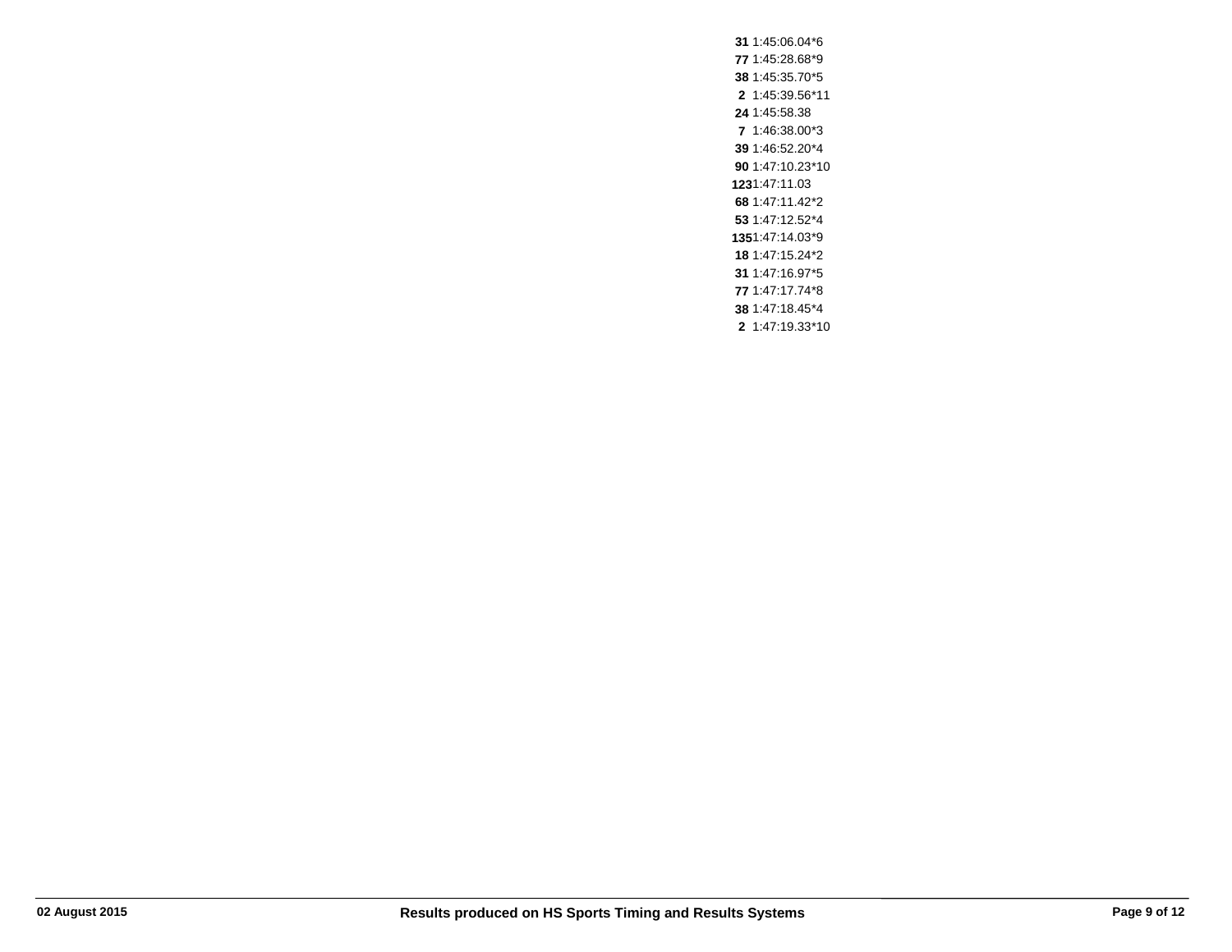1:45:06.04\*6 1:45:28.68\*9 1:45:35.70\*5 1:45:39.56\*11 1:45:58.38 1:46:38.00\*3 1:46:52.20\*4 1:47:10.23\*10 1:47:11.03 1:47:11.42\*2 1:47:12.52\*4 1:47:14.03\*9 1:47:15.24\*2 1:47:16.97\*5 1:47:17.74\*8 1:47:18.45\*4 1:47:19.33\*10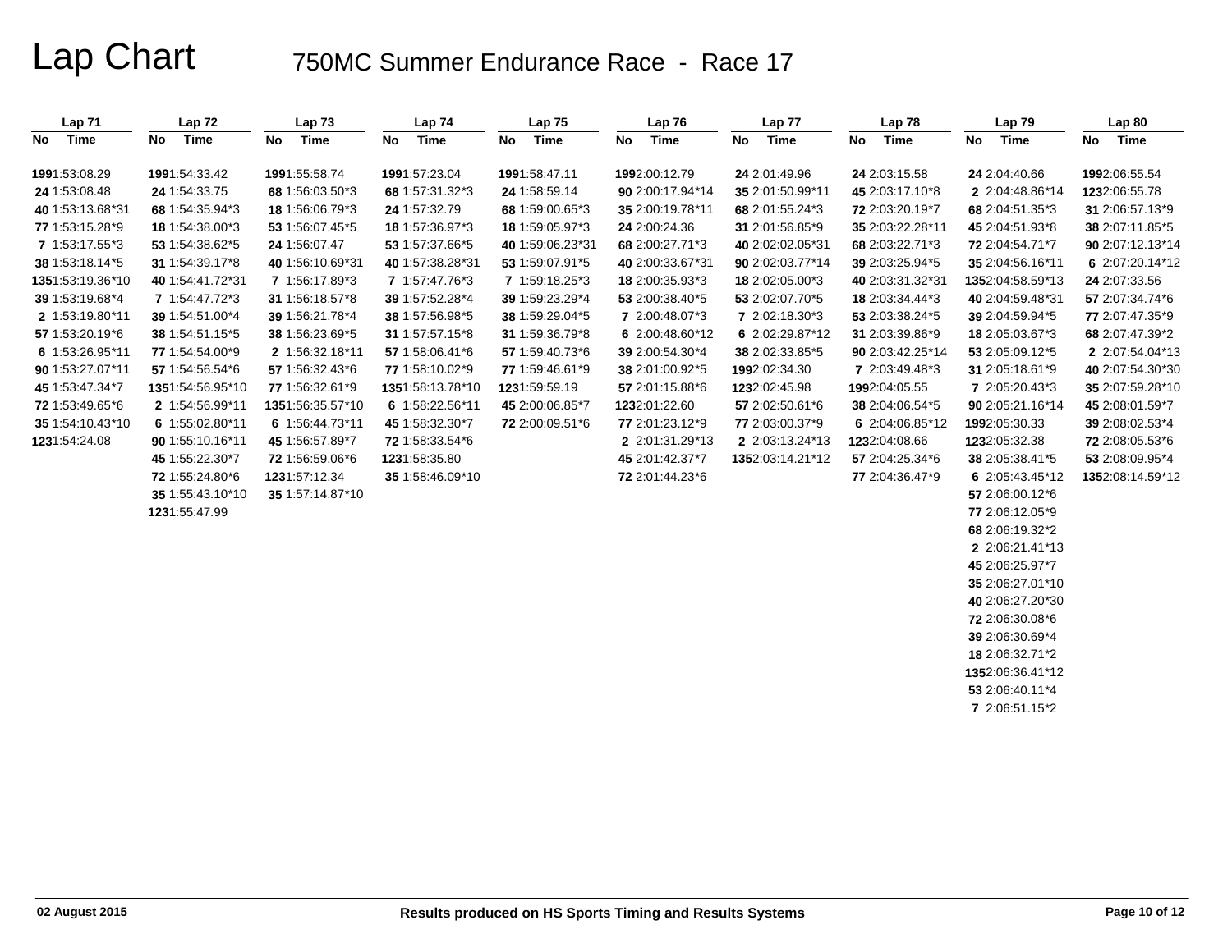| Lap <sub>71</sub> | Lap 72            | Lap73            | Lap 74            | Lap 75           | Lap 76           | Lap 77           | Lap 78            | Lap 79           | Lap 80           |
|-------------------|-------------------|------------------|-------------------|------------------|------------------|------------------|-------------------|------------------|------------------|
| Time<br>No        | <b>Time</b><br>No | Time<br>No       | <b>Time</b><br>No | Time<br>No       | No<br>Time       | No<br>Time       | <b>Time</b><br>No | No Time          | No Time          |
| 1991:53:08.29     | 1991:54:33.42     | 1991:55:58.74    | 1991:57:23.04     | 1991:58:47.11    | 1992:00:12.79    | 24 2:01:49.96    | 24 2:03:15.58     | 24 2:04:40.66    | 1992:06:55.54    |
| 24 1:53:08.48     | 24 1:54:33.75     | 68 1:56:03.50*3  | 68 1:57:31.32*3   | 24 1:58:59.14    | 90 2:00:17.94*14 | 35 2:01:50.99*11 | 45 2:03:17.10*8   | 2 2:04:48.86*14  | 1232:06:55.78    |
| 40 1:53:13.68*31  | 68 1:54:35.94*3   | 18 1:56:06.79*3  | 24 1:57:32.79     | 68 1:59:00.65*3  | 35 2:00:19.78*11 | 68 2:01:55.24*3  | 72 2:03:20.19*7   | 68 2:04:51.35*3  | 31 2:06:57.13*9  |
| 77 1:53:15.28*9   | 18 1:54:38.00*3   | 53 1:56:07.45*5  | 18 1:57:36.97*3   | 18 1:59:05.97*3  | 24 2:00:24.36    | 31 2:01:56.85*9  | 35 2:03:22.28*11  | 45 2:04:51.93*8  | 38 2:07:11.85*5  |
| 7 1:53:17.55*3    | 53 1:54:38.62*5   | 24 1:56:07.47    | 53 1:57:37.66*5   | 40 1:59:06.23*31 | 68 2:00:27.71*3  | 40 2:02:02.05*31 | 68 2:03:22.71*3   | 72 2:04:54.71*7  | 90 2:07:12.13*14 |
| 38 1:53:18.14*5   | 31 1:54:39.17*8   | 40 1:56:10.69*31 | 40 1:57:38.28*31  | 53 1:59:07.91*5  | 40 2:00:33.67*31 | 90 2:02:03.77*14 | 39 2:03:25.94*5   | 35 2:04:56.16*11 | 6 2:07:20.14*12  |
| 1351:53:19.36*10  | 40 1:54:41.72*31  | 7 1:56:17.89*3   | 7 1:57:47.76*3    | 7 1:59:18.25*3   | 18 2:00:35.93*3  | 18 2:02:05.00*3  | 40 2:03:31.32*31  | 1352:04:58.59*13 | 24 2:07:33.56    |
| 39 1:53:19.68*4   | 7 1:54:47.72*3    | 31 1:56:18.57*8  | 39 1:57:52.28*4   | 39 1:59:23.29*4  | 53 2:00:38.40*5  | 53 2:02:07.70*5  | 18 2:03:34.44*3   | 40 2:04:59.48*31 | 57 2:07:34.74*6  |
| 2 1:53:19.80*11   | 39 1:54:51.00*4   | 39 1:56:21.78*4  | 38 1:57:56.98*5   | 38 1:59:29.04*5  | 7 2:00:48.07*3   | 7 2:02:18.30*3   | 53 2:03:38.24*5   | 39 2:04:59.94*5  | 77 2:07:47.35*9  |
| 57 1:53:20.19*6   | 38 1:54:51.15*5   | 38 1:56:23.69*5  | 31 1:57:57.15*8   | 31 1:59:36.79*8  | 6 2:00:48.60*12  | 6 2:02:29.87*12  | 31 2:03:39.86*9   | 18 2:05:03.67*3  | 68 2:07:47.39*2  |
| 6 1:53:26.95*11   | 77 1:54:54.00*9   | 2 1:56:32.18*11  | 57 1:58:06.41*6   | 57 1:59:40.73*6  | 39 2:00:54.30*4  | 38 2:02:33.85*5  | 90 2:03:42.25*14  | 53 2:05:09.12*5  | 2 2:07:54.04*13  |
| 90 1:53:27.07*11  | 57 1:54:56.54*6   | 57 1:56:32.43*6  | 77 1:58:10.02*9   | 77 1:59:46.61*9  | 38 2:01:00.92*5  | 1992:02:34.30    | 7 2:03:49.48*3    | 31 2:05:18.61*9  | 40 2:07:54.30*30 |
| 45 1:53:47.34*7   | 1351:54:56.95*10  | 77 1:56:32.61*9  | 1351:58:13.78*10  | 1231:59:59.19    | 57 2:01:15.88*6  | 1232:02:45.98    | 1992:04:05.55     | 7 2:05:20.43*3   | 35 2:07:59.28*10 |
| 72 1:53:49.65*6   | 2 1:54:56.99*11   | 1351:56:35.57*10 | 6 1:58:22.56*11   | 45 2:00:06.85*7  | 1232:01:22.60    | 57 2:02:50.61*6  | 38 2:04:06.54*5   | 90 2:05:21.16*14 | 45 2:08:01.59*7  |
| 35 1:54:10.43*10  | 6 1:55:02.80*11   | 6 1:56:44.73*11  | 45 1:58:32.30*7   | 72 2:00:09.51*6  | 77 2:01:23.12*9  | 77 2:03:00.37*9  | 6 2:04:06.85*12   | 1992.05.30.33    | 39 2:08:02.53*4  |
| 1231:54:24.08     | 90 1:55:10.16*11  | 45 1:56:57.89*7  | 72 1:58:33.54 *6  |                  | 2 2:01:31.29*13  | 2 2:03:13.24*13  | 1232:04:08.66     | 1232:05:32.38    | 72 2:08:05.53*6  |
|                   | 45 1:55:22.30*7   | 72 1:56:59.06*6  | 1231:58:35.80     |                  | 45 2:01:42.37*7  | 1352:03:14.21*12 | 57 2:04:25.34*6   | 38 2:05:38.41*5  | 53 2:08:09.95*4  |
|                   | 72 1:55:24.80*6   | 1231:57:12.34    | 35 1:58:46.09*10  |                  | 72 2:01:44.23*6  |                  | 77 2:04:36.47*9   | 6 2:05:43.45*12  | 1352:08:14.59*12 |
|                   | 35 1:55:43.10*10  | 35 1:57:14.87*10 |                   |                  |                  |                  |                   | 57 2:06:00.12*6  |                  |
|                   | 1231:55:47.99     |                  |                   |                  |                  |                  |                   | 77 2:06:12.05*9  |                  |
|                   |                   |                  |                   |                  |                  |                  |                   | 68 2:06:19.32*2  |                  |
|                   |                   |                  |                   |                  |                  |                  |                   | 2 2:06:21.41*13  |                  |
|                   |                   |                  |                   |                  |                  |                  |                   | 45 2:06:25.97*7  |                  |
|                   |                   |                  |                   |                  |                  |                  |                   | 35 2:06:27.01*10 |                  |
|                   |                   |                  |                   |                  |                  |                  |                   | 40 2:06:27.20*30 |                  |
|                   |                   |                  |                   |                  |                  |                  |                   | 72 2:06:30.08*6  |                  |
|                   |                   |                  |                   |                  |                  |                  |                   | 39 2:06:30.69*4  |                  |
|                   |                   |                  |                   |                  |                  |                  |                   | 18 2:06:32.71*2  |                  |
|                   |                   |                  |                   |                  |                  |                  |                   | 1352:06:36.41*12 |                  |
|                   |                   |                  |                   |                  |                  |                  |                   | 53 2:06:40.11*4  |                  |

**7** 2:06:51.15\*2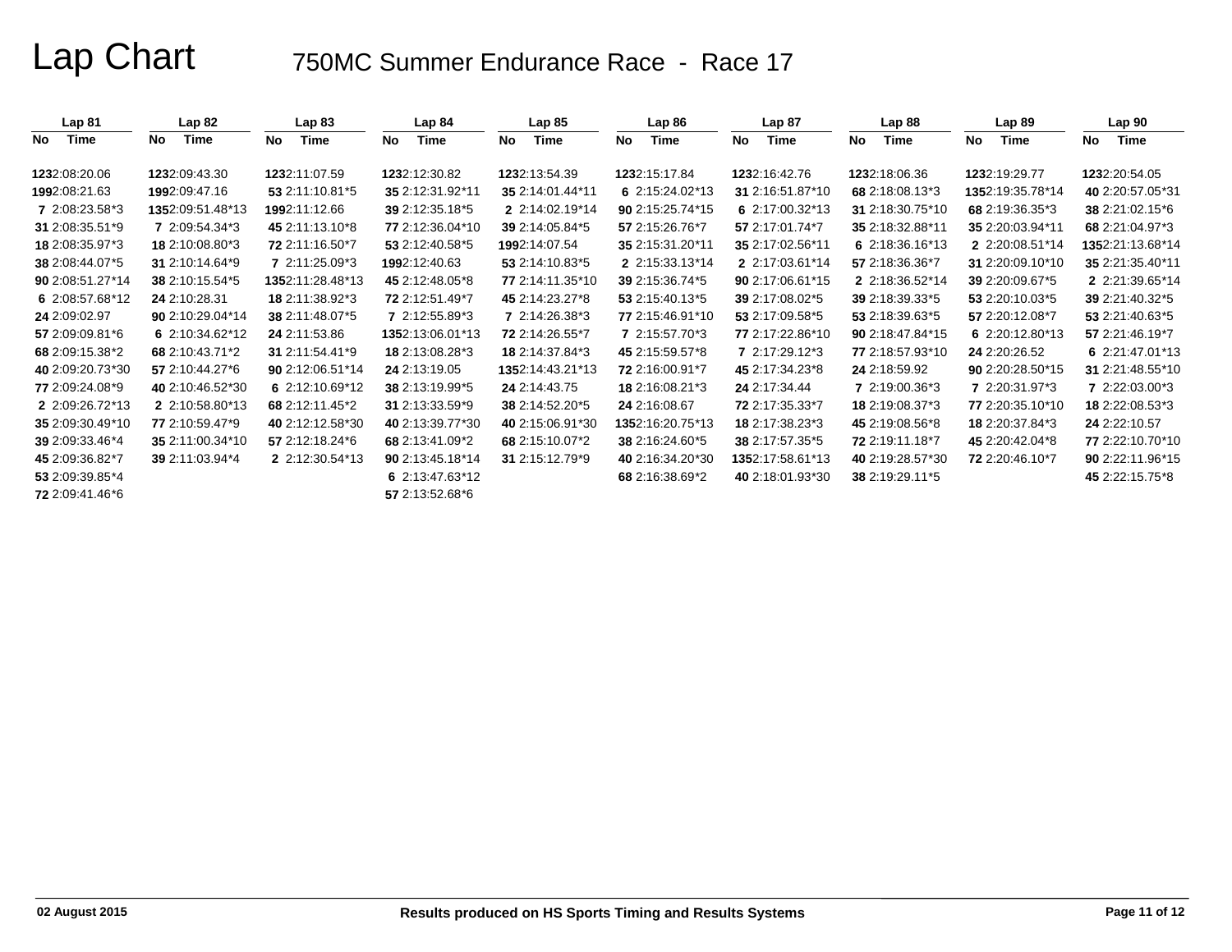| Lap <sub>81</sub> | Lap 82           | Lap 83            | Lap 84            | Lap85            | Lap86            | Lap 87           | Lap 88           | Lap 89           | Lap <sub>90</sub> |
|-------------------|------------------|-------------------|-------------------|------------------|------------------|------------------|------------------|------------------|-------------------|
| Time<br>No.       | Time<br>No.      | Time<br><b>No</b> | No<br>Time        | Time<br>No       | No<br>Time       | Time<br>No       | No<br>Time       | Time<br>No       | No<br>Time        |
| 1232:08:20.06     | 1232:09:43.30    | 1232:11:07.59     | 1232:12:30.82     | 1232:13:54.39    | 1232.15:17.84    | 1232:16:42.76    | 1232:18:06.36    | 1232:19:29.77    | 1232:20:54.05     |
| 1992:08:21.63     | 1992:09:47.16    | 53 2:11:10.81*5   | 35 2:12:31.92*11  | 35 2:14:01.44*11 | 6 2:15:24.02*13  | 31 2:16:51.87*10 | 68 2:18:08.13*3  | 1352:19:35.78*14 | 40 2:20:57.05*31  |
| 7 2:08:23.58*3    | 1352:09:51.48*13 | 1992:11:12.66     | 39 2:12:35.18*5   | 2 2:14:02.19*14  | 90 2:15:25.74*15 | 6 2:17:00.32*13  | 31 2:18:30.75*10 | 68 2:19:36.35*3  | 38 2:21:02.15 *6  |
| 31 2:08:35.51*9   | 7 2:09:54.34*3   | 45 2:11:13.10*8   | 77 2:12:36.04*10  | 39 2:14:05.84*5  | 57 2:15:26.76*7  | 57 2:17:01.74*7  | 35 2:18:32.88*11 | 35 2:20:03.94*11 | 68 2:21:04.97*3   |
| 18 2:08:35.97*3   | 18 2:10:08.80*3  | 72 2:11:16.50*7   | 53 2:12:40.58*5   | 1992:14:07.54    | 35 2:15:31.20*11 | 35 2:17:02.56*11 | 6 2:18:36.16*13  | 2 2:20:08.51*14  | 1352:21:13.68*14  |
| 38 2:08:44.07*5   | 31 2:10:14.64*9  | 7 2:11:25.09*3    | 1992:12:40.63     | 53 2:14:10.83*5  | 2 2:15:33.13*14  | 2 2:17:03.61*14  | 57 2:18:36.36*7  | 31 2:20:09.10*10 | 35 2:21:35.40*11  |
| 90 2:08:51.27*14  | 38 2:10:15.54*5  | 1352:11:28.48*13  | 45 2:12:48.05*8   | 77 2:14:11.35*10 | 39 2:15:36.74*5  | 90 2:17:06.61*15 | 2 2:18:36.52*14  | 39 2:20:09.67*5  | 2 2:21:39.65*14   |
| 6 2:08:57.68*12   | 24 2:10:28.31    | 18 2:11:38.92*3   | 72 2:12:51.49*7   | 45 2:14:23.27*8  | 53 2:15:40.13*5  | 39 2:17:08.02*5  | 39 2:18:39.33*5  | 53 2:20:10.03*5  | 39 2:21:40.32*5   |
| 24 2:09:02.97     | 90 2:10:29.04*14 | 38 2:11:48.07*5   | 7 2:12:55.89*3    | 7 2:14:26.38*3   | 77 2:15:46.91*10 | 53 2:17:09.58*5  | 53 2:18:39.63*5  | 57 2:20:12.08*7  | 53 2:21:40.63*5   |
| 57 2:09:09.81*6   | 6 2:10:34.62*12  | 24 2:11:53.86     | 1352:13:06.01*13  | 72 2:14:26.55*7  | 7 2:15:57.70*3   | 77 2:17:22.86*10 | 90 2:18:47.84*15 | 6 2:20:12.80*13  | 57 2:21:46.19*7   |
| 68 2:09:15.38*2   | 68 2:10:43.71*2  | 31 2:11:54.41*9   | 18 2:13:08.28*3   | 18 2:14:37.84*3  | 45 2:15:59.57*8  | 7 2:17:29.12*3   | 77 2:18:57.93*10 | 24 2:20:26.52    | 6 2:21:47.01*13   |
| 40 2:09:20.73*30  | 57 2:10:44.27*6  | 90 2:12:06.51*14  | 24 2:13:19.05     | 1352:14:43.21*13 | 72 2:16:00.91*7  | 45 2:17:34.23*8  | 24 2:18:59.92    | 90 2:20:28.50*15 | 31 2:21:48.55*10  |
| 77 2:09:24.08*9   | 40 2:10:46.52*30 | 6 $2:12:10.69*12$ | 38 2:13:19.99*5   | 24 2:14:43.75    | 18 2:16:08.21*3  | 24 2:17:34.44    | 7 2:19:00.36*3   | 7 2:20:31.97*3   | 7 2:22:03.00*3    |
| 2 2:09:26.72*13   | 2 2:10:58.80*13  | 68 2:12:11.45*2   | 31 2:13:33.59*9   | 38 2:14:52.20*5  | 24 2:16:08.67    | 72 2:17:35.33*7  | 18 2:19:08.37*3  | 77 2:20:35.10*10 | 18 2:22:08.53*3   |
| 35 2:09:30.49*10  | 77 2:10:59.47*9  | 40 2:12:12.58*30  | 40 2:13:39.77*30  | 40 2:15:06.91*30 | 1352:16:20.75*13 | 18 2:17:38.23*3  | 45 2:19:08.56*8  | 18 2:20:37.84*3  | 24 2:22:10.57     |
| 39 2:09:33.46*4   | 35 2:11:00.34*10 | 57 2:12:18.24*6   | 68 2:13:41.09*2   | 68 2:15:10.07*2  | 38 2:16:24.60*5  | 38 2:17:57.35*5  | 72 2:19:11.18*7  | 45 2:20:42.04*8  | 77 2:22:10.70*10  |
| 45 2:09:36.82*7   | 39 2:11:03.94*4  | 2 2:12:30.54*13   | 90 2:13:45.18*14  | 31 2:15:12.79*9  | 40 2:16:34.20*30 | 1352:17:58.61*13 | 40 2:19:28.57*30 | 72 2:20:46.10*7  | 90 2:22:11.96*15  |
| 53 2:09:39.85*4   |                  |                   | 6 $2:13:47.63*12$ |                  | 68 2:16:38.69*2  | 40 2:18:01.93*30 | 38 2:19:29.11 *5 |                  | 45 2:22:15.75 * 8 |
| 72 2:09:41.46*6   |                  |                   | 57 2:13:52.68*6   |                  |                  |                  |                  |                  |                   |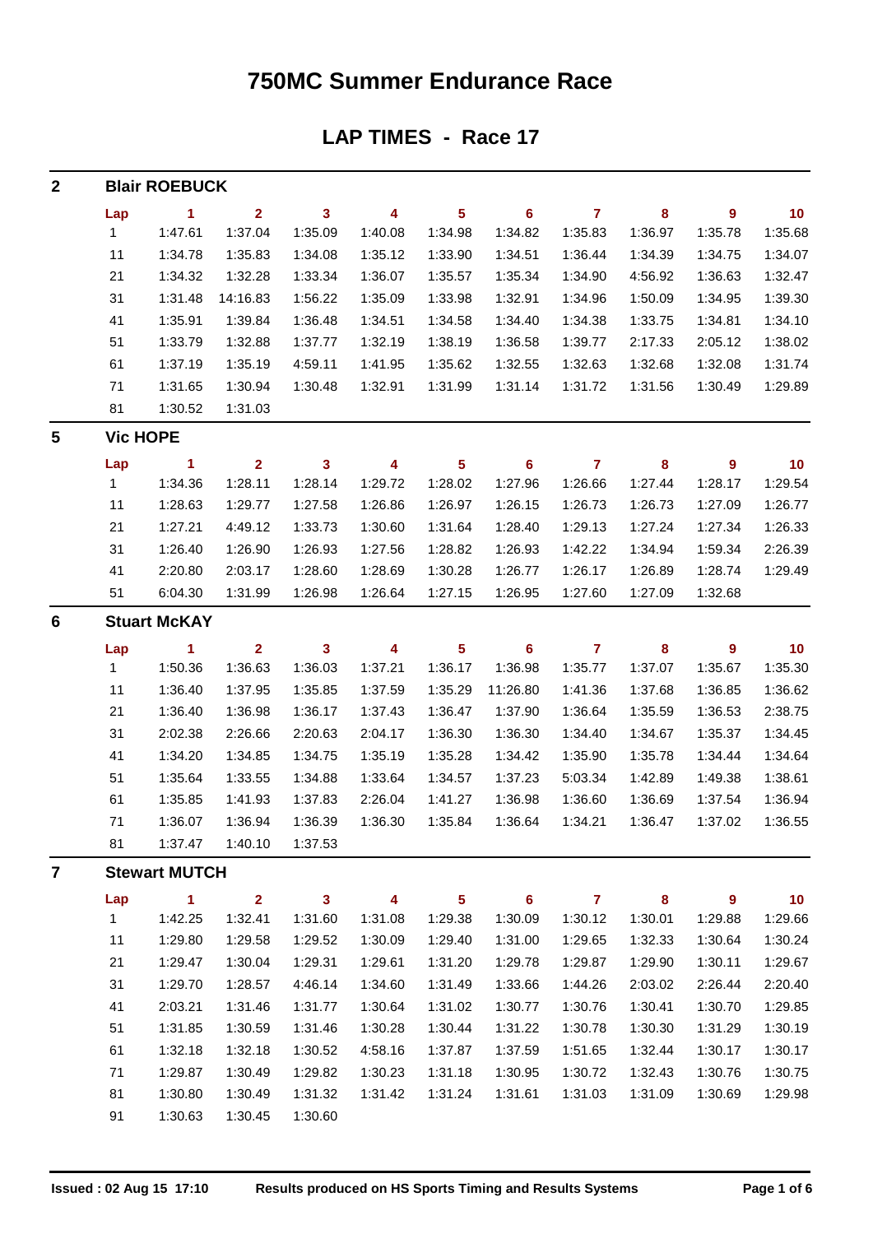### **750MC Summer Endurance Race**

**LAP TIMES - Race 17**

| $\boldsymbol{2}$ |              | <b>Blair ROEBUCK</b> |                         |              |                         |                         |                 |                |           |                  |         |
|------------------|--------------|----------------------|-------------------------|--------------|-------------------------|-------------------------|-----------------|----------------|-----------|------------------|---------|
|                  | Lap          | $\mathbf{1}$         | $\overline{\mathbf{2}}$ | $\mathbf{3}$ | 4                       | 5 <sub>5</sub>          | $6\phantom{1}6$ | $\overline{7}$ | 8         | $\boldsymbol{9}$ | 10      |
|                  | $\mathbf{1}$ | 1:47.61              | 1:37.04                 | 1:35.09      | 1:40.08                 | 1:34.98                 | 1:34.82         | 1:35.83        | 1:36.97   | 1:35.78          | 1:35.68 |
|                  | 11           | 1:34.78              | 1:35.83                 | 1:34.08      | 1:35.12                 | 1:33.90                 | 1:34.51         | 1:36.44        | 1:34.39   | 1:34.75          | 1:34.07 |
|                  | 21           | 1:34.32              | 1:32.28                 | 1:33.34      | 1:36.07                 | 1:35.57                 | 1:35.34         | 1:34.90        | 4:56.92   | 1:36.63          | 1:32.47 |
|                  | 31           | 1:31.48              | 14:16.83                | 1:56.22      | 1:35.09                 | 1:33.98                 | 1:32.91         | 1:34.96        | 1:50.09   | 1:34.95          | 1:39.30 |
|                  | 41           | 1:35.91              | 1:39.84                 | 1:36.48      | 1:34.51                 | 1:34.58                 | 1:34.40         | 1:34.38        | 1:33.75   | 1:34.81          | 1:34.10 |
|                  | 51           | 1:33.79              | 1:32.88                 | 1:37.77      | 1:32.19                 | 1:38.19                 | 1:36.58         | 1:39.77        | 2:17.33   | 2:05.12          | 1:38.02 |
|                  | 61           | 1:37.19              | 1:35.19                 | 4:59.11      | 1:41.95                 | 1:35.62                 | 1:32.55         | 1:32.63        | 1:32.68   | 1:32.08          | 1:31.74 |
|                  | 71           | 1:31.65              | 1:30.94                 | 1:30.48      | 1:32.91                 | 1:31.99                 | 1:31.14         | 1:31.72        | 1:31.56   | 1:30.49          | 1:29.89 |
|                  | 81           | 1:30.52              | 1:31.03                 |              |                         |                         |                 |                |           |                  |         |
| 5                |              | <b>Vic HOPE</b>      |                         |              |                         |                         |                 |                |           |                  |         |
|                  | Lap          | $\blacktriangleleft$ | $\overline{\mathbf{2}}$ | $\mathbf{3}$ | $\overline{\mathbf{4}}$ | $\overline{\mathbf{5}}$ | $6\phantom{a}$  | $\overline{7}$ | $\pmb{8}$ | $\boldsymbol{9}$ | 10      |
|                  | $\mathbf{1}$ | 1:34.36              | 1:28.11                 | 1:28.14      | 1:29.72                 | 1:28.02                 | 1:27.96         | 1:26.66        | 1:27.44   | 1:28.17          | 1:29.54 |
|                  | 11           | 1:28.63              | 1:29.77                 | 1:27.58      | 1:26.86                 | 1:26.97                 | 1:26.15         | 1:26.73        | 1:26.73   | 1:27.09          | 1:26.77 |
|                  | 21           | 1:27.21              | 4:49.12                 | 1:33.73      | 1:30.60                 | 1:31.64                 | 1:28.40         | 1:29.13        | 1:27.24   | 1:27.34          | 1:26.33 |
|                  | 31           | 1:26.40              | 1:26.90                 | 1:26.93      | 1:27.56                 | 1:28.82                 | 1:26.93         | 1:42.22        | 1:34.94   | 1:59.34          | 2:26.39 |
|                  | 41           | 2:20.80              | 2:03.17                 | 1:28.60      | 1:28.69                 | 1:30.28                 | 1:26.77         | 1:26.17        | 1:26.89   | 1:28.74          | 1:29.49 |
|                  | 51           | 6:04.30              | 1:31.99                 | 1:26.98      | 1:26.64                 | 1:27.15                 | 1:26.95         | 1:27.60        | 1:27.09   | 1:32.68          |         |
| $6\phantom{1}6$  |              | <b>Stuart McKAY</b>  |                         |              |                         |                         |                 |                |           |                  |         |
|                  | Lap          | $\sim$ 1             | $\overline{2}$          | $\mathbf{3}$ | 4                       | $\overline{\mathbf{5}}$ | 6               | $\overline{7}$ | 8         | 9                | 10      |
|                  | $\mathbf{1}$ | 1:50.36              | 1:36.63                 | 1:36.03      | 1:37.21                 | 1:36.17                 | 1:36.98         | 1:35.77        | 1:37.07   | 1:35.67          | 1:35.30 |
|                  | 11           | 1:36.40              | 1:37.95                 | 1:35.85      | 1:37.59                 | 1:35.29                 | 11:26.80        | 1:41.36        | 1:37.68   | 1:36.85          | 1:36.62 |
|                  | 21           | 1:36.40              | 1:36.98                 | 1:36.17      | 1:37.43                 | 1:36.47                 | 1:37.90         | 1:36.64        | 1:35.59   | 1:36.53          | 2:38.75 |
|                  | 31           | 2:02.38              | 2:26.66                 | 2:20.63      | 2:04.17                 | 1:36.30                 | 1:36.30         | 1:34.40        | 1:34.67   | 1:35.37          | 1:34.45 |
|                  | 41           | 1:34.20              | 1:34.85                 | 1:34.75      | 1:35.19                 | 1:35.28                 | 1:34.42         | 1:35.90        | 1:35.78   | 1:34.44          | 1:34.64 |
|                  | 51           | 1:35.64              | 1:33.55                 | 1:34.88      | 1:33.64                 | 1:34.57                 | 1:37.23         | 5:03.34        | 1:42.89   | 1:49.38          | 1:38.61 |
|                  | 61           | 1:35.85              | 1:41.93                 | 1:37.83      | 2:26.04                 | 1:41.27                 | 1:36.98         | 1:36.60        | 1:36.69   | 1:37.54          | 1:36.94 |
|                  | 71           | 1:36.07              | 1:36.94                 | 1:36.39      | 1:36.30                 | 1:35.84                 | 1:36.64         | 1:34.21        | 1:36.47   | 1:37.02          | 1:36.55 |
|                  | 81           | 1:37.47              | 1:40.10                 | 1:37.53      |                         |                         |                 |                |           |                  |         |
| 7                |              | <b>Stewart MUTCH</b> |                         |              |                         |                         |                 |                |           |                  |         |
|                  | Lap          | $\mathbf{1}$         | $\overline{\mathbf{2}}$ | $\mathbf{3}$ | 4                       | $5\phantom{.0}$         | $6\phantom{a}$  | $\overline{7}$ | 8         | $\boldsymbol{9}$ | 10      |
|                  | 1            | 1:42.25              | 1:32.41                 | 1:31.60      | 1:31.08                 | 1:29.38                 | 1:30.09         | 1:30.12        | 1:30.01   | 1:29.88          | 1:29.66 |
|                  | 11           | 1:29.80              | 1:29.58                 | 1:29.52      | 1:30.09                 | 1:29.40                 | 1:31.00         | 1:29.65        | 1:32.33   | 1:30.64          | 1:30.24 |
|                  | 21           | 1:29.47              | 1:30.04                 | 1:29.31      | 1:29.61                 | 1:31.20                 | 1:29.78         | 1:29.87        | 1:29.90   | 1:30.11          | 1:29.67 |
|                  | 31           | 1:29.70              | 1:28.57                 | 4:46.14      | 1:34.60                 | 1:31.49                 | 1:33.66         | 1:44.26        | 2:03.02   | 2:26.44          | 2:20.40 |
|                  | 41           | 2:03.21              | 1:31.46                 | 1:31.77      | 1:30.64                 | 1:31.02                 | 1:30.77         | 1:30.76        | 1:30.41   | 1:30.70          | 1:29.85 |
|                  | 51           | 1:31.85              | 1:30.59                 | 1:31.46      | 1:30.28                 | 1:30.44                 | 1:31.22         | 1:30.78        | 1:30.30   | 1:31.29          | 1:30.19 |
|                  | 61           | 1:32.18              | 1:32.18                 | 1:30.52      | 4:58.16                 | 1:37.87                 | 1:37.59         | 1:51.65        | 1:32.44   | 1:30.17          | 1:30.17 |
|                  | 71           | 1:29.87              | 1:30.49                 | 1:29.82      | 1:30.23                 | 1:31.18                 | 1:30.95         | 1:30.72        | 1:32.43   | 1:30.76          | 1:30.75 |
|                  | 81           | 1:30.80              | 1:30.49                 | 1:31.32      | 1:31.42                 | 1:31.24                 | 1:31.61         | 1:31.03        | 1:31.09   | 1:30.69          | 1:29.98 |
|                  | 91           | 1:30.63              | 1:30.45                 | 1:30.60      |                         |                         |                 |                |           |                  |         |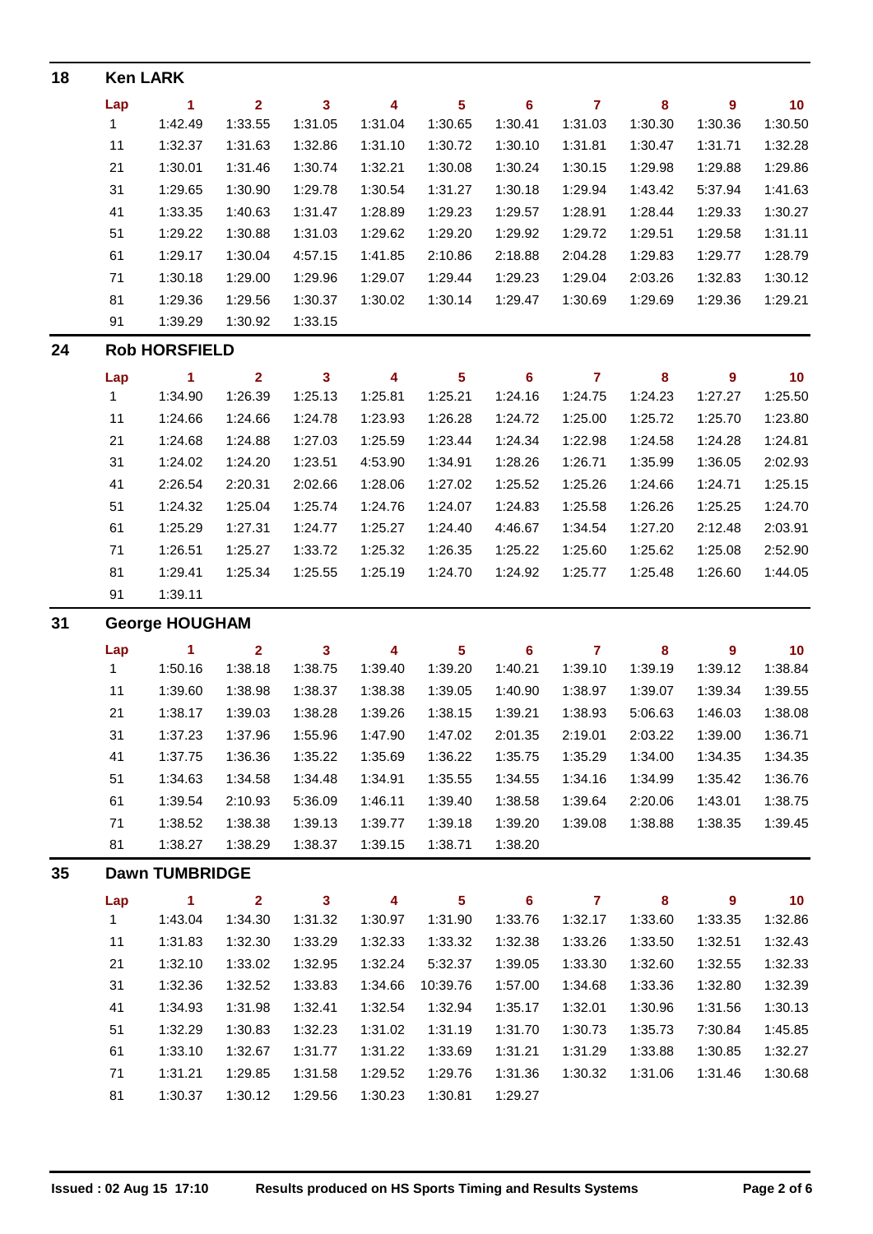| 18 |                       | <b>Ken LARK</b>       |                         |                         |         |                         |                |                |         |         |         |  |  |  |
|----|-----------------------|-----------------------|-------------------------|-------------------------|---------|-------------------------|----------------|----------------|---------|---------|---------|--|--|--|
|    | Lap                   | $\blacktriangleleft$  | $\overline{2}$          | $\mathbf{3}$            | 4       | $5\phantom{a}$          | 6              | $\overline{7}$ | 8       | 9       | 10      |  |  |  |
|    | $\mathbf{1}$          | 1:42.49               | 1:33.55                 | 1:31.05                 | 1:31.04 | 1:30.65                 | 1:30.41        | 1:31.03        | 1:30.30 | 1:30.36 | 1:30.50 |  |  |  |
|    | 11                    | 1:32.37               | 1:31.63                 | 1:32.86                 | 1:31.10 | 1:30.72                 | 1:30.10        | 1:31.81        | 1:30.47 | 1:31.71 | 1:32.28 |  |  |  |
|    | 21                    | 1:30.01               | 1:31.46                 | 1:30.74                 | 1:32.21 | 1:30.08                 | 1:30.24        | 1:30.15        | 1:29.98 | 1:29.88 | 1:29.86 |  |  |  |
|    | 31                    | 1:29.65               | 1:30.90                 | 1:29.78                 | 1:30.54 | 1:31.27                 | 1:30.18        | 1:29.94        | 1:43.42 | 5:37.94 | 1:41.63 |  |  |  |
|    | 41                    | 1:33.35               | 1:40.63                 | 1:31.47                 | 1:28.89 | 1:29.23                 | 1:29.57        | 1:28.91        | 1:28.44 | 1:29.33 | 1:30.27 |  |  |  |
|    | 51                    | 1:29.22               | 1:30.88                 | 1:31.03                 | 1:29.62 | 1:29.20                 | 1:29.92        | 1:29.72        | 1:29.51 | 1:29.58 | 1:31.11 |  |  |  |
|    | 61                    | 1:29.17               | 1:30.04                 | 4:57.15                 | 1:41.85 | 2:10.86                 | 2:18.88        | 2:04.28        | 1:29.83 | 1:29.77 | 1:28.79 |  |  |  |
|    | 71                    | 1:30.18               | 1:29.00                 | 1:29.96                 | 1:29.07 | 1:29.44                 | 1:29.23        | 1:29.04        | 2:03.26 | 1:32.83 | 1:30.12 |  |  |  |
|    | 81                    | 1:29.36               | 1:29.56                 | 1:30.37                 | 1:30.02 | 1:30.14                 | 1:29.47        | 1:30.69        | 1:29.69 | 1:29.36 | 1:29.21 |  |  |  |
|    | 91                    | 1:39.29               | 1:30.92                 | 1:33.15                 |         |                         |                |                |         |         |         |  |  |  |
| 24 |                       | <b>Rob HORSFIELD</b>  |                         |                         |         |                         |                |                |         |         |         |  |  |  |
|    | Lap                   | $\blacktriangleleft$  | $\overline{\mathbf{2}}$ | $\mathbf{3}$            | 4       | $\overline{\mathbf{5}}$ | $6\phantom{a}$ | $\mathbf{7}$   | 8       | 9       | 10      |  |  |  |
|    | $\mathbf 1$           | 1:34.90               | 1:26.39                 | 1:25.13                 | 1:25.81 | 1:25.21                 | 1:24.16        | 1:24.75        | 1:24.23 | 1:27.27 | 1:25.50 |  |  |  |
|    | 11                    | 1:24.66               | 1:24.66                 | 1:24.78                 | 1:23.93 | 1:26.28                 | 1:24.72        | 1:25.00        | 1:25.72 | 1:25.70 | 1:23.80 |  |  |  |
|    | 21                    | 1:24.68               | 1:24.88                 | 1:27.03                 | 1:25.59 | 1:23.44                 | 1:24.34        | 1:22.98        | 1:24.58 | 1:24.28 | 1:24.81 |  |  |  |
|    | 31                    | 1:24.02               | 1:24.20                 | 1:23.51                 | 4:53.90 | 1:34.91                 | 1:28.26        | 1:26.71        | 1:35.99 | 1:36.05 | 2:02.93 |  |  |  |
|    | 41                    | 2:26.54               | 2:20.31                 | 2:02.66                 | 1:28.06 | 1:27.02                 | 1:25.52        | 1:25.26        | 1:24.66 | 1:24.71 | 1:25.15 |  |  |  |
|    | 51                    | 1:24.32               | 1:25.04                 | 1:25.74                 | 1:24.76 | 1:24.07                 | 1:24.83        | 1:25.58        | 1:26.26 | 1:25.25 | 1:24.70 |  |  |  |
|    | 61                    | 1:25.29               | 1:27.31                 | 1:24.77                 | 1:25.27 | 1:24.40                 | 4:46.67        | 1:34.54        | 1:27.20 | 2:12.48 | 2:03.91 |  |  |  |
|    | 71                    | 1:26.51               | 1:25.27                 | 1:33.72                 | 1:25.32 | 1:26.35                 | 1:25.22        | 1:25.60        | 1:25.62 | 1:25.08 | 2:52.90 |  |  |  |
|    | 81                    | 1:29.41               | 1:25.34                 | 1:25.55                 | 1:25.19 | 1:24.70                 | 1:24.92        | 1:25.77        | 1:25.48 | 1:26.60 | 1:44.05 |  |  |  |
|    | 91                    | 1:39.11               |                         |                         |         |                         |                |                |         |         |         |  |  |  |
| 31 |                       | <b>George HOUGHAM</b> |                         |                         |         |                         |                |                |         |         |         |  |  |  |
|    | Lap                   | 1                     | $\overline{2}$          | $\overline{\mathbf{3}}$ | 4       | $5\phantom{a}$          | 6              | $\overline{7}$ | 8       | 9       | 10      |  |  |  |
|    | $\mathbf{1}$          | 1:50.16               | 1:38.18                 | 1:38.75                 | 1:39.40 | 1:39.20                 | 1:40.21        | 1:39.10        | 1:39.19 | 1:39.12 | 1:38.84 |  |  |  |
|    | 11                    | 1:39.60               | 1:38.98                 | 1:38.37                 | 1:38.38 | 1:39.05                 | 1:40.90        | 1:38.97        | 1:39.07 | 1:39.34 | 1:39.55 |  |  |  |
|    | 21                    | 1:38.17               | 1:39.03                 | 1:38.28                 | 1:39.26 | 1:38.15                 | 1:39.21        | 1:38.93        | 5:06.63 | 1:46.03 | 1:38.08 |  |  |  |
|    | 31                    | 1:37.23               | 1:37.96                 | 1:55.96                 | 1:47.90 | 1:47.02                 | 2:01.35        | 2:19.01        | 2:03.22 | 1:39.00 | 1:36.71 |  |  |  |
|    | 41                    | 1:37.75               | 1:36.36                 | 1:35.22                 | 1:35.69 | 1:36.22                 | 1:35.75        | 1:35.29        | 1:34.00 | 1:34.35 | 1:34.35 |  |  |  |
|    | 51                    | 1:34.63               | 1:34.58                 | 1:34.48                 | 1:34.91 | 1:35.55                 | 1:34.55        | 1:34.16        | 1:34.99 | 1:35.42 | 1:36.76 |  |  |  |
|    | 61                    | 1:39.54               | 2:10.93                 | 5:36.09                 | 1:46.11 | 1:39.40                 | 1:38.58        | 1:39.64        | 2:20.06 | 1:43.01 | 1:38.75 |  |  |  |
|    | 71                    | 1:38.52               | 1:38.38                 | 1:39.13                 | 1:39.77 | 1:39.18                 | 1:39.20        | 1:39.08        | 1:38.88 | 1:38.35 | 1:39.45 |  |  |  |
|    | 81                    | 1:38.27               | 1:38.29                 | 1:38.37                 | 1:39.15 | 1:38.71                 | 1:38.20        |                |         |         |         |  |  |  |
| 35 | <b>Dawn TUMBRIDGE</b> |                       |                         |                         |         |                         |                |                |         |         |         |  |  |  |
|    | Lap                   | $\blacktriangleleft$  | $\overline{2}$          | $\mathbf{3}$            | 4       | $\overline{\mathbf{5}}$ | 6              | $\mathbf{7}$   | 8       | 9       | 10      |  |  |  |
|    | $\mathbf{1}$          | 1:43.04               | 1:34.30                 | 1:31.32                 | 1:30.97 | 1:31.90                 | 1:33.76        | 1:32.17        | 1:33.60 | 1:33.35 | 1:32.86 |  |  |  |
|    | 11                    | 1:31.83               | 1:32.30                 | 1:33.29                 | 1:32.33 | 1:33.32                 | 1:32.38        | 1:33.26        | 1:33.50 | 1:32.51 | 1:32.43 |  |  |  |
|    | 21                    | 1:32.10               | 1:33.02                 | 1:32.95                 | 1:32.24 | 5:32.37                 | 1:39.05        | 1:33.30        | 1:32.60 | 1:32.55 | 1:32.33 |  |  |  |
|    | 31                    | 1:32.36               | 1:32.52                 | 1:33.83                 | 1:34.66 | 10:39.76                | 1:57.00        | 1:34.68        | 1:33.36 | 1:32.80 | 1:32.39 |  |  |  |
|    | 41                    | 1:34.93               | 1:31.98                 | 1:32.41                 | 1:32.54 | 1:32.94                 | 1:35.17        | 1:32.01        | 1:30.96 | 1:31.56 | 1:30.13 |  |  |  |
|    | 51                    | 1:32.29               | 1:30.83                 | 1:32.23                 | 1:31.02 | 1:31.19                 | 1:31.70        | 1:30.73        | 1:35.73 | 7:30.84 | 1:45.85 |  |  |  |
|    | 61                    | 1:33.10               | 1:32.67                 | 1:31.77                 | 1:31.22 | 1:33.69                 | 1:31.21        | 1:31.29        | 1:33.88 | 1:30.85 | 1:32.27 |  |  |  |
|    | 71                    | 1:31.21               | 1:29.85                 | 1:31.58                 | 1:29.52 | 1:29.76                 | 1:31.36        | 1:30.32        | 1:31.06 | 1:31.46 | 1:30.68 |  |  |  |
|    | 81                    | 1:30.37               | 1:30.12                 | 1:29.56                 | 1:30.23 | 1:30.81                 | 1:29.27        |                |         |         |         |  |  |  |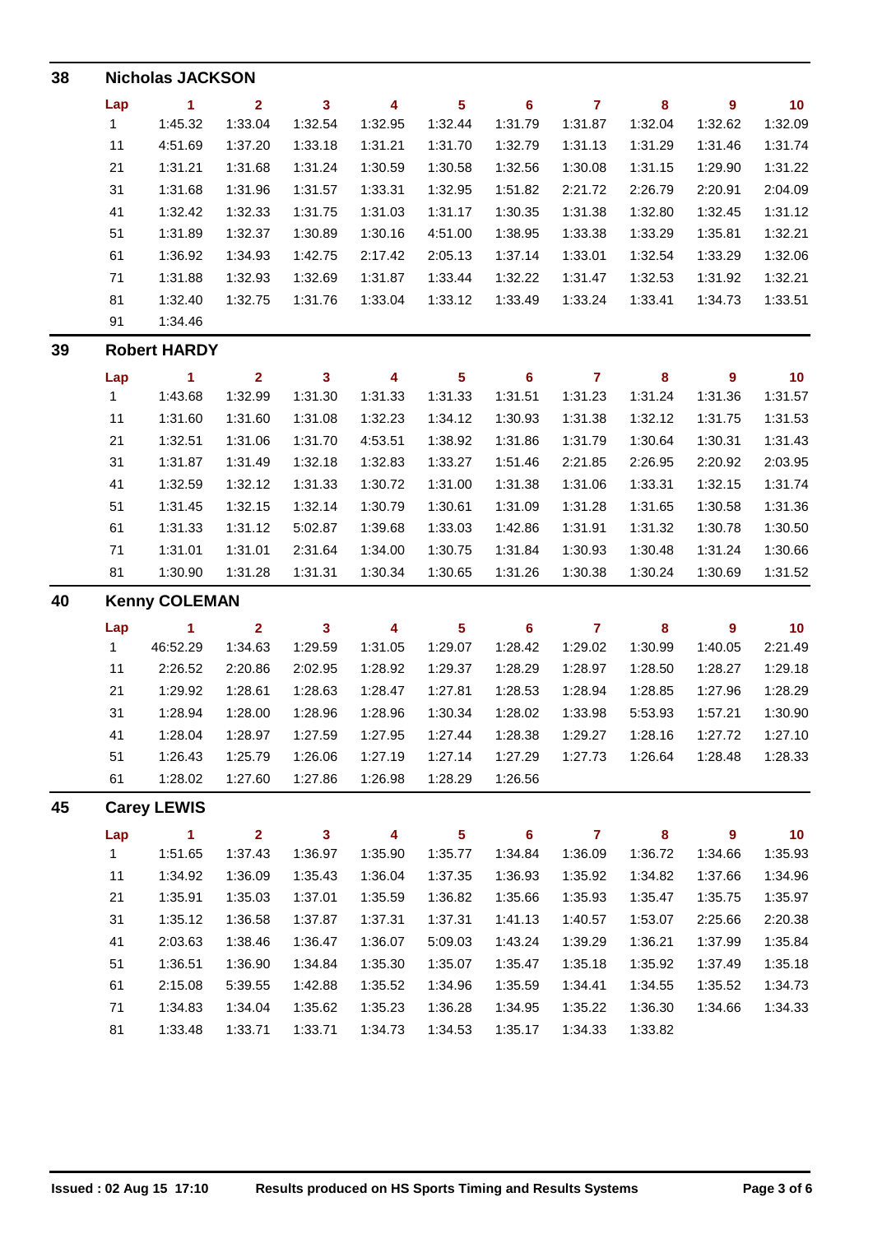| 38 | <b>Nicholas JACKSON</b> |                      |                |              |         |                         |                 |                         |          |                |         |  |  |
|----|-------------------------|----------------------|----------------|--------------|---------|-------------------------|-----------------|-------------------------|----------|----------------|---------|--|--|
|    | Lap                     | $\blacktriangleleft$ | $\overline{2}$ | $\mathbf{3}$ | 4       | $5\phantom{a}$          | $6\phantom{1}6$ | $\overline{7}$          | 8        | 9              | 10      |  |  |
|    | $\mathbf{1}$            | 1:45.32              | 1:33.04        | 1:32.54      | 1:32.95 | 1:32.44                 | 1:31.79         | 1:31.87                 | 1:32.04  | 1:32.62        | 1:32.09 |  |  |
|    | 11                      | 4:51.69              | 1:37.20        | 1:33.18      | 1:31.21 | 1:31.70                 | 1:32.79         | 1:31.13                 | 1:31.29  | 1:31.46        | 1:31.74 |  |  |
|    | 21                      | 1:31.21              | 1:31.68        | 1:31.24      | 1:30.59 | 1:30.58                 | 1:32.56         | 1:30.08                 | 1:31.15  | 1:29.90        | 1:31.22 |  |  |
|    | 31                      | 1:31.68              | 1:31.96        | 1:31.57      | 1:33.31 | 1:32.95                 | 1:51.82         | 2:21.72                 | 2:26.79  | 2:20.91        | 2:04.09 |  |  |
|    | 41                      | 1:32.42              | 1:32.33        | 1:31.75      | 1:31.03 | 1:31.17                 | 1:30.35         | 1:31.38                 | 1:32.80  | 1:32.45        | 1:31.12 |  |  |
|    | 51                      | 1:31.89              | 1:32.37        | 1:30.89      | 1:30.16 | 4:51.00                 | 1:38.95         | 1:33.38                 | 1:33.29  | 1:35.81        | 1:32.21 |  |  |
|    | 61                      | 1:36.92              | 1:34.93        | 1:42.75      | 2:17.42 | 2:05.13                 | 1:37.14         | 1:33.01                 | 1:32.54  | 1:33.29        | 1:32.06 |  |  |
|    | 71                      | 1:31.88              | 1:32.93        | 1:32.69      | 1:31.87 | 1:33.44                 | 1:32.22         | 1:31.47                 | 1:32.53  | 1:31.92        | 1:32.21 |  |  |
|    | 81                      | 1:32.40              | 1:32.75        | 1:31.76      | 1:33.04 | 1:33.12                 | 1:33.49         | 1:33.24                 | 1:33.41  | 1:34.73        | 1:33.51 |  |  |
|    | 91                      | 1:34.46              |                |              |         |                         |                 |                         |          |                |         |  |  |
| 39 |                         | <b>Robert HARDY</b>  |                |              |         |                         |                 |                         |          |                |         |  |  |
|    | Lap                     | 1                    | $\overline{2}$ | $\mathbf{3}$ | 4       | $\overline{\mathbf{5}}$ | $6\phantom{a}$  | $\overline{7}$          | 8        | 9              | 10      |  |  |
|    | 1                       | 1:43.68              | 1:32.99        | 1:31.30      | 1:31.33 | 1:31.33                 | 1:31.51         | 1:31.23                 | 1:31.24  | 1:31.36        | 1:31.57 |  |  |
|    | 11                      | 1:31.60              | 1:31.60        | 1:31.08      | 1:32.23 | 1:34.12                 | 1:30.93         | 1:31.38                 | 1:32.12  | 1:31.75        | 1:31.53 |  |  |
|    | 21                      | 1:32.51              | 1:31.06        | 1:31.70      | 4:53.51 | 1:38.92                 | 1:31.86         | 1:31.79                 | 1:30.64  | 1:30.31        | 1:31.43 |  |  |
|    | 31                      | 1:31.87              | 1:31.49        | 1:32.18      | 1:32.83 | 1:33.27                 | 1:51.46         | 2:21.85                 | 2:26.95  | 2:20.92        | 2:03.95 |  |  |
|    | 41                      | 1:32.59              | 1:32.12        | 1:31.33      | 1:30.72 | 1:31.00                 | 1:31.38         | 1:31.06                 | 1:33.31  | 1:32.15        | 1:31.74 |  |  |
|    | 51                      | 1:31.45              | 1:32.15        | 1:32.14      | 1:30.79 | 1:30.61                 | 1:31.09         | 1:31.28                 | 1:31.65  | 1:30.58        | 1:31.36 |  |  |
|    | 61                      | 1:31.33              | 1:31.12        | 5:02.87      | 1:39.68 | 1:33.03                 | 1:42.86         | 1:31.91                 | 1:31.32  | 1:30.78        | 1:30.50 |  |  |
|    | 71                      | 1:31.01              | 1:31.01        | 2:31.64      | 1:34.00 | 1:30.75                 | 1:31.84         | 1:30.93                 | 1:30.48  | 1:31.24        | 1:30.66 |  |  |
|    | 81                      | 1:30.90              | 1:31.28        | 1:31.31      | 1:30.34 | 1:30.65                 | 1:31.26         | 1:30.38                 | 1:30.24  | 1:30.69        | 1:31.52 |  |  |
| 40 |                         | <b>Kenny COLEMAN</b> |                |              |         |                         |                 |                         |          |                |         |  |  |
|    | Lap                     | 1                    | $\overline{2}$ | 3            | 4       | 5                       | 6               | $\overline{\mathbf{7}}$ | 8        | 9              | 10      |  |  |
|    | $\mathbf{1}$            | 46:52.29             | 1:34.63        | 1:29.59      | 1:31.05 | 1:29.07                 | 1:28.42         | 1:29.02                 | 1:30.99  | 1:40.05        | 2:21.49 |  |  |
|    | 11                      | 2:26.52              | 2:20.86        | 2:02.95      | 1:28.92 | 1:29.37                 | 1:28.29         | 1:28.97                 | 1:28.50  | 1:28.27        | 1:29.18 |  |  |
|    | 21                      | 1:29.92              | 1:28.61        | 1:28.63      | 1:28.47 | 1:27.81                 | 1:28.53         | 1:28.94                 | 1:28.85  | 1:27.96        | 1:28.29 |  |  |
|    | 31                      | 1:28.94              | 1:28.00        | 1:28.96      | 1:28.96 | 1:30.34                 | 1:28.02         | 1:33.98                 | 5:53.93  | 1:57.21        | 1:30.90 |  |  |
|    | 41                      | 1:28.04              | 1:28.97        | 1:27.59      | 1:27.95 | 1:27.44                 | 1:28.38         | 1:29.27                 | 1:28.16  | 1:27.72        | 1:27.10 |  |  |
|    | 51                      | 1:26.43              | 1:25.79        | 1:26.06      | 1:27.19 | 1:27.14                 | 1:27.29         | 1:27.73                 | 1:26.64  | 1:28.48        | 1:28.33 |  |  |
|    | 61                      | 1:28.02              | 1:27.60        | 1:27.86      | 1:26.98 | 1:28.29                 | 1:26.56         |                         |          |                |         |  |  |
| 45 |                         | <b>Carey LEWIS</b>   |                |              |         |                         |                 |                         |          |                |         |  |  |
|    | Lap                     | $\blacktriangleleft$ | $\overline{2}$ | $\mathbf{3}$ | 4       | 5 <sub>5</sub>          | 6               | $\overline{7}$          | $\bf{8}$ | $\overline{9}$ | 10      |  |  |
|    | 1                       | 1:51.65              | 1:37.43        | 1:36.97      | 1:35.90 | 1:35.77                 | 1:34.84         | 1:36.09                 | 1:36.72  | 1:34.66        | 1:35.93 |  |  |
|    | 11                      | 1:34.92              | 1:36.09        | 1:35.43      | 1:36.04 | 1:37.35                 | 1:36.93         | 1:35.92                 | 1:34.82  | 1:37.66        | 1:34.96 |  |  |
|    | 21                      | 1:35.91              | 1:35.03        | 1:37.01      | 1:35.59 | 1:36.82                 | 1:35.66         | 1:35.93                 | 1:35.47  | 1:35.75        | 1:35.97 |  |  |
|    | 31                      | 1:35.12              | 1:36.58        | 1:37.87      | 1:37.31 | 1:37.31                 | 1:41.13         | 1:40.57                 | 1:53.07  | 2:25.66        | 2:20.38 |  |  |
|    | 41                      | 2:03.63              | 1:38.46        | 1:36.47      | 1:36.07 | 5:09.03                 | 1:43.24         | 1:39.29                 | 1:36.21  | 1:37.99        | 1:35.84 |  |  |
|    | 51                      | 1:36.51              | 1:36.90        | 1:34.84      | 1:35.30 | 1:35.07                 | 1:35.47         | 1:35.18                 | 1:35.92  | 1:37.49        | 1:35.18 |  |  |
|    | 61                      | 2:15.08              | 5:39.55        | 1:42.88      | 1:35.52 | 1:34.96                 | 1:35.59         | 1:34.41                 | 1:34.55  | 1:35.52        | 1:34.73 |  |  |
|    | 71                      | 1:34.83              | 1:34.04        | 1:35.62      | 1:35.23 | 1:36.28                 | 1:34.95         | 1:35.22                 | 1:36.30  | 1:34.66        | 1:34.33 |  |  |
|    | 81                      | 1:33.48              | 1:33.71        | 1:33.71      | 1:34.73 | 1:34.53                 | 1:35.17         | 1:34.33                 | 1:33.82  |                |         |  |  |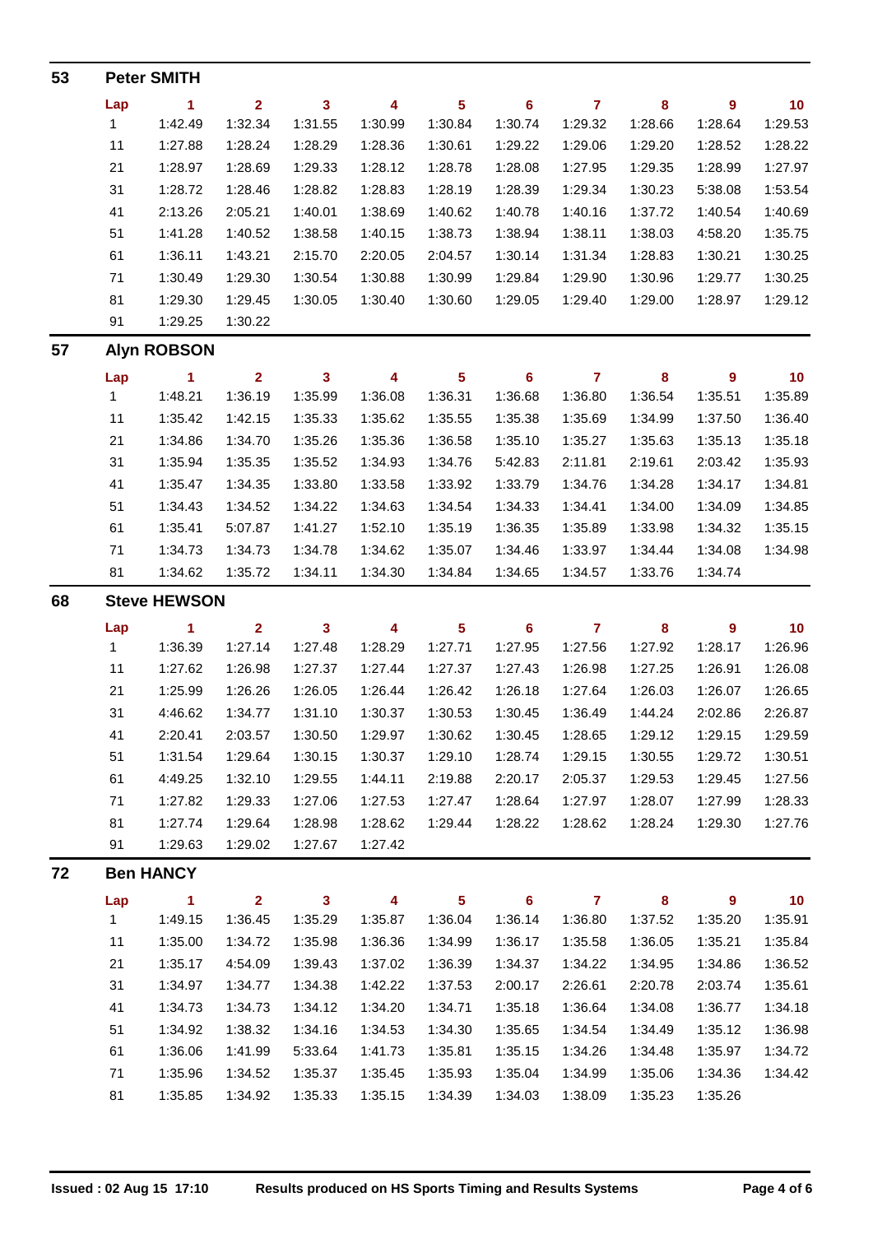| 53 |              | <b>Peter SMITH</b>   |                         |                         |                         |                         |                |                |          |                |         |
|----|--------------|----------------------|-------------------------|-------------------------|-------------------------|-------------------------|----------------|----------------|----------|----------------|---------|
|    | Lap          | 1                    | $\mathbf{2}$            | $\mathbf{3}$            | 4                       | $\overline{\mathbf{5}}$ | 6              | $\overline{7}$ | 8        | 9              | 10      |
|    | $\mathbf{1}$ | 1:42.49              | 1:32.34                 | 1:31.55                 | 1:30.99                 | 1:30.84                 | 1:30.74        | 1:29.32        | 1:28.66  | 1:28.64        | 1:29.53 |
|    | 11           | 1:27.88              | 1:28.24                 | 1:28.29                 | 1:28.36                 | 1:30.61                 | 1:29.22        | 1:29.06        | 1:29.20  | 1:28.52        | 1:28.22 |
|    | 21           | 1:28.97              | 1:28.69                 | 1:29.33                 | 1:28.12                 | 1:28.78                 | 1:28.08        | 1:27.95        | 1:29.35  | 1:28.99        | 1:27.97 |
|    | 31           | 1:28.72              | 1:28.46                 | 1:28.82                 | 1:28.83                 | 1:28.19                 | 1:28.39        | 1:29.34        | 1:30.23  | 5:38.08        | 1:53.54 |
|    | 41           | 2:13.26              | 2:05.21                 | 1:40.01                 | 1:38.69                 | 1:40.62                 | 1:40.78        | 1:40.16        | 1:37.72  | 1:40.54        | 1:40.69 |
|    | 51           | 1:41.28              | 1:40.52                 | 1:38.58                 | 1:40.15                 | 1:38.73                 | 1:38.94        | 1:38.11        | 1:38.03  | 4:58.20        | 1:35.75 |
|    | 61           | 1:36.11              | 1:43.21                 | 2:15.70                 | 2:20.05                 | 2:04.57                 | 1:30.14        | 1:31.34        | 1:28.83  | 1:30.21        | 1:30.25 |
|    | 71           | 1:30.49              | 1:29.30                 | 1:30.54                 | 1:30.88                 | 1:30.99                 | 1:29.84        | 1:29.90        | 1:30.96  | 1:29.77        | 1:30.25 |
|    | 81           | 1:29.30              | 1:29.45                 | 1:30.05                 | 1:30.40                 | 1:30.60                 | 1:29.05        | 1:29.40        | 1:29.00  | 1:28.97        | 1:29.12 |
|    | 91           | 1:29.25              | 1:30.22                 |                         |                         |                         |                |                |          |                |         |
| 57 |              | <b>Alyn ROBSON</b>   |                         |                         |                         |                         |                |                |          |                |         |
|    | Lap          | 1                    | $\overline{2}$          | $\overline{\mathbf{3}}$ | 4                       | 5                       | $6\phantom{a}$ | $\overline{7}$ | 8        | $\overline{9}$ | 10      |
|    | $\mathbf{1}$ | 1:48.21              | 1:36.19                 | 1:35.99                 | 1:36.08                 | 1:36.31                 | 1:36.68        | 1:36.80        | 1:36.54  | 1:35.51        | 1:35.89 |
|    | 11           | 1:35.42              | 1:42.15                 | 1:35.33                 | 1:35.62                 | 1:35.55                 | 1:35.38        | 1:35.69        | 1:34.99  | 1:37.50        | 1:36.40 |
|    | 21           | 1:34.86              | 1:34.70                 | 1:35.26                 | 1:35.36                 | 1:36.58                 | 1:35.10        | 1:35.27        | 1:35.63  | 1:35.13        | 1:35.18 |
|    | 31           | 1:35.94              | 1:35.35                 | 1:35.52                 | 1:34.93                 | 1:34.76                 | 5:42.83        | 2:11.81        | 2:19.61  | 2:03.42        | 1:35.93 |
|    | 41           | 1:35.47              | 1:34.35                 | 1:33.80                 | 1:33.58                 | 1:33.92                 | 1:33.79        | 1:34.76        | 1:34.28  | 1:34.17        | 1:34.81 |
|    | 51           | 1:34.43              | 1:34.52                 | 1:34.22                 | 1:34.63                 | 1:34.54                 | 1:34.33        | 1:34.41        | 1:34.00  | 1:34.09        | 1:34.85 |
|    | 61           | 1:35.41              | 5:07.87                 | 1:41.27                 | 1:52.10                 | 1:35.19                 | 1:36.35        | 1:35.89        | 1:33.98  | 1:34.32        | 1:35.15 |
|    | 71           | 1:34.73              | 1:34.73                 | 1:34.78                 | 1:34.62                 | 1:35.07                 | 1:34.46        | 1:33.97        | 1:34.44  | 1:34.08        | 1:34.98 |
|    | 81           | 1:34.62              | 1:35.72                 | 1:34.11                 | 1:34.30                 | 1:34.84                 | 1:34.65        | 1:34.57        | 1:33.76  | 1:34.74        |         |
| 68 |              | <b>Steve HEWSON</b>  |                         |                         |                         |                         |                |                |          |                |         |
|    | Lap          | $\blacktriangleleft$ | $\overline{\mathbf{2}}$ | $\mathbf{3}$            | 4                       | $\overline{\mathbf{5}}$ | $6\phantom{a}$ | $\overline{7}$ | $\bf{8}$ | 9              | 10      |
|    | $\mathbf{1}$ | 1:36.39              | 1:27.14                 | 1:27.48                 | 1:28.29                 | 1:27.71                 | 1:27.95        | 1:27.56        | 1:27.92  | 1:28.17        | 1:26.96 |
|    | 11           | 1:27.62              | 1:26.98                 | 1:27.37                 | 1:27.44                 | 1:27.37                 | 1:27.43        | 1:26.98        | 1:27.25  | 1:26.91        | 1:26.08 |
|    | 21           | 1:25.99              | 1:26.26                 | 1:26.05                 | 1:26.44                 | 1:26.42                 | 1:26.18        | 1:27.64        | 1:26.03  | 1:26.07        | 1:26.65 |
|    | 31           | 4:46.62              | 1:34.77                 | 1:31.10                 | 1:30.37                 | 1:30.53                 | 1:30.45        | 1:36.49        | 1:44.24  | 2:02.86        | 2:26.87 |
|    | 41           | 2:20.41              | 2:03.57                 | 1:30.50                 | 1:29.97                 | 1:30.62                 | 1:30.45        | 1:28.65        | 1:29.12  | 1:29.15        | 1:29.59 |
|    | 51           | 1:31.54              | 1:29.64                 | 1:30.15                 | 1:30.37                 | 1:29.10                 | 1:28.74        | 1:29.15        | 1:30.55  | 1:29.72        | 1:30.51 |
|    | 61           | 4:49.25              | 1:32.10                 | 1:29.55                 | 1:44.11                 | 2:19.88                 | 2:20.17        | 2:05.37        | 1:29.53  | 1:29.45        | 1:27.56 |
|    | 71           | 1:27.82              | 1:29.33                 | 1:27.06                 | 1:27.53                 | 1:27.47                 | 1:28.64        | 1:27.97        | 1:28.07  | 1:27.99        | 1:28.33 |
|    | 81           | 1:27.74              | 1:29.64                 | 1:28.98                 | 1:28.62                 | 1:29.44                 | 1:28.22        | 1:28.62        | 1:28.24  | 1:29.30        | 1:27.76 |
|    | 91           | 1:29.63              | 1:29.02                 | 1:27.67                 | 1:27.42                 |                         |                |                |          |                |         |
| 72 |              | <b>Ben HANCY</b>     |                         |                         |                         |                         |                |                |          |                |         |
|    | Lap          | 1                    | $\overline{2}$          | $\mathbf{3}$            | $\overline{\mathbf{4}}$ | $\overline{\mathbf{5}}$ | $6\phantom{1}$ | $\overline{7}$ | 8        | $\overline{9}$ | 10      |
|    | $\mathbf 1$  | 1:49.15              | 1:36.45                 | 1:35.29                 | 1:35.87                 | 1:36.04                 | 1:36.14        | 1:36.80        | 1:37.52  | 1:35.20        | 1:35.91 |
|    | 11           | 1:35.00              | 1:34.72                 | 1:35.98                 | 1:36.36                 | 1:34.99                 | 1:36.17        | 1:35.58        | 1:36.05  | 1:35.21        | 1:35.84 |
|    | 21           | 1:35.17              | 4:54.09                 | 1:39.43                 | 1:37.02                 | 1:36.39                 | 1:34.37        | 1:34.22        | 1:34.95  | 1:34.86        | 1:36.52 |
|    | 31           | 1:34.97              | 1:34.77                 | 1:34.38                 | 1:42.22                 | 1:37.53                 | 2:00.17        | 2:26.61        | 2:20.78  | 2:03.74        | 1:35.61 |
|    | 41           | 1:34.73              | 1:34.73                 | 1:34.12                 | 1:34.20                 | 1:34.71                 | 1:35.18        | 1:36.64        | 1:34.08  | 1:36.77        | 1:34.18 |
|    | 51           | 1:34.92              | 1:38.32                 | 1:34.16                 | 1:34.53                 | 1:34.30                 | 1:35.65        | 1:34.54        | 1:34.49  | 1:35.12        | 1:36.98 |
|    | 61           | 1:36.06              | 1:41.99                 | 5:33.64                 | 1:41.73                 | 1:35.81                 | 1:35.15        | 1:34.26        | 1:34.48  | 1:35.97        | 1:34.72 |
|    | 71           | 1:35.96              | 1:34.52                 | 1:35.37                 | 1:35.45                 | 1:35.93                 | 1:35.04        | 1:34.99        | 1:35.06  | 1:34.36        | 1:34.42 |
|    | 81           | 1:35.85              | 1:34.92                 | 1:35.33                 | 1:35.15                 | 1:34.39                 | 1:34.03        | 1:38.09        | 1:35.23  | 1:35.26        |         |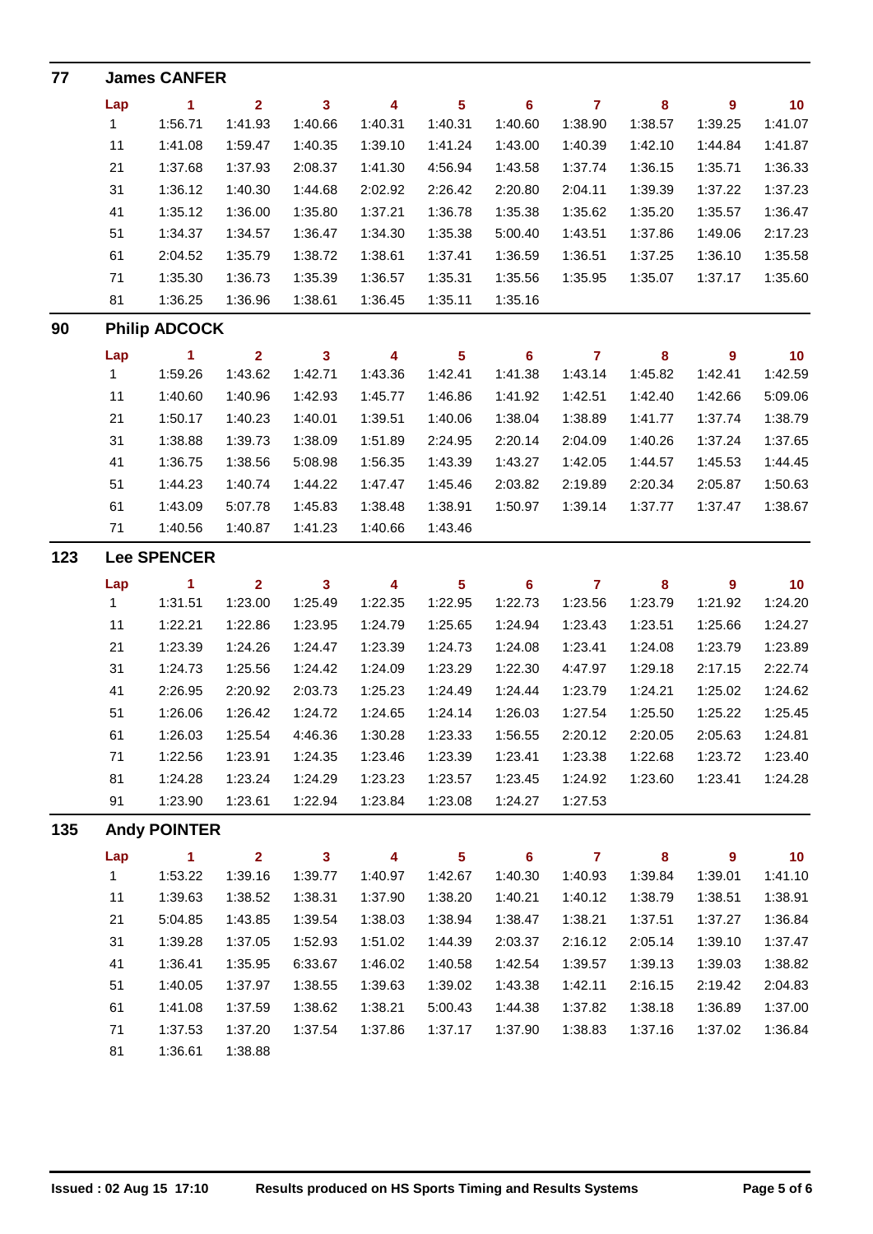| 77  |              | <b>James CANFER</b>  |                         |                         |                         |                         |         |                |           |                |                 |
|-----|--------------|----------------------|-------------------------|-------------------------|-------------------------|-------------------------|---------|----------------|-----------|----------------|-----------------|
|     | Lap          | 1                    | $\overline{2}$          | 3                       | 4                       | 5                       | 6       | $\overline{7}$ | 8         | $\overline{9}$ | 10 <sub>1</sub> |
|     | $\mathbf{1}$ | 1:56.71              | 1:41.93                 | 1:40.66                 | 1:40.31                 | 1:40.31                 | 1:40.60 | 1:38.90        | 1:38.57   | 1:39.25        | 1:41.07         |
|     | 11           | 1:41.08              | 1:59.47                 | 1:40.35                 | 1:39.10                 | 1:41.24                 | 1:43.00 | 1:40.39        | 1:42.10   | 1:44.84        | 1:41.87         |
|     | 21           | 1:37.68              | 1:37.93                 | 2:08.37                 | 1:41.30                 | 4:56.94                 | 1:43.58 | 1:37.74        | 1:36.15   | 1:35.71        | 1:36.33         |
|     | 31           | 1:36.12              | 1:40.30                 | 1:44.68                 | 2:02.92                 | 2:26.42                 | 2:20.80 | 2:04.11        | 1:39.39   | 1:37.22        | 1:37.23         |
|     | 41           | 1:35.12              | 1:36.00                 | 1:35.80                 | 1:37.21                 | 1:36.78                 | 1:35.38 | 1:35.62        | 1:35.20   | 1:35.57        | 1:36.47         |
|     | 51           | 1:34.37              | 1:34.57                 | 1:36.47                 | 1:34.30                 | 1:35.38                 | 5:00.40 | 1:43.51        | 1:37.86   | 1:49.06        | 2:17.23         |
|     | 61           | 2:04.52              | 1:35.79                 | 1:38.72                 | 1:38.61                 | 1:37.41                 | 1:36.59 | 1:36.51        | 1:37.25   | 1:36.10        | 1:35.58         |
|     | 71           | 1:35.30              | 1:36.73                 | 1:35.39                 | 1:36.57                 | 1:35.31                 | 1:35.56 | 1:35.95        | 1:35.07   | 1:37.17        | 1:35.60         |
|     | 81           | 1:36.25              | 1:36.96                 | 1:38.61                 | 1:36.45                 | 1:35.11                 | 1:35.16 |                |           |                |                 |
| 90  |              | <b>Philip ADCOCK</b> |                         |                         |                         |                         |         |                |           |                |                 |
|     | Lap          | $\blacktriangleleft$ | $\overline{2}$          | $\mathbf{3}$            | $\overline{\mathbf{4}}$ | $\overline{\mathbf{5}}$ | 6       | $\overline{7}$ | $\bf{8}$  | 9              | 10              |
|     | 1            | 1:59.26              | 1:43.62                 | 1:42.71                 | 1:43.36                 | 1:42.41                 | 1:41.38 | 1:43.14        | 1:45.82   | 1:42.41        | 1:42.59         |
|     | 11           | 1:40.60              | 1:40.96                 | 1:42.93                 | 1:45.77                 | 1:46.86                 | 1:41.92 | 1:42.51        | 1:42.40   | 1:42.66        | 5:09.06         |
|     | 21           | 1:50.17              | 1:40.23                 | 1:40.01                 | 1:39.51                 | 1:40.06                 | 1:38.04 | 1:38.89        | 1:41.77   | 1:37.74        | 1:38.79         |
|     | 31           | 1:38.88              | 1:39.73                 | 1:38.09                 | 1:51.89                 | 2:24.95                 | 2:20.14 | 2:04.09        | 1:40.26   | 1:37.24        | 1:37.65         |
|     | 41           | 1:36.75              | 1:38.56                 | 5:08.98                 | 1:56.35                 | 1:43.39                 | 1:43.27 | 1:42.05        | 1:44.57   | 1:45.53        | 1:44.45         |
|     | 51           | 1:44.23              | 1:40.74                 | 1:44.22                 | 1:47.47                 | 1:45.46                 | 2:03.82 | 2:19.89        | 2:20.34   | 2:05.87        | 1:50.63         |
|     | 61           | 1:43.09              | 5:07.78                 | 1:45.83                 | 1:38.48                 | 1:38.91                 | 1:50.97 | 1:39.14        | 1:37.77   | 1:37.47        | 1:38.67         |
|     | 71           | 1:40.56              | 1:40.87                 | 1:41.23                 | 1:40.66                 | 1:43.46                 |         |                |           |                |                 |
| 123 |              | <b>Lee SPENCER</b>   |                         |                         |                         |                         |         |                |           |                |                 |
|     | Lap          | 1                    | $\mathbf{2}$            | $\overline{\mathbf{3}}$ | $\overline{\mathbf{4}}$ | $\overline{\mathbf{5}}$ | 6       | $\overline{7}$ | $\bf{8}$  | 9              | 10              |
|     | 1            | 1:31.51              | 1:23.00                 | 1:25.49                 | 1:22.35                 | 1:22.95                 | 1:22.73 | 1:23.56        | 1:23.79   | 1:21.92        | 1:24.20         |
|     | 11           | 1:22.21              | 1:22.86                 | 1:23.95                 | 1:24.79                 | 1:25.65                 | 1:24.94 | 1:23.43        | 1:23.51   | 1:25.66        | 1:24.27         |
|     | 21           | 1:23.39              | 1:24.26                 | 1:24.47                 | 1:23.39                 | 1:24.73                 | 1:24.08 | 1:23.41        | 1:24.08   | 1:23.79        | 1:23.89         |
|     | 31           | 1:24.73              | 1:25.56                 | 1:24.42                 | 1:24.09                 | 1:23.29                 | 1:22.30 | 4:47.97        | 1:29.18   | 2:17.15        | 2:22.74         |
|     | 41           | 2:26.95              | 2:20.92                 | 2:03.73                 | 1:25.23                 | 1:24.49                 | 1:24.44 | 1:23.79        | 1:24.21   | 1:25.02        | 1:24.62         |
|     | 51           | 1:26.06              | 1:26.42                 | 1:24.72                 | 1:24.65                 | 1:24.14                 | 1:26.03 | 1:27.54        | 1:25.50   | 1:25.22        | 1:25.45         |
|     | 61           | 1:26.03              | 1:25.54                 | 4:46.36                 | 1:30.28                 | 1:23.33                 | 1:56.55 | 2:20.12        | 2:20.05   | 2:05.63        | 1:24.81         |
|     | 71           | 1:22.56              | 1:23.91                 | 1:24.35                 | 1:23.46                 | 1:23.39                 | 1:23.41 | 1:23.38        | 1:22.68   | 1:23.72        | 1:23.40         |
|     | 81           | 1:24.28              | 1:23.24                 | 1:24.29                 | 1:23.23                 | 1:23.57                 | 1:23.45 | 1:24.92        | 1:23.60   | 1:23.41        | 1:24.28         |
|     | 91           | 1:23.90              | 1:23.61                 | 1:22.94                 | 1:23.84                 | 1:23.08                 | 1:24.27 | 1:27.53        |           |                |                 |
| 135 |              | <b>Andy POINTER</b>  |                         |                         |                         |                         |         |                |           |                |                 |
|     | Lap          | $\mathbf{1}$         | $\overline{\mathbf{2}}$ | $\overline{\mathbf{3}}$ | 4                       | $\overline{\mathbf{5}}$ | $\bf 6$ | $\overline{7}$ | ${\bf 8}$ | 9              | 10              |
|     | 1            | 1:53.22              | 1:39.16                 | 1:39.77                 | 1:40.97                 | 1:42.67                 | 1:40.30 | 1:40.93        | 1:39.84   | 1:39.01        | 1:41.10         |
|     | 11           | 1:39.63              | 1:38.52                 | 1:38.31                 | 1:37.90                 | 1:38.20                 | 1:40.21 | 1:40.12        | 1:38.79   | 1:38.51        | 1:38.91         |
|     | 21           | 5:04.85              | 1:43.85                 | 1:39.54                 | 1:38.03                 | 1:38.94                 | 1:38.47 | 1:38.21        | 1:37.51   | 1:37.27        | 1:36.84         |
|     | 31           | 1:39.28              | 1:37.05                 | 1:52.93                 | 1:51.02                 | 1:44.39                 | 2:03.37 | 2:16.12        | 2:05.14   | 1:39.10        | 1:37.47         |
|     | 41           | 1:36.41              | 1:35.95                 | 6:33.67                 | 1:46.02                 | 1:40.58                 | 1:42.54 | 1:39.57        | 1:39.13   | 1:39.03        | 1:38.82         |
|     | 51           | 1:40.05              | 1:37.97                 | 1:38.55                 | 1:39.63                 | 1:39.02                 | 1:43.38 | 1:42.11        | 2:16.15   | 2:19.42        | 2:04.83         |
|     | 61           | 1:41.08              | 1:37.59                 | 1:38.62                 | 1:38.21                 | 5:00.43                 | 1:44.38 | 1:37.82        | 1:38.18   | 1:36.89        | 1:37.00         |
|     | 71           | 1:37.53              | 1:37.20                 | 1:37.54                 | 1:37.86                 | 1:37.17                 | 1:37.90 | 1:38.83        | 1:37.16   | 1:37.02        | 1:36.84         |
|     | 81           | 1:36.61              | 1:38.88                 |                         |                         |                         |         |                |           |                |                 |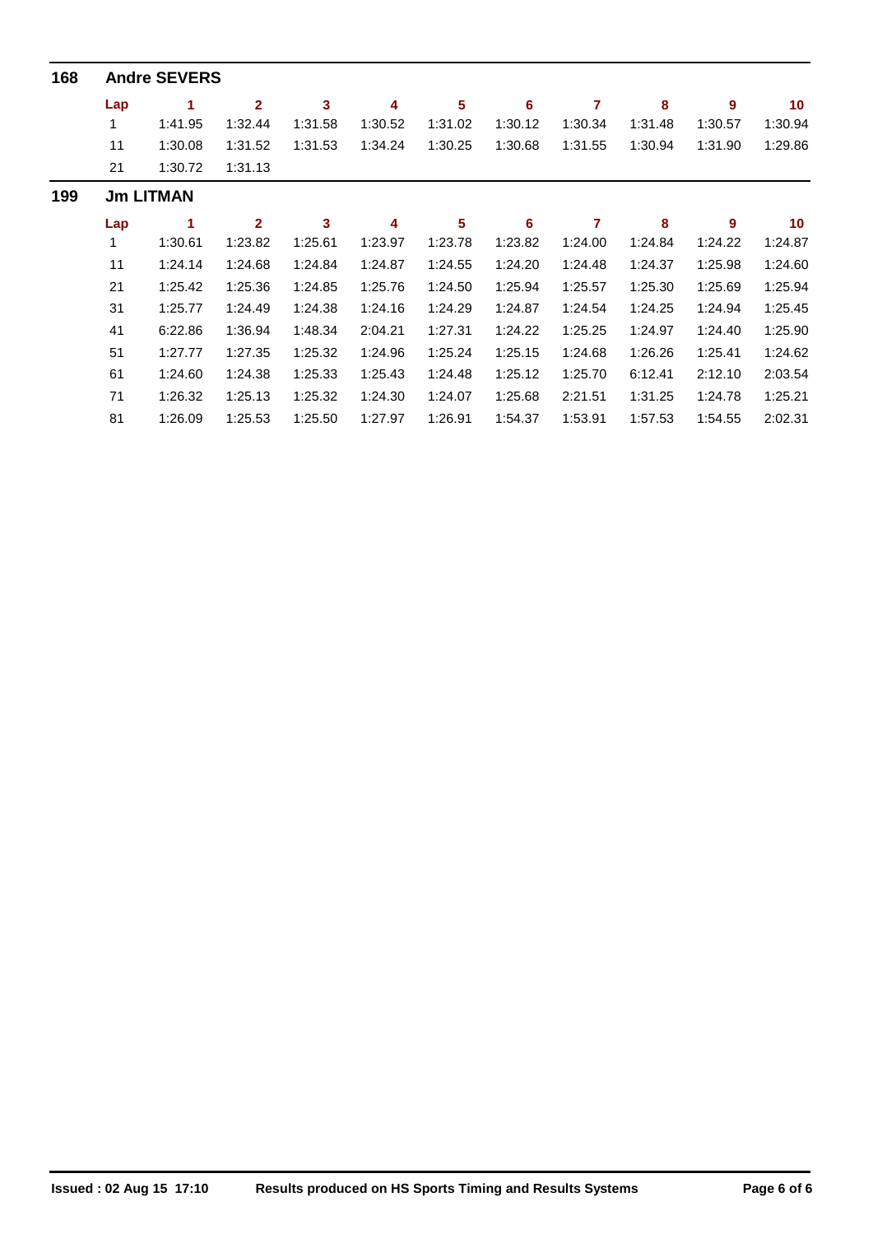| 168 | <b>Andre SEVERS</b> |         |                |         |         |         |         |         |         |         |                 |  |  |  |
|-----|---------------------|---------|----------------|---------|---------|---------|---------|---------|---------|---------|-----------------|--|--|--|
|     | Lap                 |         | $\overline{2}$ | 3       | 4       | 5       | 6       | 7       | 8       | 9       | 10 <sub>1</sub> |  |  |  |
|     | 1                   | 1:41.95 | 1:32.44        | 1:31.58 | 1:30.52 | 1:31.02 | 1:30.12 | 1:30.34 | 1:31.48 | 1:30.57 | 1:30.94         |  |  |  |
|     | 11                  | 1:30.08 | 1:31.52        | 1:31.53 | 1:34.24 | 1:30.25 | 1:30.68 | 1:31.55 | 1:30.94 | 1:31.90 | 1:29.86         |  |  |  |
|     | 21                  | 1:30.72 | 1:31.13        |         |         |         |         |         |         |         |                 |  |  |  |
| 199 | <b>Jm LITMAN</b>    |         |                |         |         |         |         |         |         |         |                 |  |  |  |
|     | Lap                 | 1       | $\mathbf{2}$   | 3       | 4       | 5       | 6       | 7       | 8       | 9       | 10 <sup>°</sup> |  |  |  |
|     | 1                   | 1:30.61 | 1:23.82        | 1:25.61 | 1:23.97 | 1:23.78 | 1:23.82 | 1:24.00 | 1:24.84 | 1:24.22 | 1:24.87         |  |  |  |
|     | 11                  | 1:24.14 | 1:24.68        | 1:24.84 | 1:24.87 | 1:24.55 | 1:24.20 | 1:24.48 | 1:24.37 | 1:25.98 | 1:24.60         |  |  |  |
|     | 21                  | 1:25.42 | 1:25.36        | 1:24.85 | 1:25.76 | 1:24.50 | 1:25.94 | 1:25.57 | 1:25.30 | 1:25.69 | 1:25.94         |  |  |  |
|     | 31                  | 1:25.77 | 1:24.49        | 1:24.38 | 1:24.16 | 1:24.29 | 1:24.87 | 1:24.54 | 1:24.25 | 1:24.94 | 1:25.45         |  |  |  |
|     | 41                  | 6:22.86 | 1:36.94        | 1:48.34 | 2:04.21 | 1:27.31 | 1:24.22 | 1:25.25 | 1:24.97 | 1:24.40 | 1:25.90         |  |  |  |
|     | 51                  | 1:27.77 | 1:27.35        | 1:25.32 | 1:24.96 | 1:25.24 | 1:25.15 | 1:24.68 | 1:26.26 | 1:25.41 | 1:24.62         |  |  |  |
|     | 61                  | 1:24.60 | 1:24.38        | 1:25.33 | 1:25.43 | 1:24.48 | 1:25.12 | 1:25.70 | 6:12.41 | 2:12.10 | 2:03.54         |  |  |  |
|     | 71                  | 1:26.32 | 1:25.13        | 1:25.32 | 1:24.30 | 1:24.07 | 1:25.68 | 2:21.51 | 1:31.25 | 1:24.78 | 1:25.21         |  |  |  |
|     | 81                  | 1:26.09 | 1:25.53        | 1:25.50 | 1:27.97 | 1:26.91 | 1:54.37 | 1:53.91 | 1:57.53 | 1:54.55 | 2:02.31         |  |  |  |